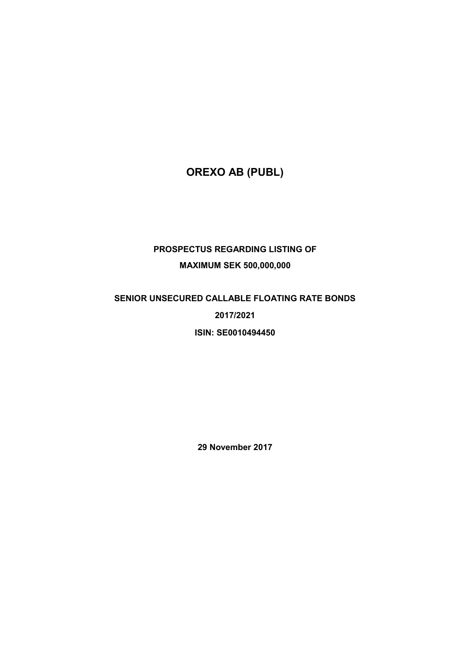# **OREXO AB (PUBL)**

# **PROSPECTUS REGARDING LISTING OF MAXIMUM SEK 500,000,000**

# **SENIOR UNSECURED CALLABLE FLOATING RATE BONDS 2017/2021 ISIN: SE0010494450**

**29 November 2017**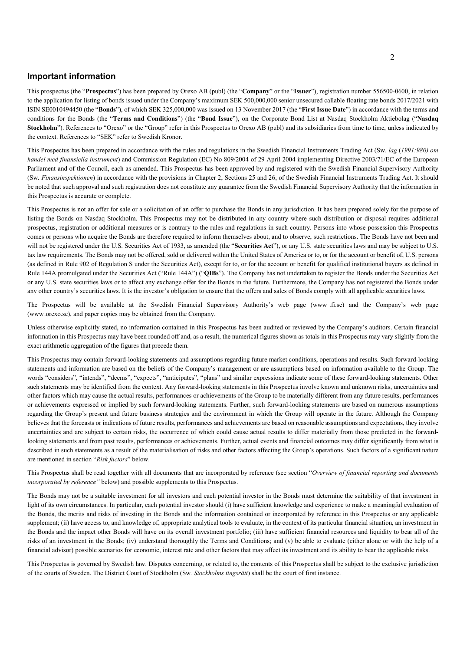## **Important information**

This prospectus (the "**Prospectus**") has been prepared by Orexo AB (publ) (the "**Company**" or the "**Issuer**"), registration number 556500-0600, in relation to the application for listing of bonds issued under the Company's maximum SEK 500,000,000 senior unsecured callable floating rate bonds 2017/2021 with ISIN SE0010494450 (the "**Bonds**"), of which SEK 325,000,000 was issued on 13 November 2017 (the "**First Issue Date**") in accordance with the terms and conditions for the Bonds (the "**Terms and Conditions**") (the "**Bond Issue**"), on the Corporate Bond List at Nasdaq Stockholm Aktiebolag ("**Nasdaq Stockholm**"). References to "Orexo" or the "Group" refer in this Prospectus to Orexo AB (publ) and its subsidiaries from time to time, unless indicated by the context. References to "SEK" refer to Swedish Kronor.

This Prospectus has been prepared in accordance with the rules and regulations in the Swedish Financial Instruments Trading Act (Sw. *lag* (*1991:980) om handel med finansiella instrument*) and Commission Regulation (EC) No 809/2004 of 29 April 2004 implementing Directive 2003/71/EC of the European Parliament and of the Council, each as amended. This Prospectus has been approved by and registered with the Swedish Financial Supervisory Authority (Sw*. Finansinspektionen*) in accordance with the provisions in Chapter 2, Sections 25 and 26, of the Swedish Financial Instruments Trading Act. It should be noted that such approval and such registration does not constitute any guarantee from the Swedish Financial Supervisory Authority that the information in this Prospectus is accurate or complete.

This Prospectus is not an offer for sale or a solicitation of an offer to purchase the Bonds in any jurisdiction. It has been prepared solely for the purpose of listing the Bonds on Nasdaq Stockholm. This Prospectus may not be distributed in any country where such distribution or disposal requires additional prospectus, registration or additional measures or is contrary to the rules and regulations in such country. Persons into whose possession this Prospectus comes or persons who acquire the Bonds are therefore required to inform themselves about, and to observe, such restrictions. The Bonds have not been and will not be registered under the U.S. Securities Act of 1933, as amended (the "Securities Act"), or any U.S. state securities laws and may be subject to U.S. tax law requirements. The Bonds may not be offered, sold or delivered within the United States of America or to, or for the account or benefit of, U.S. persons (as defined in Rule 902 of Regulation S under the Securities Act), except for to, or for the account or benefit for qualified institutional buyers as defined in Rule 144A promulgated under the Securities Act ("Rule 144A") ("**QIBs**"). The Company has not undertaken to register the Bonds under the Securities Act or any U.S. state securities laws or to affect any exchange offer for the Bonds in the future. Furthermore, the Company has not registered the Bonds under any other country's securities laws. It is the investor's obligation to ensure that the offers and sales of Bonds comply with all applicable securities laws.

The Prospectus will be available at the Swedish Financial Supervisory Authority's web page (www .fi.se) and the Company's web page (www .orexo.se), and paper copies may be obtained from the Company.

Unless otherwise explicitly stated, no information contained in this Prospectus has been audited or reviewed by the Company's auditors. Certain financial information in this Prospectus may have been rounded off and, as a result, the numerical figures shown as totals in this Prospectus may vary slightly from the exact arithmetic aggregation of the figures that precede them.

This Prospectus may contain forward-looking statements and assumptions regarding future market conditions, operations and results. Such forward-looking statements and information are based on the beliefs of the Company's management or are assumptions based on information available to the Group. The words "considers", "intends", "deems", "expects", "anticipates", "plans" and similar expressions indicate some of these forward-looking statements. Other such statements may be identified from the context. Any forward-looking statements in this Prospectus involve known and unknown risks, uncertainties and other factors which may cause the actual results, performances or achievements of the Group to be materially different from any future results, performances or achievements expressed or implied by such forward-looking statements. Further, such forward-looking statements are based on numerous assumptions regarding the Group's present and future business strategies and the environment in which the Group will operate in the future. Although the Company believes that the forecasts or indications of future results, performances and achievements are based on reasonable assumptions and expectations, they involve uncertainties and are subject to certain risks, the occurrence of which could cause actual results to differ materially from those predicted in the forwardlooking statements and from past results, performances or achievements. Further, actual events and financial outcomes may differ significantly from what is described in such statements as a result of the materialisation of risks and other factors affecting the Group's operations. Such factors of a significant nature are mentioned in section "*Risk factors*" below.

This Prospectus shall be read together with all documents that are incorporated by reference (see section "*Overview of financial reporting and documents incorporated by reference"* below) and possible supplements to this Prospectus.

The Bonds may not be a suitable investment for all investors and each potential investor in the Bonds must determine the suitability of that investment in light of its own circumstances. In particular, each potential investor should (i) have sufficient knowledge and experience to make a meaningful evaluation of the Bonds, the merits and risks of investing in the Bonds and the information contained or incorporated by reference in this Prospectus or any applicable supplement; (ii) have access to, and knowledge of, appropriate analytical tools to evaluate, in the context of its particular financial situation, an investment in the Bonds and the impact other Bonds will have on its overall investment portfolio; (iii) have sufficient financial resources and liquidity to bear all of the risks of an investment in the Bonds; (iv) understand thoroughly the Terms and Conditions; and (v) be able to evaluate (either alone or with the help of a financial advisor) possible scenarios for economic, interest rate and other factors that may affect its investment and its ability to bear the applicable risks.

This Prospectus is governed by Swedish law. Disputes concerning, or related to, the contents of this Prospectus shall be subject to the exclusive jurisdiction of the courts of Sweden. The District Court of Stockholm (Sw*. Stockholms tingsrätt*) shall be the court of first instance.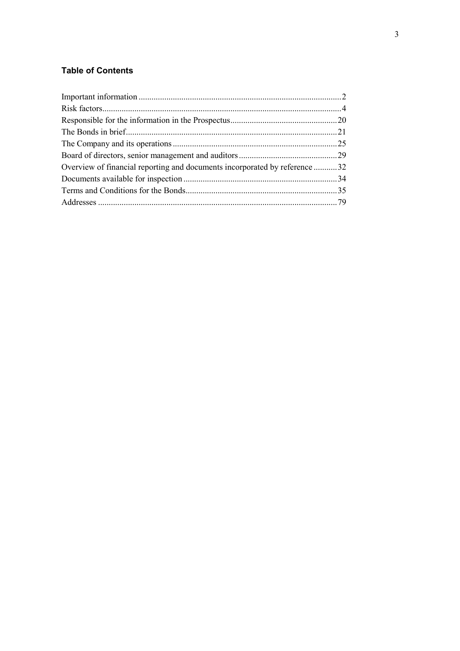## **Table of Contents**

| Overview of financial reporting and documents incorporated by reference 32 |
|----------------------------------------------------------------------------|
|                                                                            |
|                                                                            |
|                                                                            |
|                                                                            |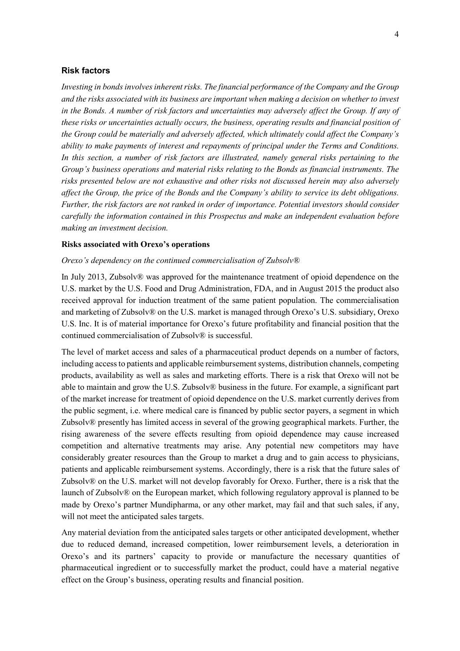## **Risk factors**

*Investing in bonds involves inherent risks. The financial performance of the Company and the Group and the risks associated with its business are important when making a decision on whether to invest in the Bonds. A number of risk factors and uncertainties may adversely affect the Group. If any of these risks or uncertainties actually occurs, the business, operating results and financial position of the Group could be materially and adversely affected, which ultimately could affect the Company's ability to make payments of interest and repayments of principal under the Terms and Conditions. In this section, a number of risk factors are illustrated, namely general risks pertaining to the Group's business operations and material risks relating to the Bonds as financial instruments. The risks presented below are not exhaustive and other risks not discussed herein may also adversely affect the Group, the price of the Bonds and the Company's ability to service its debt obligations. Further, the risk factors are not ranked in order of importance. Potential investors should consider carefully the information contained in this Prospectus and make an independent evaluation before making an investment decision.* 

## **Risks associated with Orexo's operations**

#### *Orexo's dependency on the continued commercialisation of Zubsolv®*

In July 2013, Zubsolv® was approved for the maintenance treatment of opioid dependence on the U.S. market by the U.S. Food and Drug Administration, FDA, and in August 2015 the product also received approval for induction treatment of the same patient population. The commercialisation and marketing of Zubsolv® on the U.S. market is managed through Orexo's U.S. subsidiary, Orexo U.S. Inc. It is of material importance for Orexo's future profitability and financial position that the continued commercialisation of Zubsolv® is successful.

The level of market access and sales of a pharmaceutical product depends on a number of factors, including access to patients and applicable reimbursement systems, distribution channels, competing products, availability as well as sales and marketing efforts. There is a risk that Orexo will not be able to maintain and grow the U.S. Zubsolv® business in the future. For example, a significant part of the market increase for treatment of opioid dependence on the U.S. market currently derives from the public segment, i.e. where medical care is financed by public sector payers, a segment in which Zubsolv $\mathcal{D}$  presently has limited access in several of the growing geographical markets. Further, the rising awareness of the severe effects resulting from opioid dependence may cause increased competition and alternative treatments may arise. Any potential new competitors may have considerably greater resources than the Group to market a drug and to gain access to physicians, patients and applicable reimbursement systems. Accordingly, there is a risk that the future sales of Zubsolv $\mathcal{D}$  on the U.S. market will not develop favorably for Orexo. Further, there is a risk that the launch of Zubsolv® on the European market, which following regulatory approval is planned to be made by Orexo's partner Mundipharma, or any other market, may fail and that such sales, if any, will not meet the anticipated sales targets.

Any material deviation from the anticipated sales targets or other anticipated development, whether due to reduced demand, increased competition, lower reimbursement levels, a deterioration in Orexo's and its partners' capacity to provide or manufacture the necessary quantities of pharmaceutical ingredient or to successfully market the product, could have a material negative effect on the Group's business, operating results and financial position.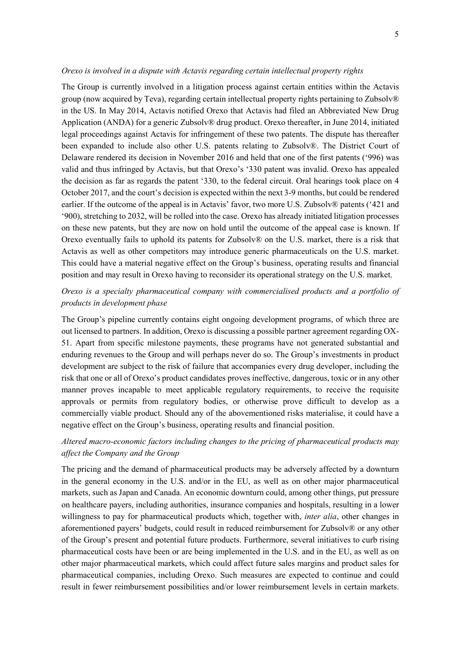#### *Orexo is involved in a dispute with Actavis regarding certain intellectual property rights*

The Group is currently involved in a litigation process against certain entities within the Actavis group (now acquired by Teva), regarding certain intellectual property rights pertaining to Zubsolv® in the US. In May 2014, Actavis notified Orexo that Actavis had filed an Abbreviated New Drug Application (ANDA) for a generic Zubsolv® drug product. Orexo thereafter, in June 2014, initiated legal proceedings against Actavis for infringement of these two patents. The dispute has thereafter been expanded to include also other U.S. patents relating to Zubsolv®. The District Court of Delaware rendered its decision in November 2016 and held that one of the first patents ('996) was valid and thus infringed by Actavis, but that Orexo's '330 patent was invalid. Orexo has appealed the decision as far as regards the patent '330, to the federal circuit. Oral hearings took place on 4 October 2017, and the court's decision is expected within the next 3-9 months, but could be rendered earlier. If the outcome of the appeal is in Actavis' favor, two more U.S. Zubsolv® patents ('421 and '900), stretching to 2032, will be rolled into the case. Orexo has already initiated litigation processes on these new patents, but they are now on hold until the outcome of the appeal case is known. If Orexo eventually fails to uphold its patents for Zubsolv® on the U.S. market, there is a risk that Actavis as well as other competitors may introduce generic pharmaceuticals on the U.S. market. This could have a material negative effect on the Group's business, operating results and financial position and may result in Orexo having to reconsider its operational strategy on the U.S. market.

## *Orexo is a specialty pharmaceutical company with commercialised products and a portfolio of products in development phase*

The Group's pipeline currently contains eight ongoing development programs, of which three are out licensed to partners. In addition, Orexo is discussing a possible partner agreement regarding OX-51. Apart from specific milestone payments, these programs have not generated substantial and enduring revenues to the Group and will perhaps never do so. The Group's investments in product development are subject to the risk of failure that accompanies every drug developer, including the risk that one or all of Orexo's product candidates proves ineffective, dangerous, toxic or in any other manner proves incapable to meet applicable regulatory requirements, to receive the requisite approvals or permits from regulatory bodies, or otherwise prove difficult to develop as a commercially viable product. Should any of the abovementioned risks materialise, it could have a negative effect on the Group's business, operating results and financial position.

## *Altered macro-economic factors including changes to the pricing of pharmaceutical products may affect the Company and the Group*

The pricing and the demand of pharmaceutical products may be adversely affected by a downturn in the general economy in the U.S. and/or in the EU, as well as on other major pharmaceutical markets, such as Japan and Canada. An economic downturn could, among other things, put pressure on healthcare payers, including authorities, insurance companies and hospitals, resulting in a lower willingness to pay for pharmaceutical products which, together with, *inter alia*, other changes in aforementioned payers' budgets, could result in reduced reimbursement for Zubsolv® or any other of the Group's present and potential future products. Furthermore, several initiatives to curb rising pharmaceutical costs have been or are being implemented in the U.S. and in the EU, as well as on other major pharmaceutical markets, which could affect future sales margins and product sales for pharmaceutical companies, including Orexo. Such measures are expected to continue and could result in fewer reimbursement possibilities and/or lower reimbursement levels in certain markets.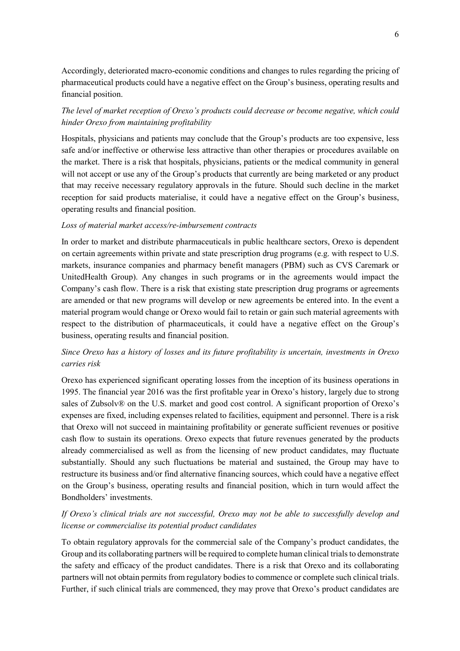Accordingly, deteriorated macro-economic conditions and changes to rules regarding the pricing of pharmaceutical products could have a negative effect on the Group's business, operating results and financial position.

## *The level of market reception of Orexo's products could decrease or become negative, which could hinder Orexo from maintaining profitability*

Hospitals, physicians and patients may conclude that the Group's products are too expensive, less safe and/or ineffective or otherwise less attractive than other therapies or procedures available on the market. There is a risk that hospitals, physicians, patients or the medical community in general will not accept or use any of the Group's products that currently are being marketed or any product that may receive necessary regulatory approvals in the future. Should such decline in the market reception for said products materialise, it could have a negative effect on the Group's business, operating results and financial position.

## *Loss of material market access/re-imbursement contracts*

In order to market and distribute pharmaceuticals in public healthcare sectors, Orexo is dependent on certain agreements within private and state prescription drug programs (e.g. with respect to U.S. markets, insurance companies and pharmacy benefit managers (PBM) such as CVS Caremark or UnitedHealth Group). Any changes in such programs or in the agreements would impact the Company's cash flow. There is a risk that existing state prescription drug programs or agreements are amended or that new programs will develop or new agreements be entered into. In the event a material program would change or Orexo would fail to retain or gain such material agreements with respect to the distribution of pharmaceuticals, it could have a negative effect on the Group's business, operating results and financial position.

## *Since Orexo has a history of losses and its future profitability is uncertain, investments in Orexo carries risk*

Orexo has experienced significant operating losses from the inception of its business operations in 1995. The financial year 2016 was the first profitable year in Orexo's history, largely due to strong sales of Zubsolv® on the U.S. market and good cost control. A significant proportion of Orexo's expenses are fixed, including expenses related to facilities, equipment and personnel. There is a risk that Orexo will not succeed in maintaining profitability or generate sufficient revenues or positive cash flow to sustain its operations. Orexo expects that future revenues generated by the products already commercialised as well as from the licensing of new product candidates, may fluctuate substantially. Should any such fluctuations be material and sustained, the Group may have to restructure its business and/or find alternative financing sources, which could have a negative effect on the Group's business, operating results and financial position, which in turn would affect the Bondholders' investments.

## *If Orexo's clinical trials are not successful, Orexo may not be able to successfully develop and license or commercialise its potential product candidates*

To obtain regulatory approvals for the commercial sale of the Company's product candidates, the Group and its collaborating partners will be required to complete human clinical trials to demonstrate the safety and efficacy of the product candidates. There is a risk that Orexo and its collaborating partners will not obtain permits from regulatory bodies to commence or complete such clinical trials. Further, if such clinical trials are commenced, they may prove that Orexo's product candidates are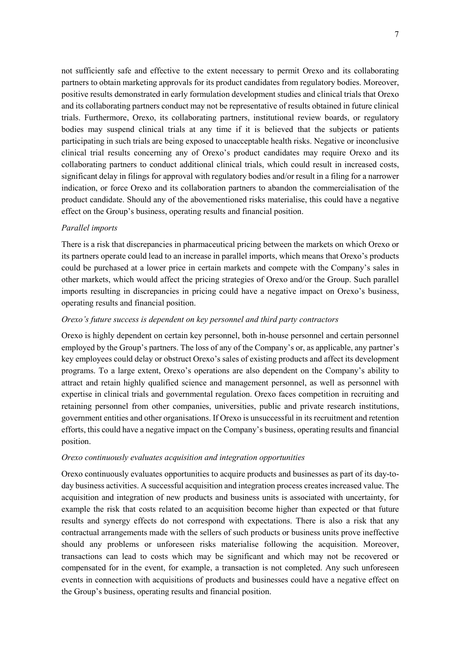not sufficiently safe and effective to the extent necessary to permit Orexo and its collaborating partners to obtain marketing approvals for its product candidates from regulatory bodies. Moreover, positive results demonstrated in early formulation development studies and clinical trials that Orexo and its collaborating partners conduct may not be representative of results obtained in future clinical trials. Furthermore, Orexo, its collaborating partners, institutional review boards, or regulatory bodies may suspend clinical trials at any time if it is believed that the subjects or patients participating in such trials are being exposed to unacceptable health risks. Negative or inconclusive clinical trial results concerning any of Orexo's product candidates may require Orexo and its collaborating partners to conduct additional clinical trials, which could result in increased costs, significant delay in filings for approval with regulatory bodies and/or result in a filing for a narrower indication, or force Orexo and its collaboration partners to abandon the commercialisation of the product candidate. Should any of the abovementioned risks materialise, this could have a negative effect on the Group's business, operating results and financial position.

## *Parallel imports*

There is a risk that discrepancies in pharmaceutical pricing between the markets on which Orexo or its partners operate could lead to an increase in parallel imports, which means that Orexo's products could be purchased at a lower price in certain markets and compete with the Company's sales in other markets, which would affect the pricing strategies of Orexo and/or the Group. Such parallel imports resulting in discrepancies in pricing could have a negative impact on Orexo's business, operating results and financial position.

## *Orexo's future success is dependent on key personnel and third party contractors*

Orexo is highly dependent on certain key personnel, both in-house personnel and certain personnel employed by the Group's partners. The loss of any of the Company's or, as applicable, any partner's key employees could delay or obstruct Orexo's sales of existing products and affect its development programs. To a large extent, Orexo's operations are also dependent on the Company's ability to attract and retain highly qualified science and management personnel, as well as personnel with expertise in clinical trials and governmental regulation. Orexo faces competition in recruiting and retaining personnel from other companies, universities, public and private research institutions, government entities and other organisations. If Orexo is unsuccessful in its recruitment and retention efforts, this could have a negative impact on the Company's business, operating results and financial position.

## *Orexo continuously evaluates acquisition and integration opportunities*

Orexo continuously evaluates opportunities to acquire products and businesses as part of its day-today business activities. A successful acquisition and integration process creates increased value. The acquisition and integration of new products and business units is associated with uncertainty, for example the risk that costs related to an acquisition become higher than expected or that future results and synergy effects do not correspond with expectations. There is also a risk that any contractual arrangements made with the sellers of such products or business units prove ineffective should any problems or unforeseen risks materialise following the acquisition. Moreover, transactions can lead to costs which may be significant and which may not be recovered or compensated for in the event, for example, a transaction is not completed. Any such unforeseen events in connection with acquisitions of products and businesses could have a negative effect on the Group's business, operating results and financial position.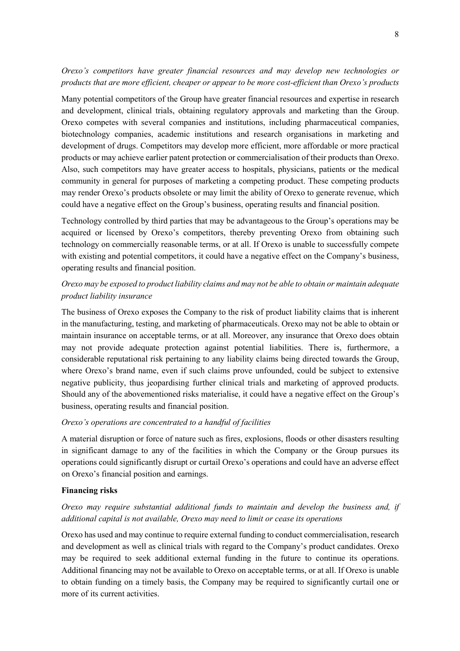## *Orexo's competitors have greater financial resources and may develop new technologies or products that are more efficient, cheaper or appear to be more cost-efficient than Orexo's products*

Many potential competitors of the Group have greater financial resources and expertise in research and development, clinical trials, obtaining regulatory approvals and marketing than the Group. Orexo competes with several companies and institutions, including pharmaceutical companies, biotechnology companies, academic institutions and research organisations in marketing and development of drugs. Competitors may develop more efficient, more affordable or more practical products or may achieve earlier patent protection or commercialisation of their products than Orexo. Also, such competitors may have greater access to hospitals, physicians, patients or the medical community in general for purposes of marketing a competing product. These competing products may render Orexo's products obsolete or may limit the ability of Orexo to generate revenue, which could have a negative effect on the Group's business, operating results and financial position.

Technology controlled by third parties that may be advantageous to the Group's operations may be acquired or licensed by Orexo's competitors, thereby preventing Orexo from obtaining such technology on commercially reasonable terms, or at all. If Orexo is unable to successfully compete with existing and potential competitors, it could have a negative effect on the Company's business, operating results and financial position.

## *Orexo may be exposed to product liability claims and may not be able to obtain or maintain adequate product liability insurance*

The business of Orexo exposes the Company to the risk of product liability claims that is inherent in the manufacturing, testing, and marketing of pharmaceuticals. Orexo may not be able to obtain or maintain insurance on acceptable terms, or at all. Moreover, any insurance that Orexo does obtain may not provide adequate protection against potential liabilities. There is, furthermore, a considerable reputational risk pertaining to any liability claims being directed towards the Group, where Orexo's brand name, even if such claims prove unfounded, could be subject to extensive negative publicity, thus jeopardising further clinical trials and marketing of approved products. Should any of the abovementioned risks materialise, it could have a negative effect on the Group's business, operating results and financial position.

## *Orexo's operations are concentrated to a handful of facilities*

A material disruption or force of nature such as fires, explosions, floods or other disasters resulting in significant damage to any of the facilities in which the Company or the Group pursues its operations could significantly disrupt or curtail Orexo's operations and could have an adverse effect on Orexo's financial position and earnings.

## **Financing risks**

## *Orexo may require substantial additional funds to maintain and develop the business and, if additional capital is not available, Orexo may need to limit or cease its operations*

Orexo has used and may continue to require external funding to conduct commercialisation, research and development as well as clinical trials with regard to the Company's product candidates. Orexo may be required to seek additional external funding in the future to continue its operations. Additional financing may not be available to Orexo on acceptable terms, or at all. If Orexo is unable to obtain funding on a timely basis, the Company may be required to significantly curtail one or more of its current activities.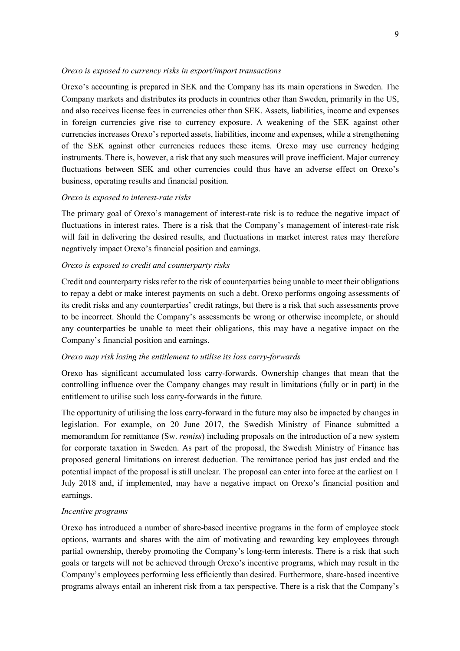#### *Orexo is exposed to currency risks in export/import transactions*

Orexo's accounting is prepared in SEK and the Company has its main operations in Sweden. The Company markets and distributes its products in countries other than Sweden, primarily in the US, and also receives license fees in currencies other than SEK. Assets, liabilities, income and expenses in foreign currencies give rise to currency exposure. A weakening of the SEK against other currencies increases Orexo's reported assets, liabilities, income and expenses, while a strengthening of the SEK against other currencies reduces these items. Orexo may use currency hedging instruments. There is, however, a risk that any such measures will prove inefficient. Major currency fluctuations between SEK and other currencies could thus have an adverse effect on Orexo's business, operating results and financial position.

#### *Orexo is exposed to interest-rate risks*

The primary goal of Orexo's management of interest-rate risk is to reduce the negative impact of fluctuations in interest rates. There is a risk that the Company's management of interest-rate risk will fail in delivering the desired results, and fluctuations in market interest rates may therefore negatively impact Orexo's financial position and earnings.

#### *Orexo is exposed to credit and counterparty risks*

Credit and counterparty risks refer to the risk of counterparties being unable to meet their obligations to repay a debt or make interest payments on such a debt. Orexo performs ongoing assessments of its credit risks and any counterparties' credit ratings, but there is a risk that such assessments prove to be incorrect. Should the Company's assessments be wrong or otherwise incomplete, or should any counterparties be unable to meet their obligations, this may have a negative impact on the Company's financial position and earnings.

## *Orexo may risk losing the entitlement to utilise its loss carry-forwards*

Orexo has significant accumulated loss carry-forwards. Ownership changes that mean that the controlling influence over the Company changes may result in limitations (fully or in part) in the entitlement to utilise such loss carry-forwards in the future.

The opportunity of utilising the loss carry-forward in the future may also be impacted by changes in legislation. For example, on 20 June 2017, the Swedish Ministry of Finance submitted a memorandum for remittance (Sw. *remiss*) including proposals on the introduction of a new system for corporate taxation in Sweden. As part of the proposal, the Swedish Ministry of Finance has proposed general limitations on interest deduction. The remittance period has just ended and the potential impact of the proposal is still unclear. The proposal can enter into force at the earliest on 1 July 2018 and, if implemented, may have a negative impact on Orexo's financial position and earnings.

## *Incentive programs*

Orexo has introduced a number of share-based incentive programs in the form of employee stock options, warrants and shares with the aim of motivating and rewarding key employees through partial ownership, thereby promoting the Company's long-term interests. There is a risk that such goals or targets will not be achieved through Orexo's incentive programs, which may result in the Company's employees performing less efficiently than desired. Furthermore, share-based incentive programs always entail an inherent risk from a tax perspective. There is a risk that the Company's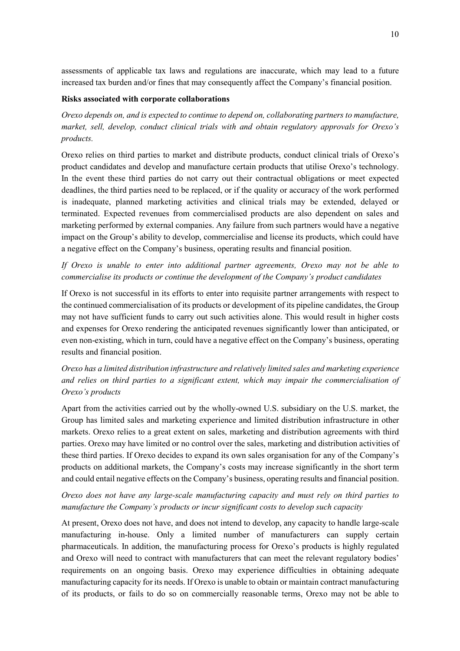assessments of applicable tax laws and regulations are inaccurate, which may lead to a future increased tax burden and/or fines that may consequently affect the Company's financial position.

#### **Risks associated with corporate collaborations**

*Orexo depends on, and is expected to continue to depend on, collaborating partners to manufacture, market, sell, develop, conduct clinical trials with and obtain regulatory approvals for Orexo's products.* 

Orexo relies on third parties to market and distribute products, conduct clinical trials of Orexo's product candidates and develop and manufacture certain products that utilise Orexo's technology. In the event these third parties do not carry out their contractual obligations or meet expected deadlines, the third parties need to be replaced, or if the quality or accuracy of the work performed is inadequate, planned marketing activities and clinical trials may be extended, delayed or terminated. Expected revenues from commercialised products are also dependent on sales and marketing performed by external companies. Any failure from such partners would have a negative impact on the Group's ability to develop, commercialise and license its products, which could have a negative effect on the Company's business, operating results and financial position.

*If Orexo is unable to enter into additional partner agreements, Orexo may not be able to commercialise its products or continue the development of the Company's product candidates* 

If Orexo is not successful in its efforts to enter into requisite partner arrangements with respect to the continued commercialisation of its products or development of its pipeline candidates, the Group may not have sufficient funds to carry out such activities alone. This would result in higher costs and expenses for Orexo rendering the anticipated revenues significantly lower than anticipated, or even non-existing, which in turn, could have a negative effect on the Company's business, operating results and financial position.

*Orexo has a limited distribution infrastructure and relatively limited sales and marketing experience and relies on third parties to a significant extent, which may impair the commercialisation of Orexo's products* 

Apart from the activities carried out by the wholly-owned U.S. subsidiary on the U.S. market, the Group has limited sales and marketing experience and limited distribution infrastructure in other markets. Orexo relies to a great extent on sales, marketing and distribution agreements with third parties. Orexo may have limited or no control over the sales, marketing and distribution activities of these third parties. If Orexo decides to expand its own sales organisation for any of the Company's products on additional markets, the Company's costs may increase significantly in the short term and could entail negative effects on the Company's business, operating results and financial position.

## *Orexo does not have any large-scale manufacturing capacity and must rely on third parties to manufacture the Company's products or incur significant costs to develop such capacity*

At present, Orexo does not have, and does not intend to develop, any capacity to handle large-scale manufacturing in-house. Only a limited number of manufacturers can supply certain pharmaceuticals. In addition, the manufacturing process for Orexo's products is highly regulated and Orexo will need to contract with manufacturers that can meet the relevant regulatory bodies' requirements on an ongoing basis. Orexo may experience difficulties in obtaining adequate manufacturing capacity for its needs. If Orexo is unable to obtain or maintain contract manufacturing of its products, or fails to do so on commercially reasonable terms, Orexo may not be able to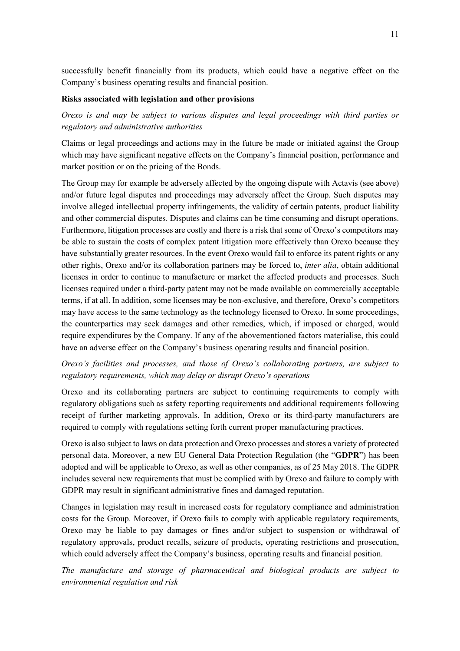successfully benefit financially from its products, which could have a negative effect on the Company's business operating results and financial position.

## **Risks associated with legislation and other provisions**

*Orexo is and may be subject to various disputes and legal proceedings with third parties or regulatory and administrative authorities* 

Claims or legal proceedings and actions may in the future be made or initiated against the Group which may have significant negative effects on the Company's financial position, performance and market position or on the pricing of the Bonds.

The Group may for example be adversely affected by the ongoing dispute with Actavis (see above) and/or future legal disputes and proceedings may adversely affect the Group. Such disputes may involve alleged intellectual property infringements, the validity of certain patents, product liability and other commercial disputes. Disputes and claims can be time consuming and disrupt operations. Furthermore, litigation processes are costly and there is a risk that some of Orexo's competitors may be able to sustain the costs of complex patent litigation more effectively than Orexo because they have substantially greater resources. In the event Orexo would fail to enforce its patent rights or any other rights, Orexo and/or its collaboration partners may be forced to, *inter alia*, obtain additional licenses in order to continue to manufacture or market the affected products and processes. Such licenses required under a third-party patent may not be made available on commercially acceptable terms, if at all. In addition, some licenses may be non-exclusive, and therefore, Orexo's competitors may have access to the same technology as the technology licensed to Orexo. In some proceedings, the counterparties may seek damages and other remedies, which, if imposed or charged, would require expenditures by the Company. If any of the abovementioned factors materialise, this could have an adverse effect on the Company's business operating results and financial position.

## *Orexo's facilities and processes, and those of Orexo's collaborating partners, are subject to regulatory requirements, which may delay or disrupt Orexo's operations*

Orexo and its collaborating partners are subject to continuing requirements to comply with regulatory obligations such as safety reporting requirements and additional requirements following receipt of further marketing approvals. In addition, Orexo or its third-party manufacturers are required to comply with regulations setting forth current proper manufacturing practices.

Orexo is also subject to laws on data protection and Orexo processes and stores a variety of protected personal data. Moreover, a new EU General Data Protection Regulation (the "**GDPR**") has been adopted and will be applicable to Orexo, as well as other companies, as of 25 May 2018. The GDPR includes several new requirements that must be complied with by Orexo and failure to comply with GDPR may result in significant administrative fines and damaged reputation.

Changes in legislation may result in increased costs for regulatory compliance and administration costs for the Group. Moreover, if Orexo fails to comply with applicable regulatory requirements, Orexo may be liable to pay damages or fines and/or subject to suspension or withdrawal of regulatory approvals, product recalls, seizure of products, operating restrictions and prosecution, which could adversely affect the Company's business, operating results and financial position.

*The manufacture and storage of pharmaceutical and biological products are subject to environmental regulation and risk*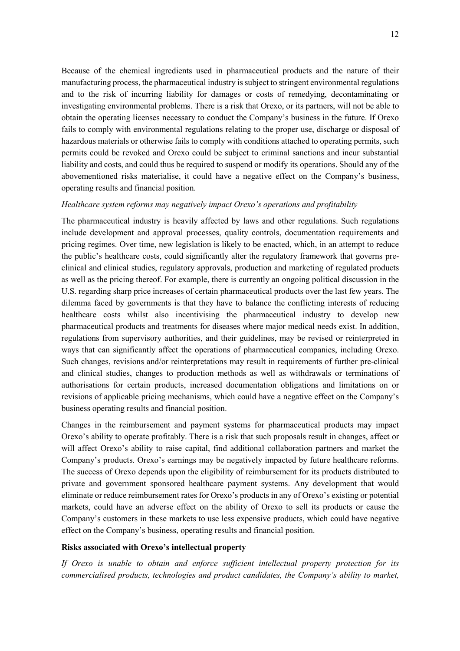Because of the chemical ingredients used in pharmaceutical products and the nature of their manufacturing process, the pharmaceutical industry is subject to stringent environmental regulations and to the risk of incurring liability for damages or costs of remedying, decontaminating or investigating environmental problems. There is a risk that Orexo, or its partners, will not be able to obtain the operating licenses necessary to conduct the Company's business in the future. If Orexo fails to comply with environmental regulations relating to the proper use, discharge or disposal of hazardous materials or otherwise fails to comply with conditions attached to operating permits, such permits could be revoked and Orexo could be subject to criminal sanctions and incur substantial liability and costs, and could thus be required to suspend or modify its operations. Should any of the abovementioned risks materialise, it could have a negative effect on the Company's business, operating results and financial position.

## *Healthcare system reforms may negatively impact Orexo's operations and profitability*

The pharmaceutical industry is heavily affected by laws and other regulations. Such regulations include development and approval processes, quality controls, documentation requirements and pricing regimes. Over time, new legislation is likely to be enacted, which, in an attempt to reduce the public's healthcare costs, could significantly alter the regulatory framework that governs preclinical and clinical studies, regulatory approvals, production and marketing of regulated products as well as the pricing thereof. For example, there is currently an ongoing political discussion in the U.S. regarding sharp price increases of certain pharmaceutical products over the last few years. The dilemma faced by governments is that they have to balance the conflicting interests of reducing healthcare costs whilst also incentivising the pharmaceutical industry to develop new pharmaceutical products and treatments for diseases where major medical needs exist. In addition, regulations from supervisory authorities, and their guidelines, may be revised or reinterpreted in ways that can significantly affect the operations of pharmaceutical companies, including Orexo. Such changes, revisions and/or reinterpretations may result in requirements of further pre-clinical and clinical studies, changes to production methods as well as withdrawals or terminations of authorisations for certain products, increased documentation obligations and limitations on or revisions of applicable pricing mechanisms, which could have a negative effect on the Company's business operating results and financial position.

Changes in the reimbursement and payment systems for pharmaceutical products may impact Orexo's ability to operate profitably. There is a risk that such proposals result in changes, affect or will affect Orexo's ability to raise capital, find additional collaboration partners and market the Company's products. Orexo's earnings may be negatively impacted by future healthcare reforms. The success of Orexo depends upon the eligibility of reimbursement for its products distributed to private and government sponsored healthcare payment systems. Any development that would eliminate or reduce reimbursement rates for Orexo's products in any of Orexo's existing or potential markets, could have an adverse effect on the ability of Orexo to sell its products or cause the Company's customers in these markets to use less expensive products, which could have negative effect on the Company's business, operating results and financial position.

## **Risks associated with Orexo's intellectual property**

*If Orexo is unable to obtain and enforce sufficient intellectual property protection for its commercialised products, technologies and product candidates, the Company's ability to market,*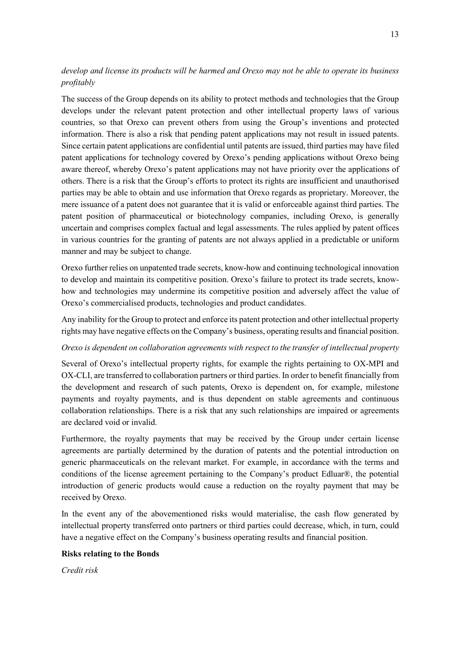## *develop and license its products will be harmed and Orexo may not be able to operate its business profitably*

The success of the Group depends on its ability to protect methods and technologies that the Group develops under the relevant patent protection and other intellectual property laws of various countries, so that Orexo can prevent others from using the Group's inventions and protected information. There is also a risk that pending patent applications may not result in issued patents. Since certain patent applications are confidential until patents are issued, third parties may have filed patent applications for technology covered by Orexo's pending applications without Orexo being aware thereof, whereby Orexo's patent applications may not have priority over the applications of others. There is a risk that the Group's efforts to protect its rights are insufficient and unauthorised parties may be able to obtain and use information that Orexo regards as proprietary. Moreover, the mere issuance of a patent does not guarantee that it is valid or enforceable against third parties. The patent position of pharmaceutical or biotechnology companies, including Orexo, is generally uncertain and comprises complex factual and legal assessments. The rules applied by patent offices in various countries for the granting of patents are not always applied in a predictable or uniform manner and may be subject to change.

Orexo further relies on unpatented trade secrets, know-how and continuing technological innovation to develop and maintain its competitive position. Orexo's failure to protect its trade secrets, knowhow and technologies may undermine its competitive position and adversely affect the value of Orexo's commercialised products, technologies and product candidates.

Any inability for the Group to protect and enforce its patent protection and other intellectual property rights may have negative effects on the Company's business, operating results and financial position.

## *Orexo is dependent on collaboration agreements with respect to the transfer of intellectual property*

Several of Orexo's intellectual property rights, for example the rights pertaining to OX-MPI and OX-CLI, are transferred to collaboration partners or third parties. In order to benefit financially from the development and research of such patents, Orexo is dependent on, for example, milestone payments and royalty payments, and is thus dependent on stable agreements and continuous collaboration relationships. There is a risk that any such relationships are impaired or agreements are declared void or invalid.

Furthermore, the royalty payments that may be received by the Group under certain license agreements are partially determined by the duration of patents and the potential introduction on generic pharmaceuticals on the relevant market. For example, in accordance with the terms and conditions of the license agreement pertaining to the Company's product Edluar®, the potential introduction of generic products would cause a reduction on the royalty payment that may be received by Orexo.

In the event any of the abovementioned risks would materialise, the cash flow generated by intellectual property transferred onto partners or third parties could decrease, which, in turn, could have a negative effect on the Company's business operating results and financial position.

## **Risks relating to the Bonds**

*Credit risk*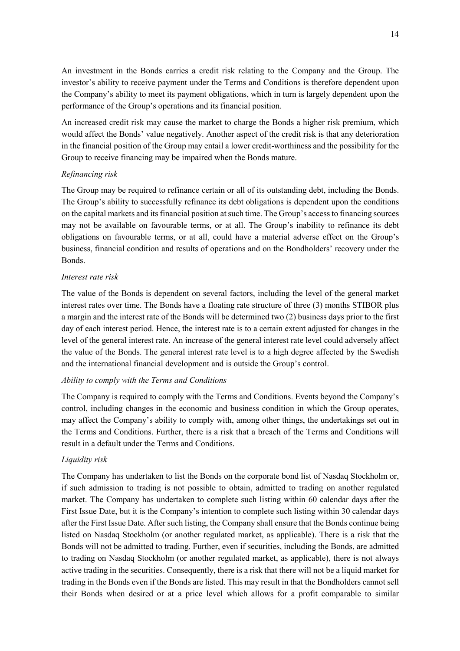An investment in the Bonds carries a credit risk relating to the Company and the Group. The investor's ability to receive payment under the Terms and Conditions is therefore dependent upon the Company's ability to meet its payment obligations, which in turn is largely dependent upon the performance of the Group's operations and its financial position.

An increased credit risk may cause the market to charge the Bonds a higher risk premium, which would affect the Bonds' value negatively. Another aspect of the credit risk is that any deterioration in the financial position of the Group may entail a lower credit-worthiness and the possibility for the Group to receive financing may be impaired when the Bonds mature.

## *Refinancing risk*

The Group may be required to refinance certain or all of its outstanding debt, including the Bonds. The Group's ability to successfully refinance its debt obligations is dependent upon the conditions on the capital markets and its financial position at such time. The Group's access to financing sources may not be available on favourable terms, or at all. The Group's inability to refinance its debt obligations on favourable terms, or at all, could have a material adverse effect on the Group's business, financial condition and results of operations and on the Bondholders' recovery under the Bonds.

## *Interest rate risk*

The value of the Bonds is dependent on several factors, including the level of the general market interest rates over time. The Bonds have a floating rate structure of three (3) months STIBOR plus a margin and the interest rate of the Bonds will be determined two (2) business days prior to the first day of each interest period. Hence, the interest rate is to a certain extent adjusted for changes in the level of the general interest rate. An increase of the general interest rate level could adversely affect the value of the Bonds. The general interest rate level is to a high degree affected by the Swedish and the international financial development and is outside the Group's control.

## *Ability to comply with the Terms and Conditions*

The Company is required to comply with the Terms and Conditions. Events beyond the Company's control, including changes in the economic and business condition in which the Group operates, may affect the Company's ability to comply with, among other things, the undertakings set out in the Terms and Conditions. Further, there is a risk that a breach of the Terms and Conditions will result in a default under the Terms and Conditions.

## *Liquidity risk*

The Company has undertaken to list the Bonds on the corporate bond list of Nasdaq Stockholm or, if such admission to trading is not possible to obtain, admitted to trading on another regulated market. The Company has undertaken to complete such listing within 60 calendar days after the First Issue Date, but it is the Company's intention to complete such listing within 30 calendar days after the First Issue Date. After such listing, the Company shall ensure that the Bonds continue being listed on Nasdaq Stockholm (or another regulated market, as applicable). There is a risk that the Bonds will not be admitted to trading. Further, even if securities, including the Bonds, are admitted to trading on Nasdaq Stockholm (or another regulated market, as applicable), there is not always active trading in the securities. Consequently, there is a risk that there will not be a liquid market for trading in the Bonds even if the Bonds are listed. This may result in that the Bondholders cannot sell their Bonds when desired or at a price level which allows for a profit comparable to similar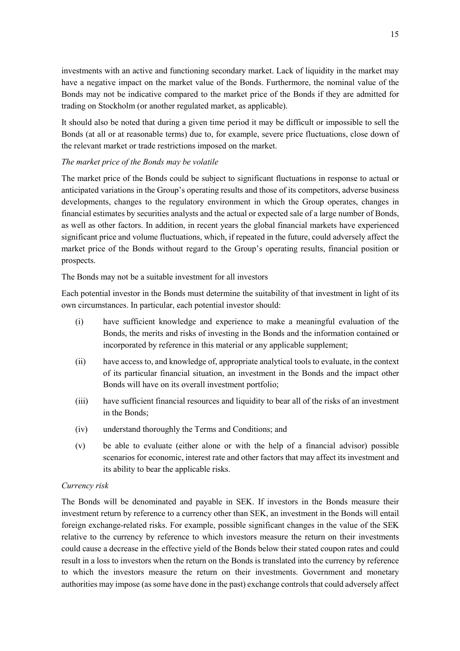investments with an active and functioning secondary market. Lack of liquidity in the market may have a negative impact on the market value of the Bonds. Furthermore, the nominal value of the Bonds may not be indicative compared to the market price of the Bonds if they are admitted for trading on Stockholm (or another regulated market, as applicable).

It should also be noted that during a given time period it may be difficult or impossible to sell the Bonds (at all or at reasonable terms) due to, for example, severe price fluctuations, close down of the relevant market or trade restrictions imposed on the market.

## *The market price of the Bonds may be volatile*

The market price of the Bonds could be subject to significant fluctuations in response to actual or anticipated variations in the Group's operating results and those of its competitors, adverse business developments, changes to the regulatory environment in which the Group operates, changes in financial estimates by securities analysts and the actual or expected sale of a large number of Bonds, as well as other factors. In addition, in recent years the global financial markets have experienced significant price and volume fluctuations, which, if repeated in the future, could adversely affect the market price of the Bonds without regard to the Group's operating results, financial position or prospects.

The Bonds may not be a suitable investment for all investors

Each potential investor in the Bonds must determine the suitability of that investment in light of its own circumstances. In particular, each potential investor should:

- (i) have sufficient knowledge and experience to make a meaningful evaluation of the Bonds, the merits and risks of investing in the Bonds and the information contained or incorporated by reference in this material or any applicable supplement;
- (ii) have access to, and knowledge of, appropriate analytical tools to evaluate, in the context of its particular financial situation, an investment in the Bonds and the impact other Bonds will have on its overall investment portfolio;
- (iii) have sufficient financial resources and liquidity to bear all of the risks of an investment in the Bonds;
- (iv) understand thoroughly the Terms and Conditions; and
- (v) be able to evaluate (either alone or with the help of a financial advisor) possible scenarios for economic, interest rate and other factors that may affect its investment and its ability to bear the applicable risks.

## *Currency risk*

The Bonds will be denominated and payable in SEK. If investors in the Bonds measure their investment return by reference to a currency other than SEK, an investment in the Bonds will entail foreign exchange-related risks. For example, possible significant changes in the value of the SEK relative to the currency by reference to which investors measure the return on their investments could cause a decrease in the effective yield of the Bonds below their stated coupon rates and could result in a loss to investors when the return on the Bonds is translated into the currency by reference to which the investors measure the return on their investments. Government and monetary authorities may impose (as some have done in the past) exchange controls that could adversely affect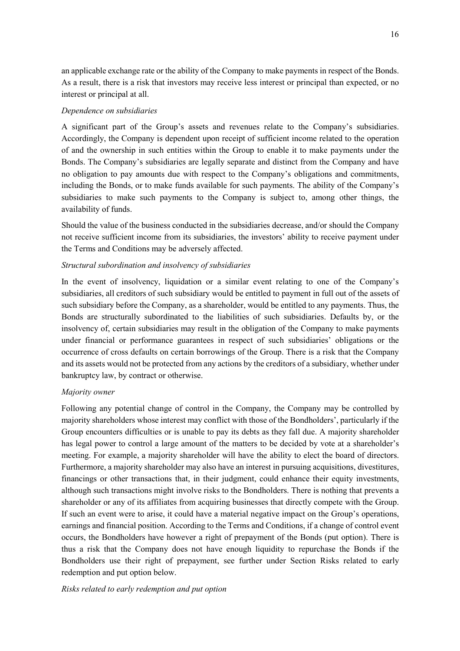an applicable exchange rate or the ability of the Company to make payments in respect of the Bonds. As a result, there is a risk that investors may receive less interest or principal than expected, or no interest or principal at all.

## *Dependence on subsidiaries*

A significant part of the Group's assets and revenues relate to the Company's subsidiaries. Accordingly, the Company is dependent upon receipt of sufficient income related to the operation of and the ownership in such entities within the Group to enable it to make payments under the Bonds. The Company's subsidiaries are legally separate and distinct from the Company and have no obligation to pay amounts due with respect to the Company's obligations and commitments, including the Bonds, or to make funds available for such payments. The ability of the Company's subsidiaries to make such payments to the Company is subject to, among other things, the availability of funds.

Should the value of the business conducted in the subsidiaries decrease, and/or should the Company not receive sufficient income from its subsidiaries, the investors' ability to receive payment under the Terms and Conditions may be adversely affected.

## *Structural subordination and insolvency of subsidiaries*

In the event of insolvency, liquidation or a similar event relating to one of the Company's subsidiaries, all creditors of such subsidiary would be entitled to payment in full out of the assets of such subsidiary before the Company, as a shareholder, would be entitled to any payments. Thus, the Bonds are structurally subordinated to the liabilities of such subsidiaries. Defaults by, or the insolvency of, certain subsidiaries may result in the obligation of the Company to make payments under financial or performance guarantees in respect of such subsidiaries' obligations or the occurrence of cross defaults on certain borrowings of the Group. There is a risk that the Company and its assets would not be protected from any actions by the creditors of a subsidiary, whether under bankruptcy law, by contract or otherwise.

## *Majority owner*

Following any potential change of control in the Company, the Company may be controlled by majority shareholders whose interest may conflict with those of the Bondholders', particularly if the Group encounters difficulties or is unable to pay its debts as they fall due. A majority shareholder has legal power to control a large amount of the matters to be decided by vote at a shareholder's meeting. For example, a majority shareholder will have the ability to elect the board of directors. Furthermore, a majority shareholder may also have an interest in pursuing acquisitions, divestitures, financings or other transactions that, in their judgment, could enhance their equity investments, although such transactions might involve risks to the Bondholders. There is nothing that prevents a shareholder or any of its affiliates from acquiring businesses that directly compete with the Group. If such an event were to arise, it could have a material negative impact on the Group's operations, earnings and financial position. According to the Terms and Conditions, if a change of control event occurs, the Bondholders have however a right of prepayment of the Bonds (put option). There is thus a risk that the Company does not have enough liquidity to repurchase the Bonds if the Bondholders use their right of prepayment, see further under Section Risks related to early redemption and put option below.

## *Risks related to early redemption and put option*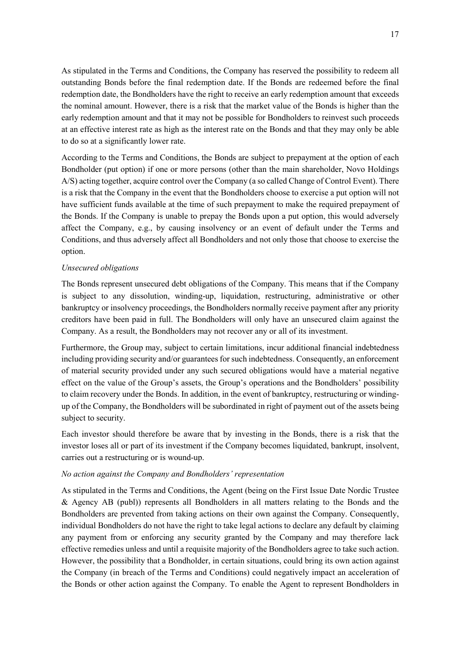As stipulated in the Terms and Conditions, the Company has reserved the possibility to redeem all outstanding Bonds before the final redemption date. If the Bonds are redeemed before the final redemption date, the Bondholders have the right to receive an early redemption amount that exceeds the nominal amount. However, there is a risk that the market value of the Bonds is higher than the early redemption amount and that it may not be possible for Bondholders to reinvest such proceeds at an effective interest rate as high as the interest rate on the Bonds and that they may only be able to do so at a significantly lower rate.

According to the Terms and Conditions, the Bonds are subject to prepayment at the option of each Bondholder (put option) if one or more persons (other than the main shareholder, Novo Holdings A/S) acting together, acquire control over the Company (a so called Change of Control Event). There is a risk that the Company in the event that the Bondholders choose to exercise a put option will not have sufficient funds available at the time of such prepayment to make the required prepayment of the Bonds. If the Company is unable to prepay the Bonds upon a put option, this would adversely affect the Company, e.g., by causing insolvency or an event of default under the Terms and Conditions, and thus adversely affect all Bondholders and not only those that choose to exercise the option.

## *Unsecured obligations*

The Bonds represent unsecured debt obligations of the Company. This means that if the Company is subject to any dissolution, winding-up, liquidation, restructuring, administrative or other bankruptcy or insolvency proceedings, the Bondholders normally receive payment after any priority creditors have been paid in full. The Bondholders will only have an unsecured claim against the Company. As a result, the Bondholders may not recover any or all of its investment.

Furthermore, the Group may, subject to certain limitations, incur additional financial indebtedness including providing security and/or guarantees for such indebtedness. Consequently, an enforcement of material security provided under any such secured obligations would have a material negative effect on the value of the Group's assets, the Group's operations and the Bondholders' possibility to claim recovery under the Bonds. In addition, in the event of bankruptcy, restructuring or windingup of the Company, the Bondholders will be subordinated in right of payment out of the assets being subject to security.

Each investor should therefore be aware that by investing in the Bonds, there is a risk that the investor loses all or part of its investment if the Company becomes liquidated, bankrupt, insolvent, carries out a restructuring or is wound-up.

## *No action against the Company and Bondholders' representation*

As stipulated in the Terms and Conditions, the Agent (being on the First Issue Date Nordic Trustee & Agency AB (publ)) represents all Bondholders in all matters relating to the Bonds and the Bondholders are prevented from taking actions on their own against the Company. Consequently, individual Bondholders do not have the right to take legal actions to declare any default by claiming any payment from or enforcing any security granted by the Company and may therefore lack effective remedies unless and until a requisite majority of the Bondholders agree to take such action. However, the possibility that a Bondholder, in certain situations, could bring its own action against the Company (in breach of the Terms and Conditions) could negatively impact an acceleration of the Bonds or other action against the Company. To enable the Agent to represent Bondholders in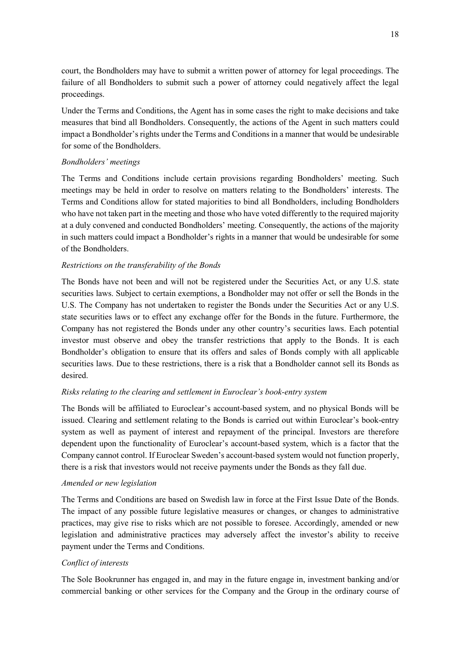court, the Bondholders may have to submit a written power of attorney for legal proceedings. The failure of all Bondholders to submit such a power of attorney could negatively affect the legal proceedings.

Under the Terms and Conditions, the Agent has in some cases the right to make decisions and take measures that bind all Bondholders. Consequently, the actions of the Agent in such matters could impact a Bondholder's rights under the Terms and Conditions in a manner that would be undesirable for some of the Bondholders.

## *Bondholders' meetings*

The Terms and Conditions include certain provisions regarding Bondholders' meeting. Such meetings may be held in order to resolve on matters relating to the Bondholders' interests. The Terms and Conditions allow for stated majorities to bind all Bondholders, including Bondholders who have not taken part in the meeting and those who have voted differently to the required majority at a duly convened and conducted Bondholders' meeting. Consequently, the actions of the majority in such matters could impact a Bondholder's rights in a manner that would be undesirable for some of the Bondholders.

## *Restrictions on the transferability of the Bonds*

The Bonds have not been and will not be registered under the Securities Act, or any U.S. state securities laws. Subject to certain exemptions, a Bondholder may not offer or sell the Bonds in the U.S. The Company has not undertaken to register the Bonds under the Securities Act or any U.S. state securities laws or to effect any exchange offer for the Bonds in the future. Furthermore, the Company has not registered the Bonds under any other country's securities laws. Each potential investor must observe and obey the transfer restrictions that apply to the Bonds. It is each Bondholder's obligation to ensure that its offers and sales of Bonds comply with all applicable securities laws. Due to these restrictions, there is a risk that a Bondholder cannot sell its Bonds as desired.

## *Risks relating to the clearing and settlement in Euroclear's book-entry system*

The Bonds will be affiliated to Euroclear's account-based system, and no physical Bonds will be issued. Clearing and settlement relating to the Bonds is carried out within Euroclear's book-entry system as well as payment of interest and repayment of the principal. Investors are therefore dependent upon the functionality of Euroclear's account-based system, which is a factor that the Company cannot control. If Euroclear Sweden's account-based system would not function properly, there is a risk that investors would not receive payments under the Bonds as they fall due.

## *Amended or new legislation*

The Terms and Conditions are based on Swedish law in force at the First Issue Date of the Bonds. The impact of any possible future legislative measures or changes, or changes to administrative practices, may give rise to risks which are not possible to foresee. Accordingly, amended or new legislation and administrative practices may adversely affect the investor's ability to receive payment under the Terms and Conditions.

## *Conflict of interests*

The Sole Bookrunner has engaged in, and may in the future engage in, investment banking and/or commercial banking or other services for the Company and the Group in the ordinary course of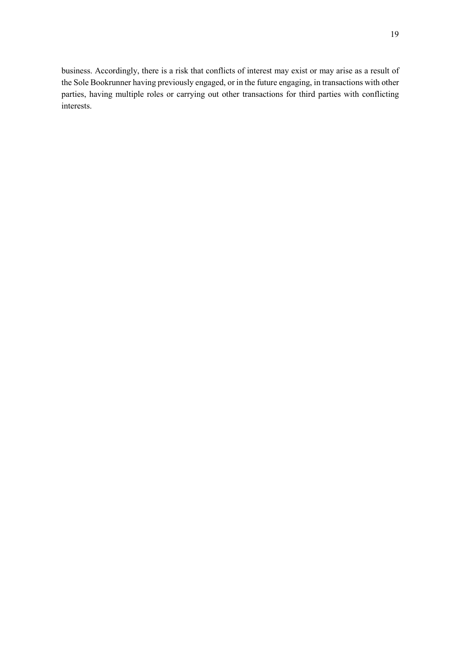business. Accordingly, there is a risk that conflicts of interest may exist or may arise as a result of the Sole Bookrunner having previously engaged, or in the future engaging, in transactions with other parties, having multiple roles or carrying out other transactions for third parties with conflicting interests.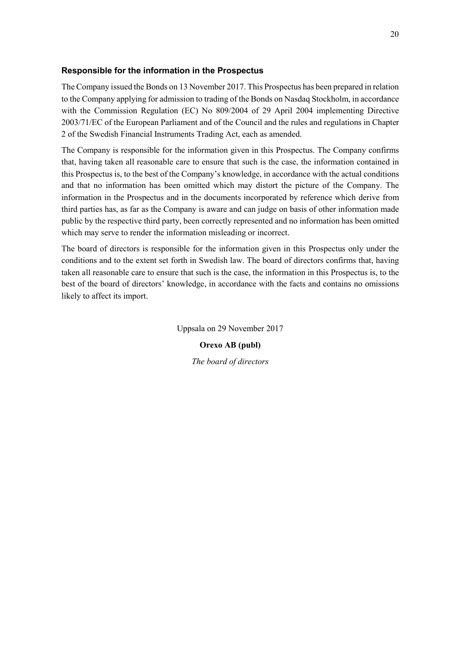## **Responsible for the information in the Prospectus**

The Company issued the Bonds on 13 November 2017. This Prospectus has been prepared in relation to the Company applying for admission to trading of the Bonds on Nasdaq Stockholm, in accordance with the Commission Regulation (EC) No 809/2004 of 29 April 2004 implementing Directive 2003/71/EC of the European Parliament and of the Council and the rules and regulations in Chapter 2 of the Swedish Financial Instruments Trading Act, each as amended.

The Company is responsible for the information given in this Prospectus. The Company confirms that, having taken all reasonable care to ensure that such is the case, the information contained in this Prospectus is, to the best of the Company's knowledge, in accordance with the actual conditions and that no information has been omitted which may distort the picture of the Company. The information in the Prospectus and in the documents incorporated by reference which derive from third parties has, as far as the Company is aware and can judge on basis of other information made public by the respective third party, been correctly represented and no information has been omitted which may serve to render the information misleading or incorrect.

The board of directors is responsible for the information given in this Prospectus only under the conditions and to the extent set forth in Swedish law. The board of directors confirms that, having taken all reasonable care to ensure that such is the case, the information in this Prospectus is, to the best of the board of directors' knowledge, in accordance with the facts and contains no omissions likely to affect its import.

Uppsala on 29 November 2017

**Orexo AB (publ)**  *The board of directors*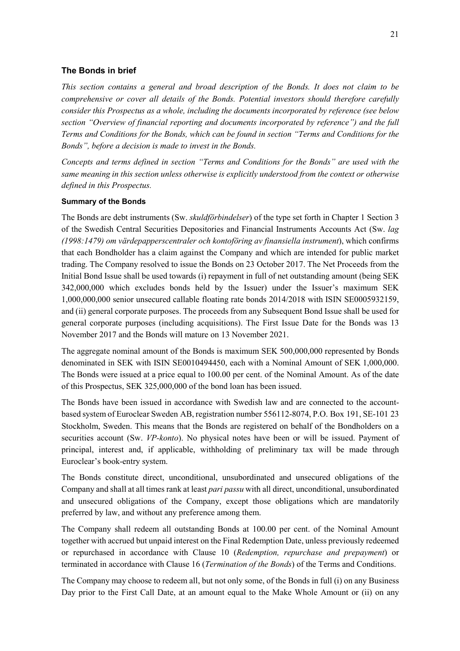## **The Bonds in brief**

*This section contains a general and broad description of the Bonds. It does not claim to be comprehensive or cover all details of the Bonds. Potential investors should therefore carefully consider this Prospectus as a whole, including the documents incorporated by reference (see below section "Overview of financial reporting and documents incorporated by reference") and the full Terms and Conditions for the Bonds, which can be found in section "Terms and Conditions for the Bonds", before a decision is made to invest in the Bonds.* 

*Concepts and terms defined in section "Terms and Conditions for the Bonds" are used with the same meaning in this section unless otherwise is explicitly understood from the context or otherwise defined in this Prospectus.* 

## **Summary of the Bonds**

The Bonds are debt instruments (Sw. *skuldförbindelser*) of the type set forth in Chapter 1 Section 3 of the Swedish Central Securities Depositories and Financial Instruments Accounts Act (Sw. *lag (1998:1479) om värdepapperscentraler och kontoföring av finansiella instrument*), which confirms that each Bondholder has a claim against the Company and which are intended for public market trading. The Company resolved to issue the Bonds on 23 October 2017. The Net Proceeds from the Initial Bond Issue shall be used towards (i) repayment in full of net outstanding amount (being SEK 342,000,000 which excludes bonds held by the Issuer) under the Issuer's maximum SEK 1,000,000,000 senior unsecured callable floating rate bonds 2014/2018 with ISIN SE0005932159, and (ii) general corporate purposes. The proceeds from any Subsequent Bond Issue shall be used for general corporate purposes (including acquisitions). The First Issue Date for the Bonds was 13 November 2017 and the Bonds will mature on 13 November 2021.

The aggregate nominal amount of the Bonds is maximum SEK 500,000,000 represented by Bonds denominated in SEK with ISIN SE0010494450, each with a Nominal Amount of SEK 1,000,000. The Bonds were issued at a price equal to 100.00 per cent. of the Nominal Amount. As of the date of this Prospectus, SEK 325,000,000 of the bond loan has been issued.

The Bonds have been issued in accordance with Swedish law and are connected to the accountbased system of Euroclear Sweden AB, registration number 556112-8074, P.O. Box 191, SE-101 23 Stockholm, Sweden. This means that the Bonds are registered on behalf of the Bondholders on a securities account (Sw. *VP-konto*). No physical notes have been or will be issued. Payment of principal, interest and, if applicable, withholding of preliminary tax will be made through Euroclear's book-entry system.

The Bonds constitute direct, unconditional, unsubordinated and unsecured obligations of the Company and shall at all times rank at least *pari passu* with all direct, unconditional, unsubordinated and unsecured obligations of the Company, except those obligations which are mandatorily preferred by law, and without any preference among them.

The Company shall redeem all outstanding Bonds at 100.00 per cent. of the Nominal Amount together with accrued but unpaid interest on the Final Redemption Date, unless previously redeemed or repurchased in accordance with Clause 10 (*Redemption, repurchase and prepayment*) or terminated in accordance with Clause 16 (*Termination of the Bonds*) of the Terms and Conditions.

The Company may choose to redeem all, but not only some, of the Bonds in full (i) on any Business Day prior to the First Call Date, at an amount equal to the Make Whole Amount or (ii) on any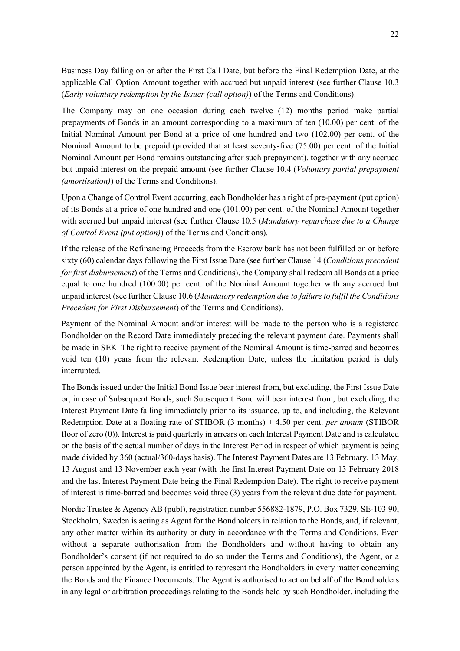Business Day falling on or after the First Call Date, but before the Final Redemption Date, at the applicable Call Option Amount together with accrued but unpaid interest (see further Clause 10.3

The Company may on one occasion during each twelve (12) months period make partial prepayments of Bonds in an amount corresponding to a maximum of ten (10.00) per cent. of the Initial Nominal Amount per Bond at a price of one hundred and two (102.00) per cent. of the Nominal Amount to be prepaid (provided that at least seventy-five (75.00) per cent. of the Initial Nominal Amount per Bond remains outstanding after such prepayment), together with any accrued but unpaid interest on the prepaid amount (see further Clause 10.4 (*Voluntary partial prepayment (amortisation)*) of the Terms and Conditions).

(*Early voluntary redemption by the Issuer (call option)*) of the Terms and Conditions).

Upon a Change of Control Event occurring, each Bondholder has a right of pre-payment (put option) of its Bonds at a price of one hundred and one (101.00) per cent. of the Nominal Amount together with accrued but unpaid interest (see further Clause 10.5 (*Mandatory repurchase due to a Change of Control Event (put option)*) of the Terms and Conditions).

If the release of the Refinancing Proceeds from the Escrow bank has not been fulfilled on or before sixty (60) calendar days following the First Issue Date (see further Clause 14 (*Conditions precedent for first disbursement*) of the Terms and Conditions), the Company shall redeem all Bonds at a price equal to one hundred (100.00) per cent. of the Nominal Amount together with any accrued but unpaid interest (see further Clause 10.6 (*Mandatory redemption due to failure to fulfil the Conditions Precedent for First Disbursement*) of the Terms and Conditions).

Payment of the Nominal Amount and/or interest will be made to the person who is a registered Bondholder on the Record Date immediately preceding the relevant payment date. Payments shall be made in SEK. The right to receive payment of the Nominal Amount is time-barred and becomes void ten (10) years from the relevant Redemption Date, unless the limitation period is duly interrupted.

The Bonds issued under the Initial Bond Issue bear interest from, but excluding, the First Issue Date or, in case of Subsequent Bonds, such Subsequent Bond will bear interest from, but excluding, the Interest Payment Date falling immediately prior to its issuance, up to, and including, the Relevant Redemption Date at a floating rate of STIBOR (3 months) + 4.50 per cent. *per annum* (STIBOR floor of zero (0)). Interest is paid quarterly in arrears on each Interest Payment Date and is calculated on the basis of the actual number of days in the Interest Period in respect of which payment is being made divided by 360 (actual/360-days basis). The Interest Payment Dates are 13 February, 13 May, 13 August and 13 November each year (with the first Interest Payment Date on 13 February 2018 and the last Interest Payment Date being the Final Redemption Date). The right to receive payment of interest is time-barred and becomes void three (3) years from the relevant due date for payment.

Nordic Trustee & Agency AB (publ), registration number 556882-1879, P.O. Box 7329, SE-103 90, Stockholm, Sweden is acting as Agent for the Bondholders in relation to the Bonds, and, if relevant, any other matter within its authority or duty in accordance with the Terms and Conditions. Even without a separate authorisation from the Bondholders and without having to obtain any Bondholder's consent (if not required to do so under the Terms and Conditions), the Agent, or a person appointed by the Agent, is entitled to represent the Bondholders in every matter concerning the Bonds and the Finance Documents. The Agent is authorised to act on behalf of the Bondholders in any legal or arbitration proceedings relating to the Bonds held by such Bondholder, including the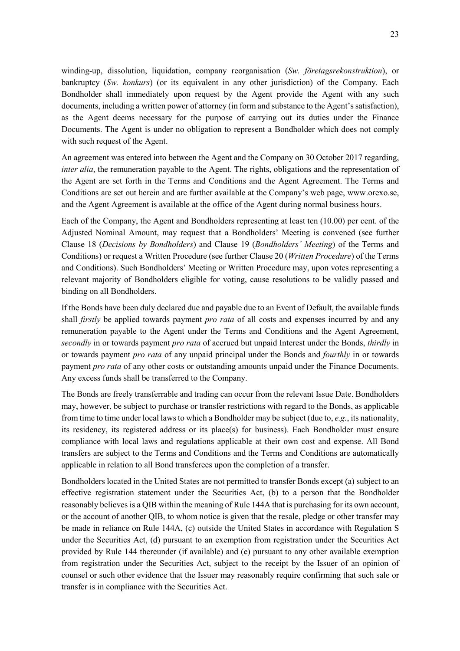winding-up, dissolution, liquidation, company reorganisation (*Sw. företagsrekonstruktion*), or bankruptcy (*Sw. konkurs*) (or its equivalent in any other jurisdiction) of the Company. Each Bondholder shall immediately upon request by the Agent provide the Agent with any such documents, including a written power of attorney (in form and substance to the Agent's satisfaction), as the Agent deems necessary for the purpose of carrying out its duties under the Finance Documents. The Agent is under no obligation to represent a Bondholder which does not comply with such request of the Agent.

An agreement was entered into between the Agent and the Company on 30 October 2017 regarding, *inter alia*, the remuneration payable to the Agent. The rights, obligations and the representation of the Agent are set forth in the Terms and Conditions and the Agent Agreement. The Terms and Conditions are set out herein and are further available at the Company's web page, www .orexo.se, and the Agent Agreement is available at the office of the Agent during normal business hours.

Each of the Company, the Agent and Bondholders representing at least ten (10.00) per cent. of the Adjusted Nominal Amount, may request that a Bondholders' Meeting is convened (see further Clause 18 (*Decisions by Bondholders*) and Clause 19 (*Bondholders' Meeting*) of the Terms and Conditions) or request a Written Procedure (see further Clause 20 (*Written Procedure*) of the Terms and Conditions). Such Bondholders' Meeting or Written Procedure may, upon votes representing a relevant majority of Bondholders eligible for voting, cause resolutions to be validly passed and binding on all Bondholders.

If the Bonds have been duly declared due and payable due to an Event of Default, the available funds shall *firstly* be applied towards payment *pro rata* of all costs and expenses incurred by and any remuneration payable to the Agent under the Terms and Conditions and the Agent Agreement, *secondly* in or towards payment *pro rata* of accrued but unpaid Interest under the Bonds, *thirdly* in or towards payment *pro rata* of any unpaid principal under the Bonds and *fourthly* in or towards payment *pro rata* of any other costs or outstanding amounts unpaid under the Finance Documents. Any excess funds shall be transferred to the Company.

The Bonds are freely transferrable and trading can occur from the relevant Issue Date. Bondholders may, however, be subject to purchase or transfer restrictions with regard to the Bonds, as applicable from time to time under local laws to which a Bondholder may be subject (due to, *e.g.*, its nationality, its residency, its registered address or its place(s) for business). Each Bondholder must ensure compliance with local laws and regulations applicable at their own cost and expense. All Bond transfers are subject to the Terms and Conditions and the Terms and Conditions are automatically applicable in relation to all Bond transferees upon the completion of a transfer.

Bondholders located in the United States are not permitted to transfer Bonds except (a) subject to an effective registration statement under the Securities Act, (b) to a person that the Bondholder reasonably believes is a QIB within the meaning of Rule 144A that is purchasing for its own account, or the account of another QIB, to whom notice is given that the resale, pledge or other transfer may be made in reliance on Rule 144A, (c) outside the United States in accordance with Regulation S under the Securities Act, (d) pursuant to an exemption from registration under the Securities Act provided by Rule 144 thereunder (if available) and (e) pursuant to any other available exemption from registration under the Securities Act, subject to the receipt by the Issuer of an opinion of counsel or such other evidence that the Issuer may reasonably require confirming that such sale or transfer is in compliance with the Securities Act.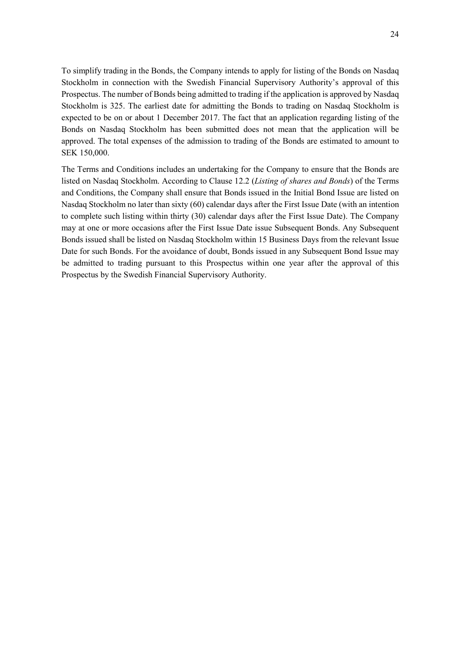To simplify trading in the Bonds, the Company intends to apply for listing of the Bonds on Nasdaq Stockholm in connection with the Swedish Financial Supervisory Authority's approval of this Prospectus. The number of Bonds being admitted to trading if the application is approved by Nasdaq Stockholm is 325. The earliest date for admitting the Bonds to trading on Nasdaq Stockholm is expected to be on or about 1 December 2017. The fact that an application regarding listing of the Bonds on Nasdaq Stockholm has been submitted does not mean that the application will be approved. The total expenses of the admission to trading of the Bonds are estimated to amount to SEK 150,000.

The Terms and Conditions includes an undertaking for the Company to ensure that the Bonds are listed on Nasdaq Stockholm. According to Clause 12.2 (*Listing of shares and Bonds*) of the Terms and Conditions, the Company shall ensure that Bonds issued in the Initial Bond Issue are listed on Nasdaq Stockholm no later than sixty (60) calendar days after the First Issue Date (with an intention to complete such listing within thirty (30) calendar days after the First Issue Date). The Company may at one or more occasions after the First Issue Date issue Subsequent Bonds. Any Subsequent Bonds issued shall be listed on Nasdaq Stockholm within 15 Business Days from the relevant Issue Date for such Bonds. For the avoidance of doubt, Bonds issued in any Subsequent Bond Issue may be admitted to trading pursuant to this Prospectus within one year after the approval of this Prospectus by the Swedish Financial Supervisory Authority.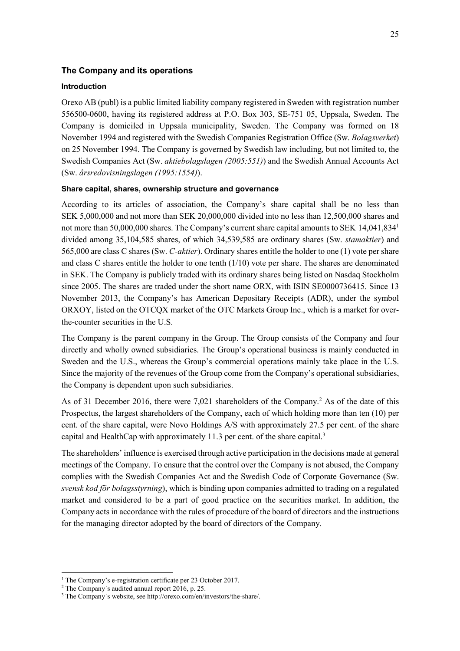## **The Company and its operations**

#### **Introduction**

Orexo AB (publ) is a public limited liability company registered in Sweden with registration number 556500-0600, having its registered address at P.O. Box 303, SE-751 05, Uppsala, Sweden. The Company is domiciled in Uppsala municipality, Sweden. The Company was formed on 18 November 1994 and registered with the Swedish Companies Registration Office (Sw. *Bolagsverket*) on 25 November 1994. The Company is governed by Swedish law including, but not limited to, the Swedish Companies Act (Sw. *aktiebolagslagen (2005:551)*) and the Swedish Annual Accounts Act (Sw. *årsredovisningslagen (1995:1554)*).

## **Share capital, shares, ownership structure and governance**

According to its articles of association, the Company's share capital shall be no less than SEK 5,000,000 and not more than SEK 20,000,000 divided into no less than 12,500,000 shares and not more than 50,000,000 shares. The Company's current share capital amounts to SEK 14,041,834<sup>1</sup> divided among 35,104,585 shares, of which 34,539,585 are ordinary shares (Sw. *stamaktier*) and 565,000 are class C shares (Sw. *C-aktier*). Ordinary shares entitle the holder to one (1) vote per share and class C shares entitle the holder to one tenth (1/10) vote per share. The shares are denominated in SEK. The Company is publicly traded with its ordinary shares being listed on Nasdaq Stockholm since 2005. The shares are traded under the short name ORX, with ISIN SE0000736415. Since 13 November 2013, the Company's has American Depositary Receipts (ADR), under the symbol ORXOY, listed on the OTCQX market of the OTC Markets Group Inc., which is a market for overthe-counter securities in the U.S.

The Company is the parent company in the Group. The Group consists of the Company and four directly and wholly owned subsidiaries. The Group's operational business is mainly conducted in Sweden and the U.S., whereas the Group's commercial operations mainly take place in the U.S. Since the majority of the revenues of the Group come from the Company's operational subsidiaries, the Company is dependent upon such subsidiaries.

As of 31 December 2016, there were 7,021 shareholders of the Company.<sup>2</sup> As of the date of this Prospectus, the largest shareholders of the Company, each of which holding more than ten (10) per cent. of the share capital, were Novo Holdings A/S with approximately 27.5 per cent. of the share capital and HealthCap with approximately 11.3 per cent. of the share capital.<sup>3</sup>

The shareholders' influence is exercised through active participation in the decisions made at general meetings of the Company. To ensure that the control over the Company is not abused, the Company complies with the Swedish Companies Act and the Swedish Code of Corporate Governance (Sw. *svensk kod för bolagsstyrning*), which is binding upon companies admitted to trading on a regulated market and considered to be a part of good practice on the securities market. In addition, the Company acts in accordance with the rules of procedure of the board of directors and the instructions for the managing director adopted by the board of directors of the Company.

 <sup>1</sup> The Company's e-registration certificate per 23 October 2017.

<sup>2</sup> The Company´s audited annual report 2016, p. 25.

<sup>3</sup> The Company´s website, see http://orexo.com/en/investors/the-share/.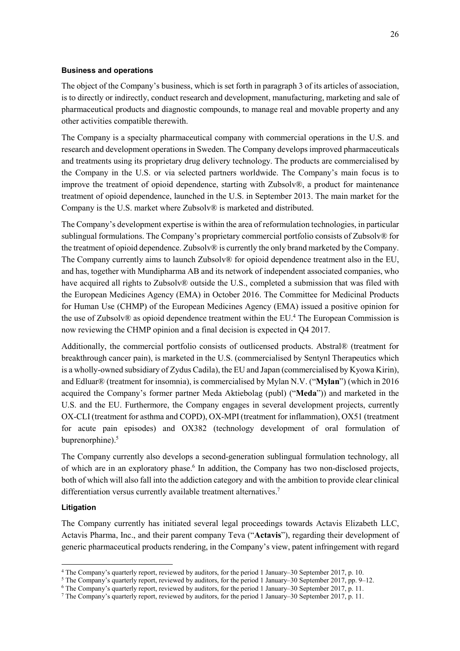## **Business and operations**

The object of the Company's business, which is set forth in paragraph 3 of its articles of association, is to directly or indirectly, conduct research and development, manufacturing, marketing and sale of pharmaceutical products and diagnostic compounds, to manage real and movable property and any other activities compatible therewith.

The Company is a specialty pharmaceutical company with commercial operations in the U.S. and research and development operations in Sweden. The Company develops improved pharmaceuticals and treatments using its proprietary drug delivery technology. The products are commercialised by the Company in the U.S. or via selected partners worldwide. The Company's main focus is to improve the treatment of opioid dependence, starting with Zubsolv®, a product for maintenance treatment of opioid dependence, launched in the U.S. in September 2013. The main market for the Company is the U.S. market where Zubsolv® is marketed and distributed.

The Company's development expertise is within the area of reformulation technologies, in particular sublingual formulations. The Company's proprietary commercial portfolio consists of Zubsolv® for the treatment of opioid dependence. Zubsolv® is currently the only brand marketed by the Company. The Company currently aims to launch Zubsolv® for opioid dependence treatment also in the EU, and has, together with Mundipharma AB and its network of independent associated companies, who have acquired all rights to Zubsolv® outside the U.S., completed a submission that was filed with the European Medicines Agency (EMA) in October 2016. The Committee for Medicinal Products for Human Use (CHMP) of the European Medicines Agency (EMA) issued a positive opinion for the use of Zubsolv® as opioid dependence treatment within the EU.<sup>4</sup> The European Commission is now reviewing the CHMP opinion and a final decision is expected in Q4 2017.

Additionally, the commercial portfolio consists of outlicensed products. Abstral® (treatment for breakthrough cancer pain), is marketed in the U.S. (commercialised by Sentynl Therapeutics which is a wholly-owned subsidiary of Zydus Cadila), the EU and Japan (commercialised by Kyowa Kirin), and Edluar® (treatment for insomnia), is commercialised by Mylan N.V. ("**Mylan**") (which in 2016 acquired the Company's former partner Meda Aktiebolag (publ) ("**Meda**")) and marketed in the U.S. and the EU. Furthermore, the Company engages in several development projects, currently OX-CLI (treatment for asthma and COPD), OX-MPI (treatment for inflammation), OX51 (treatment for acute pain episodes) and OX382 (technology development of oral formulation of buprenorphine).<sup>5</sup>

The Company currently also develops a second-generation sublingual formulation technology, all of which are in an exploratory phase.<sup>6</sup> In addition, the Company has two non-disclosed projects, both of which will also fall into the addiction category and with the ambition to provide clear clinical differentiation versus currently available treatment alternatives.<sup>7</sup>

## **Litigation**

 $\overline{a}$ 

The Company currently has initiated several legal proceedings towards Actavis Elizabeth LLC, Actavis Pharma, Inc., and their parent company Teva ("**Actavis**"), regarding their development of generic pharmaceutical products rendering, in the Company's view, patent infringement with regard

<sup>&</sup>lt;sup>4</sup> The Company's quarterly report, reviewed by auditors, for the period 1 January–30 September 2017, p. 10.<br><sup>5</sup> The Company's quarterly report, reviewed by auditors, for the period 1 January–30 September 2017, pp. 9–12.<br>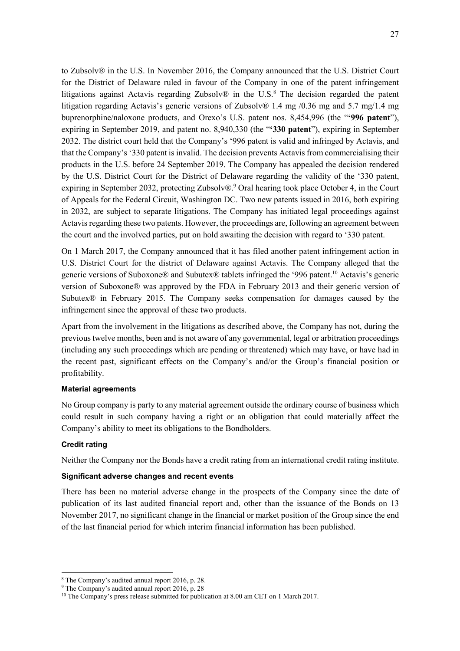to Zubsolv® in the U.S. In November 2016, the Company announced that the U.S. District Court for the District of Delaware ruled in favour of the Company in one of the patent infringement litigations against Actavis regarding Zubsolv® in the U.S.<sup>8</sup> The decision regarded the patent litigation regarding Actavis's generic versions of Zubsolv® 1.4 mg /0.36 mg and 5.7 mg/1.4 mg buprenorphine/naloxone products, and Orexo's U.S. patent nos. 8,454,996 (the "**'996 patent**"), expiring in September 2019, and patent no. 8,940,330 (the "**'330 patent**"), expiring in September 2032. The district court held that the Company's '996 patent is valid and infringed by Actavis, and that the Company's '330 patent is invalid. The decision prevents Actavis from commercialising their products in the U.S. before 24 September 2019. The Company has appealed the decision rendered by the U.S. District Court for the District of Delaware regarding the validity of the '330 patent, expiring in September 2032, protecting Zubsolv®.<sup>9</sup> Oral hearing took place October 4, in the Court of Appeals for the Federal Circuit, Washington DC. Two new patents issued in 2016, both expiring in 2032, are subject to separate litigations. The Company has initiated legal proceedings against Actavis regarding these two patents. However, the proceedings are, following an agreement between the court and the involved parties, put on hold awaiting the decision with regard to '330 patent.

On 1 March 2017, the Company announced that it has filed another patent infringement action in U.S. District Court for the district of Delaware against Actavis. The Company alleged that the generic versions of Suboxone® and Subutex® tablets infringed the '996 patent.10 Actavis's generic version of Suboxone® was approved by the FDA in February 2013 and their generic version of Subutex $\odot$  in February 2015. The Company seeks compensation for damages caused by the infringement since the approval of these two products.

Apart from the involvement in the litigations as described above, the Company has not, during the previous twelve months, been and is not aware of any governmental, legal or arbitration proceedings (including any such proceedings which are pending or threatened) which may have, or have had in the recent past, significant effects on the Company's and/or the Group's financial position or profitability.

## **Material agreements**

No Group company is party to any material agreement outside the ordinary course of business which could result in such company having a right or an obligation that could materially affect the Company's ability to meet its obligations to the Bondholders.

## **Credit rating**

Neither the Company nor the Bonds have a credit rating from an international credit rating institute.

## **Significant adverse changes and recent events**

There has been no material adverse change in the prospects of the Company since the date of publication of its last audited financial report and, other than the issuance of the Bonds on 13 November 2017, no significant change in the financial or market position of the Group since the end of the last financial period for which interim financial information has been published.

<sup>8</sup> The Company's audited annual report 2016, p. 28.

<sup>9</sup> The Company's audited annual report 2016, p. 28

<sup>&</sup>lt;sup>10</sup> The Company's press release submitted for publication at 8.00 am CET on 1 March 2017.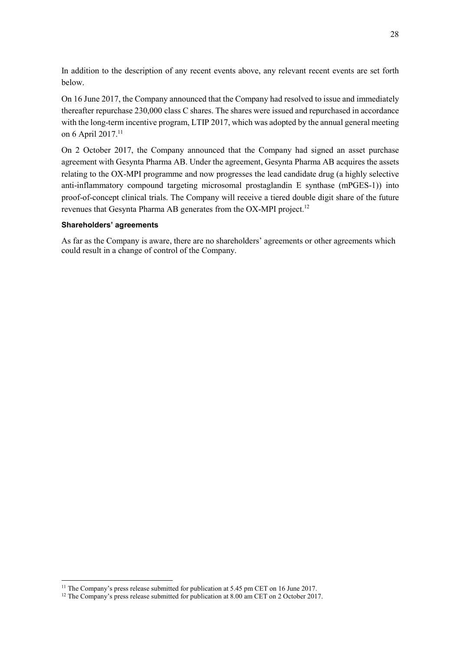In addition to the description of any recent events above, any relevant recent events are set forth below.

On 16 June 2017, the Company announced that the Company had resolved to issue and immediately thereafter repurchase 230,000 class C shares. The shares were issued and repurchased in accordance with the long-term incentive program, LTIP 2017, which was adopted by the annual general meeting on 6 April 2017.<sup>11</sup>

On 2 October 2017, the Company announced that the Company had signed an asset purchase agreement with Gesynta Pharma AB. Under the agreement, Gesynta Pharma AB acquires the assets relating to the OX-MPI programme and now progresses the lead candidate drug (a highly selective anti-inflammatory compound targeting microsomal prostaglandin E synthase (mPGES-1)) into proof-of-concept clinical trials. The Company will receive a tiered double digit share of the future revenues that Gesynta Pharma AB generates from the OX-MPI project.<sup>12</sup>

## **Shareholders' agreements**

As far as the Company is aware, there are no shareholders' agreements or other agreements which could result in a change of control of the Company.

 $11$  The Company's press release submitted for publication at 5.45 pm CET on 16 June 2017.

<sup>&</sup>lt;sup>12</sup> The Company's press release submitted for publication at 8.00 am CET on 2 October 2017.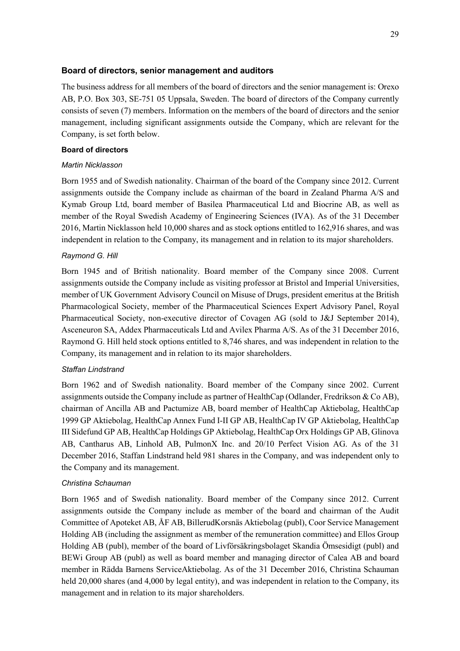## **Board of directors, senior management and auditors**

The business address for all members of the board of directors and the senior management is: Orexo AB, P.O. Box 303, SE-751 05 Uppsala, Sweden. The board of directors of the Company currently consists of seven (7) members. Information on the members of the board of directors and the senior management, including significant assignments outside the Company, which are relevant for the Company, is set forth below.

## **Board of directors**

## *Martin Nicklasson*

Born 1955 and of Swedish nationality. Chairman of the board of the Company since 2012. Current assignments outside the Company include as chairman of the board in Zealand Pharma A/S and Kymab Group Ltd, board member of Basilea Pharmaceutical Ltd and Biocrine AB, as well as member of the Royal Swedish Academy of Engineering Sciences (IVA). As of the 31 December 2016, Martin Nicklasson held 10,000 shares and as stock options entitled to 162,916 shares, and was independent in relation to the Company, its management and in relation to its major shareholders.

## *Raymond G. Hill*

Born 1945 and of British nationality. Board member of the Company since 2008. Current assignments outside the Company include as visiting professor at Bristol and Imperial Universities, member of UK Government Advisory Council on Misuse of Drugs, president emeritus at the British Pharmacological Society, member of the Pharmaceutical Sciences Expert Advisory Panel, Royal Pharmaceutical Society, non-executive director of Covagen AG (sold to J&J September 2014), Asceneuron SA, Addex Pharmaceuticals Ltd and Avilex Pharma A/S. As of the 31 December 2016, Raymond G. Hill held stock options entitled to 8,746 shares, and was independent in relation to the Company, its management and in relation to its major shareholders.

## *Staffan Lindstrand*

Born 1962 and of Swedish nationality. Board member of the Company since 2002. Current assignments outside the Company include as partner of HealthCap (Odlander, Fredrikson & Co AB), chairman of Ancilla AB and Pactumize AB, board member of HealthCap Aktiebolag, HealthCap 1999 GP Aktiebolag, HealthCap Annex Fund I-II GP AB, HealthCap IV GP Aktiebolag, HealthCap III Sidefund GP AB, HealthCap Holdings GP Aktiebolag, HealthCap Orx Holdings GP AB, Glinova AB, Cantharus AB, Linhold AB, PulmonX Inc. and 20/10 Perfect Vision AG. As of the 31 December 2016, Staffan Lindstrand held 981 shares in the Company, and was independent only to the Company and its management.

## *Christina Schauman*

Born 1965 and of Swedish nationality. Board member of the Company since 2012. Current assignments outside the Company include as member of the board and chairman of the Audit Committee of Apoteket AB, ÅF AB, BillerudKorsnäs Aktiebolag (publ), Coor Service Management Holding AB (including the assignment as member of the remuneration committee) and Ellos Group Holding AB (publ), member of the board of Livförsäkringsbolaget Skandia Ömsesidigt (publ) and BEWi Group AB (publ) as well as board member and managing director of Calea AB and board member in Rädda Barnens ServiceAktiebolag. As of the 31 December 2016, Christina Schauman held 20,000 shares (and 4,000 by legal entity), and was independent in relation to the Company, its management and in relation to its major shareholders.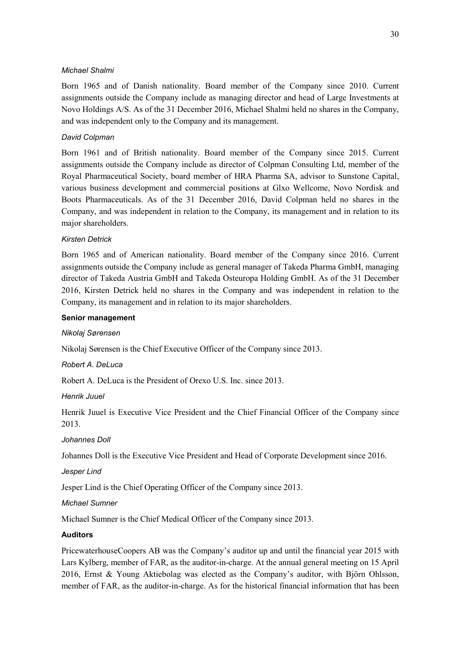## *Michael Shalmi*

Born 1965 and of Danish nationality. Board member of the Company since 2010. Current assignments outside the Company include as managing director and head of Large Investments at Novo Holdings A/S. As of the 31 December 2016, Michael Shalmi held no shares in the Company, and was independent only to the Company and its management.

## *David Colpman*

Born 1961 and of British nationality. Board member of the Company since 2015. Current assignments outside the Company include as director of Colpman Consulting Ltd, member of the Royal Pharmaceutical Society, board member of HRA Pharma SA, advisor to Sunstone Capital, various business development and commercial positions at Glxo Wellcome, Novo Nordisk and Boots Pharmaceuticals. As of the 31 December 2016, David Colpman held no shares in the Company, and was independent in relation to the Company, its management and in relation to its major shareholders.

## *Kirsten Detrick*

Born 1965 and of American nationality. Board member of the Company since 2016. Current assignments outside the Company include as general manager of Takeda Pharma GmbH, managing director of Takeda Austria GmbH and Takeda Osteuropa Holding GmbH. As of the 31 December 2016, Kirsten Detrick held no shares in the Company and was independent in relation to the Company, its management and in relation to its major shareholders.

## **Senior management**

## *Nikolaj Sørensen*

Nikolaj Sørensen is the Chief Executive Officer of the Company since 2013.

*Robert A. DeLuca* 

Robert A. DeLuca is the President of Orexo U.S. Inc. since 2013.

*Henrik Juuel* 

Henrik Juuel is Executive Vice President and the Chief Financial Officer of the Company since 2013.

## *Johannes Doll*

Johannes Doll is the Executive Vice President and Head of Corporate Development since 2016.

*Jesper Lind* 

Jesper Lind is the Chief Operating Officer of the Company since 2013.

## *Michael Sumner*

Michael Sumner is the Chief Medical Officer of the Company since 2013.

## **Auditors**

PricewaterhouseCoopers AB was the Company's auditor up and until the financial year 2015 with Lars Kylberg, member of FAR, as the auditor-in-charge. At the annual general meeting on 15 April 2016, Ernst & Young Aktiebolag was elected as the Company's auditor, with Björn Ohlsson, member of FAR, as the auditor-in-charge. As for the historical financial information that has been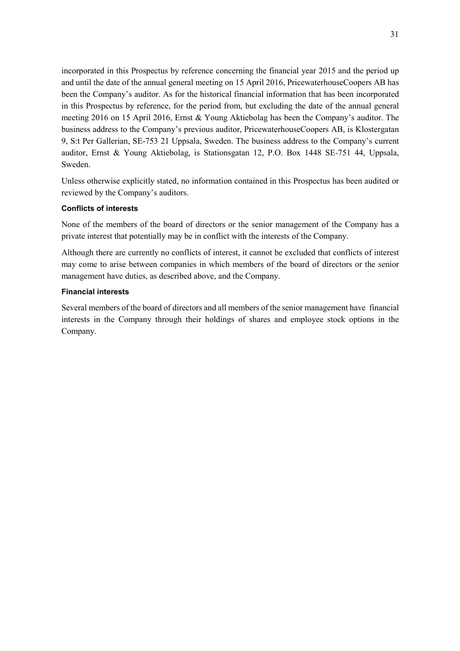incorporated in this Prospectus by reference concerning the financial year 2015 and the period up and until the date of the annual general meeting on 15 April 2016, PricewaterhouseCoopers AB has been the Company's auditor. As for the historical financial information that has been incorporated in this Prospectus by reference, for the period from, but excluding the date of the annual general meeting 2016 on 15 April 2016, Ernst & Young Aktiebolag has been the Company's auditor. The business address to the Company's previous auditor, PricewaterhouseCoopers AB, is Klostergatan 9, S:t Per Gallerian, SE-753 21 Uppsala, Sweden. The business address to the Company's current auditor, Ernst & Young Aktiebolag, is Stationsgatan 12, P.O. Box 1448 SE-751 44, Uppsala, Sweden.

Unless otherwise explicitly stated, no information contained in this Prospectus has been audited or reviewed by the Company's auditors.

## **Conflicts of interests**

None of the members of the board of directors or the senior management of the Company has a private interest that potentially may be in conflict with the interests of the Company.

Although there are currently no conflicts of interest, it cannot be excluded that conflicts of interest may come to arise between companies in which members of the board of directors or the senior management have duties, as described above, and the Company.

## **Financial interests**

Several members of the board of directors and all members of the senior management have financial interests in the Company through their holdings of shares and employee stock options in the Company.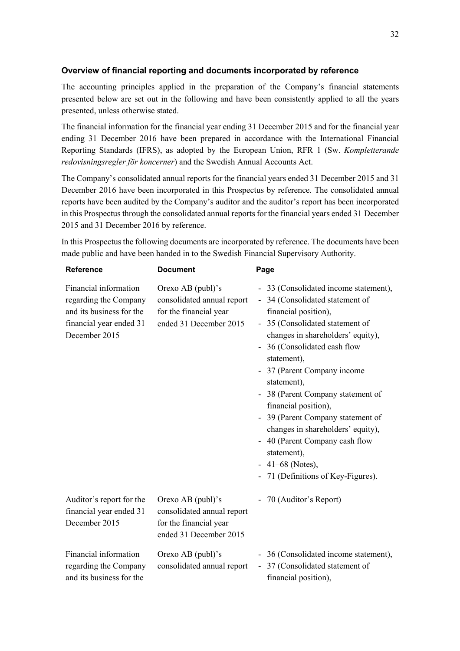## **Overview of financial reporting and documents incorporated by reference**

The accounting principles applied in the preparation of the Company's financial statements presented below are set out in the following and have been consistently applied to all the years presented, unless otherwise stated.

The financial information for the financial year ending 31 December 2015 and for the financial year ending 31 December 2016 have been prepared in accordance with the International Financial Reporting Standards (IFRS), as adopted by the European Union, RFR 1 (Sw. *Kompletterande redovisningsregler för koncerner*) and the Swedish Annual Accounts Act.

The Company's consolidated annual reports for the financial years ended 31 December 2015 and 31 December 2016 have been incorporated in this Prospectus by reference. The consolidated annual reports have been audited by the Company's auditor and the auditor's report has been incorporated in this Prospectus through the consolidated annual reports for the financial years ended 31 December 2015 and 31 December 2016 by reference.

In this Prospectus the following documents are incorporated by reference. The documents have been made public and have been handed in to the Swedish Financial Supervisory Authority.

| <b>Reference</b>                                                                                                       | <b>Document</b>                                                                                         | Page                                                                                                                                                                                                                                                                                                                                                                                                                                                                                                                 |
|------------------------------------------------------------------------------------------------------------------------|---------------------------------------------------------------------------------------------------------|----------------------------------------------------------------------------------------------------------------------------------------------------------------------------------------------------------------------------------------------------------------------------------------------------------------------------------------------------------------------------------------------------------------------------------------------------------------------------------------------------------------------|
| Financial information<br>regarding the Company<br>and its business for the<br>financial year ended 31<br>December 2015 | Orexo AB ( $publ$ )'s<br>consolidated annual report<br>for the financial year<br>ended 31 December 2015 | - 33 (Consolidated income statement),<br>- 34 (Consolidated statement of<br>financial position),<br>- 35 (Consolidated statement of<br>changes in shareholders' equity),<br>36 (Consolidated cash flow<br>statement),<br>- 37 (Parent Company income<br>statement),<br>- 38 (Parent Company statement of<br>financial position),<br>- 39 (Parent Company statement of<br>changes in shareholders' equity),<br>- 40 (Parent Company cash flow<br>statement),<br>$-41-68$ (Notes),<br>71 (Definitions of Key-Figures). |
| Auditor's report for the<br>financial year ended 31<br>December 2015                                                   | Orexo AB (publ)'s<br>consolidated annual report<br>for the financial year<br>ended 31 December 2015     | - 70 (Auditor's Report)                                                                                                                                                                                                                                                                                                                                                                                                                                                                                              |
| Financial information<br>regarding the Company<br>and its business for the                                             | Orexo AB (publ)'s<br>consolidated annual report                                                         | - 36 (Consolidated income statement),<br>- 37 (Consolidated statement of<br>financial position),                                                                                                                                                                                                                                                                                                                                                                                                                     |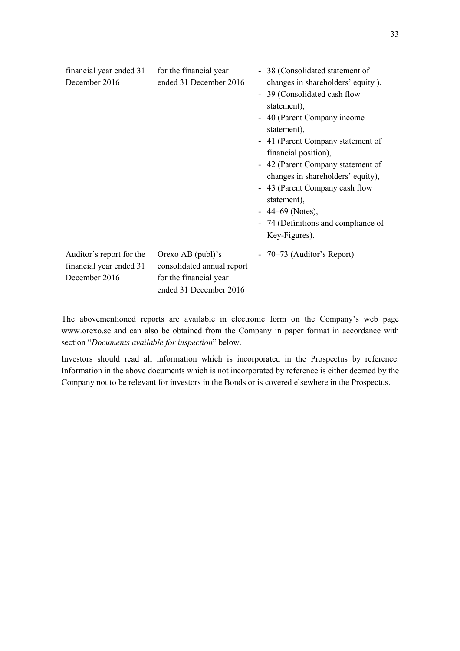| financial year ended 31<br>December 2016                             | for the financial year<br>ended 31 December 2016                                                    | - 38 (Consolidated statement of<br>changes in shareholders' equity),<br>- 39 (Consolidated cash flow<br>statement),<br>- 40 (Parent Company income<br>statement),<br>- 41 (Parent Company statement of<br>financial position),<br>- 42 (Parent Company statement of<br>changes in shareholders' equity),<br>- 43 (Parent Company cash flow<br>statement),<br>$-44-69$ (Notes),<br>- 74 (Definitions and compliance of<br>Key-Figures). |
|----------------------------------------------------------------------|-----------------------------------------------------------------------------------------------------|----------------------------------------------------------------------------------------------------------------------------------------------------------------------------------------------------------------------------------------------------------------------------------------------------------------------------------------------------------------------------------------------------------------------------------------|
| Auditor's report for the<br>financial year ended 31<br>December 2016 | Orexo AB (publ)'s<br>consolidated annual report<br>for the financial year<br>ended 31 December 2016 | - 70–73 (Auditor's Report)                                                                                                                                                                                                                                                                                                                                                                                                             |

The abovementioned reports are available in electronic form on the Company's web page www.orexo.se and can also be obtained from the Company in paper format in accordance with section "*Documents available for inspection*" below.

Investors should read all information which is incorporated in the Prospectus by reference. Information in the above documents which is not incorporated by reference is either deemed by the Company not to be relevant for investors in the Bonds or is covered elsewhere in the Prospectus.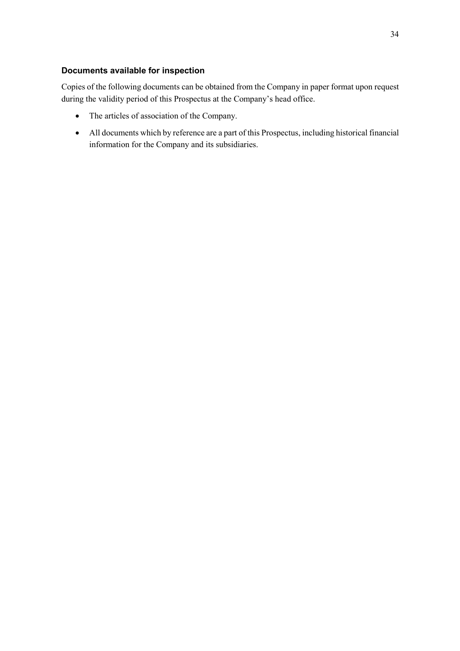## **Documents available for inspection**

Copies of the following documents can be obtained from the Company in paper format upon request during the validity period of this Prospectus at the Company's head office.

- The articles of association of the Company.
- All documents which by reference are a part of this Prospectus, including historical financial information for the Company and its subsidiaries.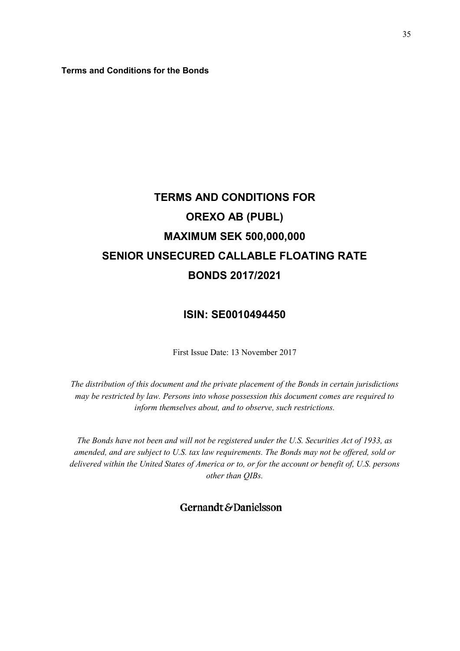**Terms and Conditions for the Bonds** 

# **TERMS AND CONDITIONS FOR OREXO AB (PUBL) MAXIMUM SEK 500,000,000 SENIOR UNSECURED CALLABLE FLOATING RATE BONDS 2017/2021**

## **ISIN: SE0010494450**

First Issue Date: 13 November 2017

*The distribution of this document and the private placement of the Bonds in certain jurisdictions may be restricted by law. Persons into whose possession this document comes are required to inform themselves about, and to observe, such restrictions.* 

*The Bonds have not been and will not be registered under the U.S. Securities Act of 1933, as amended, and are subject to U.S. tax law requirements. The Bonds may not be offered, sold or delivered within the United States of America or to, or for the account or benefit of, U.S. persons other than QIBs.* 

Gernandt&Danielsson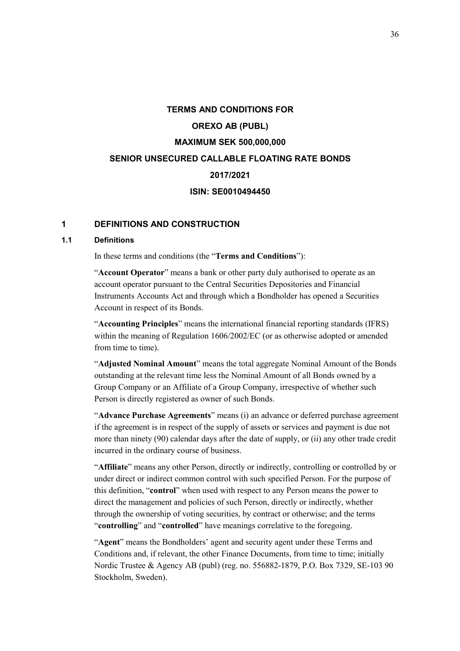# **TERMS AND CONDITIONS FOR OREXO AB (PUBL) MAXIMUM SEK 500,000,000 SENIOR UNSECURED CALLABLE FLOATING RATE BONDS 2017/2021 ISIN: SE0010494450**

## **1 DEFINITIONS AND CONSTRUCTION**

## **1.1 Definitions**

In these terms and conditions (the "**Terms and Conditions**"):

"**Account Operator**" means a bank or other party duly authorised to operate as an account operator pursuant to the Central Securities Depositories and Financial Instruments Accounts Act and through which a Bondholder has opened a Securities Account in respect of its Bonds.

"**Accounting Principles**" means the international financial reporting standards (IFRS) within the meaning of Regulation 1606/2002/EC (or as otherwise adopted or amended from time to time).

"**Adjusted Nominal Amount**" means the total aggregate Nominal Amount of the Bonds outstanding at the relevant time less the Nominal Amount of all Bonds owned by a Group Company or an Affiliate of a Group Company, irrespective of whether such Person is directly registered as owner of such Bonds.

"**Advance Purchase Agreements**" means (i) an advance or deferred purchase agreement if the agreement is in respect of the supply of assets or services and payment is due not more than ninety (90) calendar days after the date of supply, or (ii) any other trade credit incurred in the ordinary course of business.

"**Affiliate**" means any other Person, directly or indirectly, controlling or controlled by or under direct or indirect common control with such specified Person. For the purpose of this definition, "**control**" when used with respect to any Person means the power to direct the management and policies of such Person, directly or indirectly, whether through the ownership of voting securities, by contract or otherwise; and the terms "**controlling**" and "**controlled**" have meanings correlative to the foregoing.

"**Agent**" means the Bondholders' agent and security agent under these Terms and Conditions and, if relevant, the other Finance Documents, from time to time; initially Nordic Trustee & Agency AB (publ) (reg. no. 556882-1879, P.O. Box 7329, SE-103 90 Stockholm, Sweden).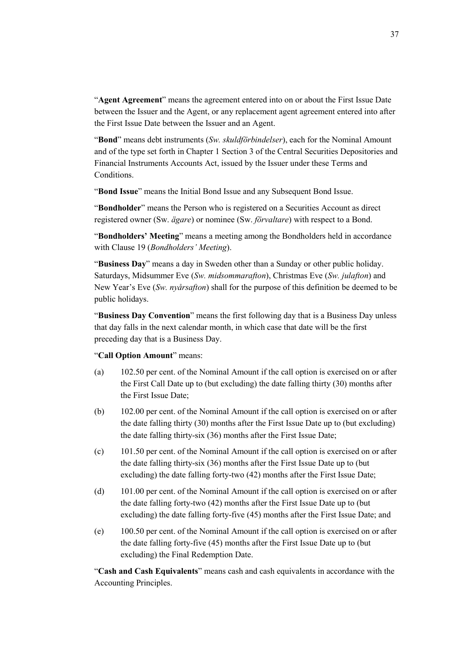"**Agent Agreement**" means the agreement entered into on or about the First Issue Date between the Issuer and the Agent, or any replacement agent agreement entered into after the First Issue Date between the Issuer and an Agent.

"**Bond**" means debt instruments (*Sw. skuldförbindelser*), each for the Nominal Amount and of the type set forth in Chapter 1 Section 3 of the Central Securities Depositories and Financial Instruments Accounts Act, issued by the Issuer under these Terms and Conditions.

"**Bond Issue**" means the Initial Bond Issue and any Subsequent Bond Issue.

"**Bondholder**" means the Person who is registered on a Securities Account as direct registered owner (Sw. *ägare*) or nominee (Sw. *förvaltare*) with respect to a Bond.

"**Bondholders' Meeting**" means a meeting among the Bondholders held in accordance with Clause 19 (*Bondholders' Meeting*).

"**Business Day**" means a day in Sweden other than a Sunday or other public holiday. Saturdays, Midsummer Eve (*Sw. midsommarafton*), Christmas Eve (*Sw. julafton*) and New Year's Eve (*Sw. nyårsafton*) shall for the purpose of this definition be deemed to be public holidays.

"**Business Day Convention**" means the first following day that is a Business Day unless that day falls in the next calendar month, in which case that date will be the first preceding day that is a Business Day.

#### "**Call Option Amount**" means:

- (a) 102.50 per cent. of the Nominal Amount if the call option is exercised on or after the First Call Date up to (but excluding) the date falling thirty (30) months after the First Issue Date;
- (b) 102.00 per cent. of the Nominal Amount if the call option is exercised on or after the date falling thirty (30) months after the First Issue Date up to (but excluding) the date falling thirty-six (36) months after the First Issue Date;
- (c) 101.50 per cent. of the Nominal Amount if the call option is exercised on or after the date falling thirty-six (36) months after the First Issue Date up to (but excluding) the date falling forty-two (42) months after the First Issue Date;
- (d) 101.00 per cent. of the Nominal Amount if the call option is exercised on or after the date falling forty-two (42) months after the First Issue Date up to (but excluding) the date falling forty-five (45) months after the First Issue Date; and
- (e) 100.50 per cent. of the Nominal Amount if the call option is exercised on or after the date falling forty-five (45) months after the First Issue Date up to (but excluding) the Final Redemption Date.

"**Cash and Cash Equivalents**" means cash and cash equivalents in accordance with the Accounting Principles.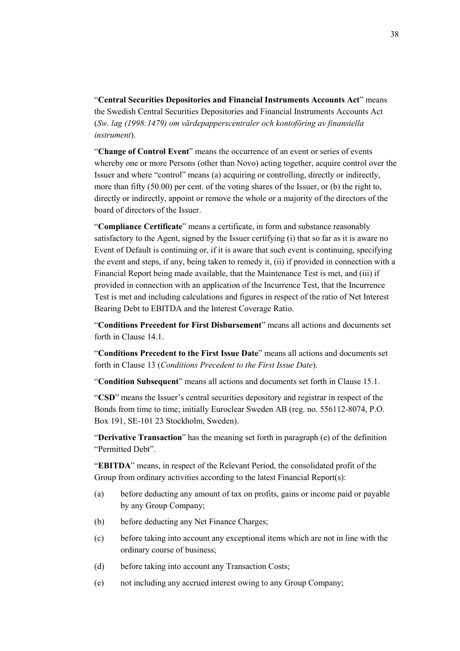"**Central Securities Depositories and Financial Instruments Accounts Act**" means the Swedish Central Securities Depositories and Financial Instruments Accounts Act (*Sw. lag (1998:1479) om värdepapperscentraler och kontoföring av finansiella instrument*).

"**Change of Control Event**" means the occurrence of an event or series of events whereby one or more Persons (other than Novo) acting together, acquire control over the Issuer and where "control" means (a) acquiring or controlling, directly or indirectly, more than fifty (50.00) per cent. of the voting shares of the Issuer, or (b) the right to, directly or indirectly, appoint or remove the whole or a majority of the directors of the board of directors of the Issuer.

"**Compliance Certificate**" means a certificate, in form and substance reasonably satisfactory to the Agent, signed by the Issuer certifying (i) that so far as it is aware no Event of Default is continuing or, if it is aware that such event is continuing, specifying the event and steps, if any, being taken to remedy it, (ii) if provided in connection with a Financial Report being made available, that the Maintenance Test is met, and (iii) if provided in connection with an application of the Incurrence Test, that the Incurrence Test is met and including calculations and figures in respect of the ratio of Net Interest Bearing Debt to EBITDA and the Interest Coverage Ratio.

"**Conditions Precedent for First Disbursement**" means all actions and documents set forth in Clause 14.1.

"**Conditions Precedent to the First Issue Date**" means all actions and documents set forth in Clause 13 (*Conditions Precedent to the First Issue Date*).

"**Condition Subsequent**" means all actions and documents set forth in Clause 15.1.

"**CSD**" means the Issuer's central securities depository and registrar in respect of the Bonds from time to time; initially Euroclear Sweden AB (reg. no. 556112-8074, P.O. Box 191, SE-101 23 Stockholm, Sweden).

"**Derivative Transaction**" has the meaning set forth in paragraph (e) of the definition "Permitted Debt".

"**EBITDA**" means, in respect of the Relevant Period, the consolidated profit of the Group from ordinary activities according to the latest Financial Report(s):

- (a) before deducting any amount of tax on profits, gains or income paid or payable by any Group Company;
- (b) before deducting any Net Finance Charges;
- (c) before taking into account any exceptional items which are not in line with the ordinary course of business;
- (d) before taking into account any Transaction Costs;
- (e) not including any accrued interest owing to any Group Company;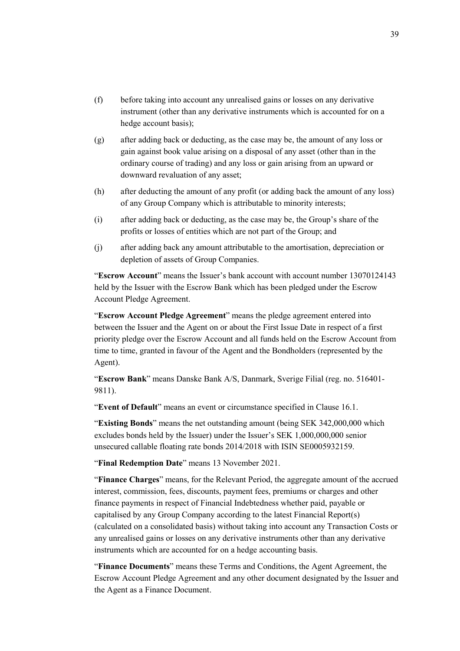- (f) before taking into account any unrealised gains or losses on any derivative instrument (other than any derivative instruments which is accounted for on a hedge account basis);
- (g) after adding back or deducting, as the case may be, the amount of any loss or gain against book value arising on a disposal of any asset (other than in the ordinary course of trading) and any loss or gain arising from an upward or downward revaluation of any asset;
- (h) after deducting the amount of any profit (or adding back the amount of any loss) of any Group Company which is attributable to minority interests;
- (i) after adding back or deducting, as the case may be, the Group's share of the profits or losses of entities which are not part of the Group; and
- (j) after adding back any amount attributable to the amortisation, depreciation or depletion of assets of Group Companies.

"**Escrow Account**" means the Issuer's bank account with account number 13070124143 held by the Issuer with the Escrow Bank which has been pledged under the Escrow Account Pledge Agreement.

"**Escrow Account Pledge Agreement**" means the pledge agreement entered into between the Issuer and the Agent on or about the First Issue Date in respect of a first priority pledge over the Escrow Account and all funds held on the Escrow Account from time to time, granted in favour of the Agent and the Bondholders (represented by the Agent).

"**Escrow Bank**" means Danske Bank A/S, Danmark, Sverige Filial (reg. no. 516401- 9811).

"**Event of Default**" means an event or circumstance specified in Clause 16.1.

"**Existing Bonds**" means the net outstanding amount (being SEK 342,000,000 which excludes bonds held by the Issuer) under the Issuer's SEK 1,000,000,000 senior unsecured callable floating rate bonds 2014/2018 with ISIN SE0005932159.

"**Final Redemption Date**" means 13 November 2021.

"**Finance Charges**" means, for the Relevant Period, the aggregate amount of the accrued interest, commission, fees, discounts, payment fees, premiums or charges and other finance payments in respect of Financial Indebtedness whether paid, payable or capitalised by any Group Company according to the latest Financial Report(s) (calculated on a consolidated basis) without taking into account any Transaction Costs or any unrealised gains or losses on any derivative instruments other than any derivative instruments which are accounted for on a hedge accounting basis.

"**Finance Documents**" means these Terms and Conditions, the Agent Agreement, the Escrow Account Pledge Agreement and any other document designated by the Issuer and the Agent as a Finance Document.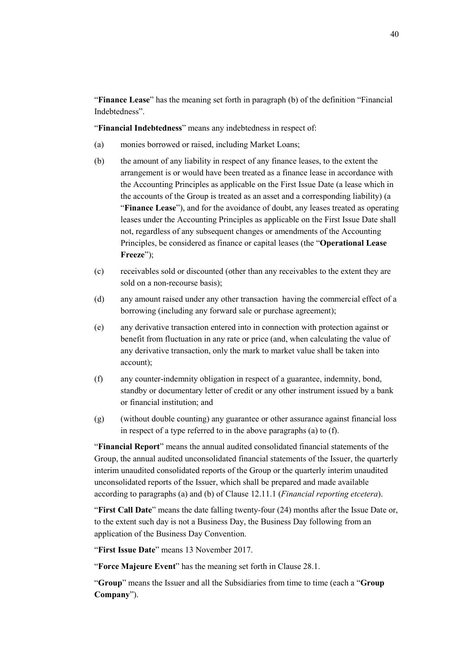"**Finance Lease**" has the meaning set forth in paragraph (b) of the definition "Financial Indebtedness".

"**Financial Indebtedness**" means any indebtedness in respect of:

- (a) monies borrowed or raised, including Market Loans;
- (b) the amount of any liability in respect of any finance leases, to the extent the arrangement is or would have been treated as a finance lease in accordance with the Accounting Principles as applicable on the First Issue Date (a lease which in the accounts of the Group is treated as an asset and a corresponding liability) (a "**Finance Lease**"), and for the avoidance of doubt, any leases treated as operating leases under the Accounting Principles as applicable on the First Issue Date shall not, regardless of any subsequent changes or amendments of the Accounting Principles, be considered as finance or capital leases (the "**Operational Lease Freeze**");
- (c) receivables sold or discounted (other than any receivables to the extent they are sold on a non-recourse basis);
- (d) any amount raised under any other transaction having the commercial effect of a borrowing (including any forward sale or purchase agreement);
- (e) any derivative transaction entered into in connection with protection against or benefit from fluctuation in any rate or price (and, when calculating the value of any derivative transaction, only the mark to market value shall be taken into account);
- (f) any counter-indemnity obligation in respect of a guarantee, indemnity, bond, standby or documentary letter of credit or any other instrument issued by a bank or financial institution; and
- (g) (without double counting) any guarantee or other assurance against financial loss in respect of a type referred to in the above paragraphs (a) to (f).

"**Financial Report**" means the annual audited consolidated financial statements of the Group, the annual audited unconsolidated financial statements of the Issuer, the quarterly interim unaudited consolidated reports of the Group or the quarterly interim unaudited unconsolidated reports of the Issuer, which shall be prepared and made available according to paragraphs (a) and (b) of Clause 12.11.1 (*Financial reporting etcetera*).

"**First Call Date**" means the date falling twenty-four (24) months after the Issue Date or, to the extent such day is not a Business Day, the Business Day following from an application of the Business Day Convention.

"**First Issue Date**" means 13 November 2017.

"**Force Majeure Event**" has the meaning set forth in Clause 28.1.

"**Group**" means the Issuer and all the Subsidiaries from time to time (each a "**Group Company**").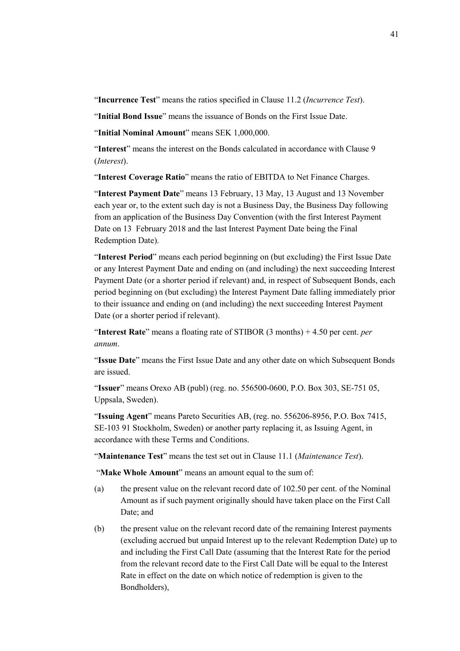"**Incurrence Test**" means the ratios specified in Clause 11.2 (*Incurrence Test*).

"**Initial Bond Issue**" means the issuance of Bonds on the First Issue Date.

"**Initial Nominal Amount**" means SEK 1,000,000.

"**Interest**" means the interest on the Bonds calculated in accordance with Clause 9 (*Interest*).

"**Interest Coverage Ratio**" means the ratio of EBITDA to Net Finance Charges.

"**Interest Payment Date**" means 13 February, 13 May, 13 August and 13 November each year or, to the extent such day is not a Business Day, the Business Day following from an application of the Business Day Convention (with the first Interest Payment Date on 13 February 2018 and the last Interest Payment Date being the Final Redemption Date).

"**Interest Period**" means each period beginning on (but excluding) the First Issue Date or any Interest Payment Date and ending on (and including) the next succeeding Interest Payment Date (or a shorter period if relevant) and, in respect of Subsequent Bonds, each period beginning on (but excluding) the Interest Payment Date falling immediately prior to their issuance and ending on (and including) the next succeeding Interest Payment Date (or a shorter period if relevant).

"**Interest Rate**" means a floating rate of STIBOR (3 months) + 4.50 per cent. *per annum*.

"**Issue Date**" means the First Issue Date and any other date on which Subsequent Bonds are issued.

"**Issuer**" means Orexo AB (publ) (reg. no. 556500-0600, P.O. Box 303, SE-751 05, Uppsala, Sweden).

"**Issuing Agent**" means Pareto Securities AB, (reg. no. 556206-8956, P.O. Box 7415, SE-103 91 Stockholm, Sweden) or another party replacing it, as Issuing Agent, in accordance with these Terms and Conditions.

"**Maintenance Test**" means the test set out in Clause 11.1 (*Maintenance Test*).

"**Make Whole Amount**" means an amount equal to the sum of:

- (a) the present value on the relevant record date of 102.50 per cent. of the Nominal Amount as if such payment originally should have taken place on the First Call Date; and
- (b) the present value on the relevant record date of the remaining Interest payments (excluding accrued but unpaid Interest up to the relevant Redemption Date) up to and including the First Call Date (assuming that the Interest Rate for the period from the relevant record date to the First Call Date will be equal to the Interest Rate in effect on the date on which notice of redemption is given to the Bondholders),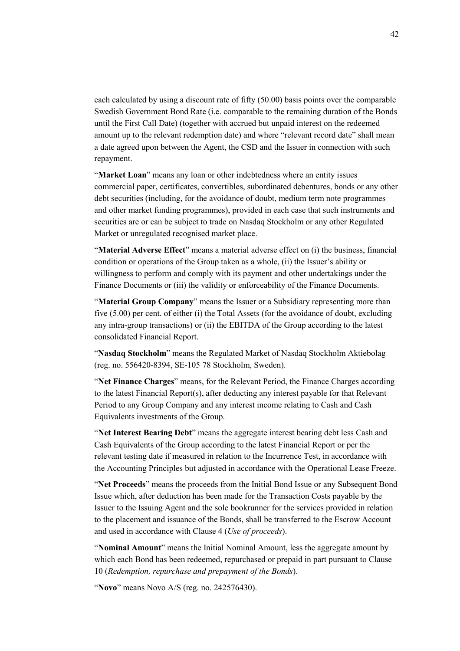each calculated by using a discount rate of fifty (50.00) basis points over the comparable Swedish Government Bond Rate (i.e. comparable to the remaining duration of the Bonds until the First Call Date) (together with accrued but unpaid interest on the redeemed amount up to the relevant redemption date) and where "relevant record date" shall mean a date agreed upon between the Agent, the CSD and the Issuer in connection with such repayment.

"**Market Loan**" means any loan or other indebtedness where an entity issues commercial paper, certificates, convertibles, subordinated debentures, bonds or any other debt securities (including, for the avoidance of doubt, medium term note programmes and other market funding programmes), provided in each case that such instruments and securities are or can be subject to trade on Nasdaq Stockholm or any other Regulated Market or unregulated recognised market place.

"**Material Adverse Effect**" means a material adverse effect on (i) the business, financial condition or operations of the Group taken as a whole, (ii) the Issuer's ability or willingness to perform and comply with its payment and other undertakings under the Finance Documents or (iii) the validity or enforceability of the Finance Documents.

"**Material Group Company**" means the Issuer or a Subsidiary representing more than five (5.00) per cent. of either (i) the Total Assets (for the avoidance of doubt, excluding any intra-group transactions) or (ii) the EBITDA of the Group according to the latest consolidated Financial Report.

"**Nasdaq Stockholm**" means the Regulated Market of Nasdaq Stockholm Aktiebolag (reg. no. 556420-8394, SE-105 78 Stockholm, Sweden).

"**Net Finance Charges**" means, for the Relevant Period, the Finance Charges according to the latest Financial Report(s), after deducting any interest payable for that Relevant Period to any Group Company and any interest income relating to Cash and Cash Equivalents investments of the Group.

"**Net Interest Bearing Debt**" means the aggregate interest bearing debt less Cash and Cash Equivalents of the Group according to the latest Financial Report or per the relevant testing date if measured in relation to the Incurrence Test, in accordance with the Accounting Principles but adjusted in accordance with the Operational Lease Freeze.

"**Net Proceeds**" means the proceeds from the Initial Bond Issue or any Subsequent Bond Issue which, after deduction has been made for the Transaction Costs payable by the Issuer to the Issuing Agent and the sole bookrunner for the services provided in relation to the placement and issuance of the Bonds, shall be transferred to the Escrow Account and used in accordance with Clause 4 (*Use of proceeds*).

"**Nominal Amount**" means the Initial Nominal Amount, less the aggregate amount by which each Bond has been redeemed, repurchased or prepaid in part pursuant to Clause 10 (*Redemption, repurchase and prepayment of the Bonds*).

"**Novo**" means Novo A/S (reg. no. 242576430).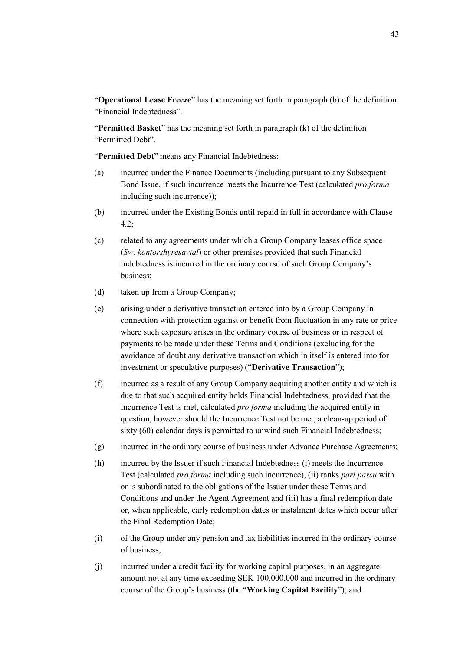"**Operational Lease Freeze**" has the meaning set forth in paragraph (b) of the definition "Financial Indebtedness".

"**Permitted Basket**" has the meaning set forth in paragraph (k) of the definition "Permitted Debt".

"**Permitted Debt**" means any Financial Indebtedness:

- (a) incurred under the Finance Documents (including pursuant to any Subsequent Bond Issue, if such incurrence meets the Incurrence Test (calculated *pro forma* including such incurrence));
- (b) incurred under the Existing Bonds until repaid in full in accordance with Clause 4.2;
- (c) related to any agreements under which a Group Company leases office space (*Sw. kontorshyresavtal*) or other premises provided that such Financial Indebtedness is incurred in the ordinary course of such Group Company's business;
- (d) taken up from a Group Company;
- (e) arising under a derivative transaction entered into by a Group Company in connection with protection against or benefit from fluctuation in any rate or price where such exposure arises in the ordinary course of business or in respect of payments to be made under these Terms and Conditions (excluding for the avoidance of doubt any derivative transaction which in itself is entered into for investment or speculative purposes) ("**Derivative Transaction**");
- (f) incurred as a result of any Group Company acquiring another entity and which is due to that such acquired entity holds Financial Indebtedness, provided that the Incurrence Test is met, calculated *pro forma* including the acquired entity in question, however should the Incurrence Test not be met, a clean-up period of sixty (60) calendar days is permitted to unwind such Financial Indebtedness;
- (g) incurred in the ordinary course of business under Advance Purchase Agreements;
- (h) incurred by the Issuer if such Financial Indebtedness (i) meets the Incurrence Test (calculated *pro forma* including such incurrence), (ii) ranks *pari passu* with or is subordinated to the obligations of the Issuer under these Terms and Conditions and under the Agent Agreement and (iii) has a final redemption date or, when applicable, early redemption dates or instalment dates which occur after the Final Redemption Date;
- (i) of the Group under any pension and tax liabilities incurred in the ordinary course of business;
- (j) incurred under a credit facility for working capital purposes, in an aggregate amount not at any time exceeding SEK 100,000,000 and incurred in the ordinary course of the Group's business (the "**Working Capital Facility**"); and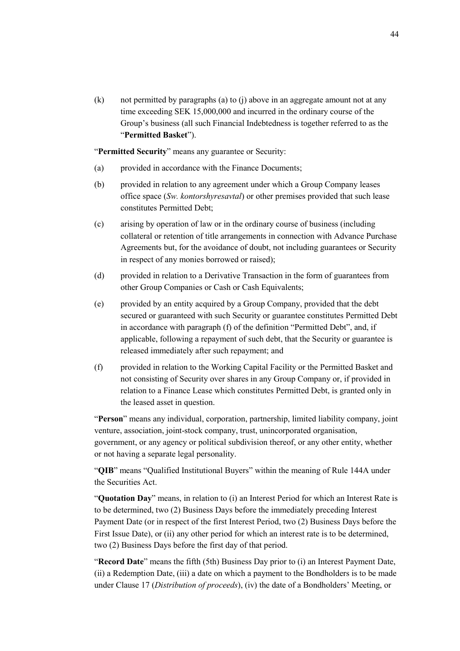(k) not permitted by paragraphs (a) to (j) above in an aggregate amount not at any time exceeding SEK 15,000,000 and incurred in the ordinary course of the Group's business (all such Financial Indebtedness is together referred to as the "**Permitted Basket**").

"**Permitted Security**" means any guarantee or Security:

- (a) provided in accordance with the Finance Documents;
- (b) provided in relation to any agreement under which a Group Company leases office space (*Sw. kontorshyresavtal*) or other premises provided that such lease constitutes Permitted Debt;
- (c) arising by operation of law or in the ordinary course of business (including collateral or retention of title arrangements in connection with Advance Purchase Agreements but, for the avoidance of doubt, not including guarantees or Security in respect of any monies borrowed or raised);
- (d) provided in relation to a Derivative Transaction in the form of guarantees from other Group Companies or Cash or Cash Equivalents;
- (e) provided by an entity acquired by a Group Company, provided that the debt secured or guaranteed with such Security or guarantee constitutes Permitted Debt in accordance with paragraph (f) of the definition "Permitted Debt", and, if applicable, following a repayment of such debt, that the Security or guarantee is released immediately after such repayment; and
- (f) provided in relation to the Working Capital Facility or the Permitted Basket and not consisting of Security over shares in any Group Company or, if provided in relation to a Finance Lease which constitutes Permitted Debt, is granted only in the leased asset in question.

"**Person**" means any individual, corporation, partnership, limited liability company, joint venture, association, joint-stock company, trust, unincorporated organisation, government, or any agency or political subdivision thereof, or any other entity, whether or not having a separate legal personality.

"**QIB**" means "Qualified Institutional Buyers" within the meaning of Rule 144A under the Securities Act.

"**Quotation Day**" means, in relation to (i) an Interest Period for which an Interest Rate is to be determined, two (2) Business Days before the immediately preceding Interest Payment Date (or in respect of the first Interest Period, two (2) Business Days before the First Issue Date), or (ii) any other period for which an interest rate is to be determined, two (2) Business Days before the first day of that period.

"**Record Date**" means the fifth (5th) Business Day prior to (i) an Interest Payment Date, (ii) a Redemption Date, (iii) a date on which a payment to the Bondholders is to be made under Clause 17 (*Distribution of proceeds*), (iv) the date of a Bondholders' Meeting, or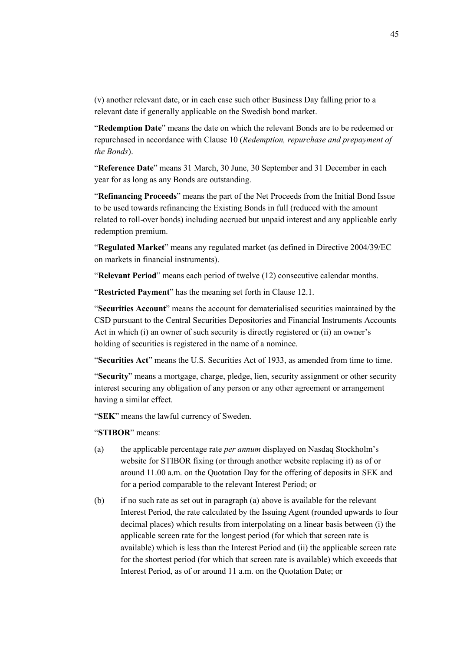(v) another relevant date, or in each case such other Business Day falling prior to a relevant date if generally applicable on the Swedish bond market.

"**Redemption Date**" means the date on which the relevant Bonds are to be redeemed or repurchased in accordance with Clause 10 (*Redemption, repurchase and prepayment of the Bonds*).

"**Reference Date**" means 31 March, 30 June, 30 September and 31 December in each year for as long as any Bonds are outstanding.

"**Refinancing Proceeds**" means the part of the Net Proceeds from the Initial Bond Issue to be used towards refinancing the Existing Bonds in full (reduced with the amount related to roll-over bonds) including accrued but unpaid interest and any applicable early redemption premium.

"**Regulated Market**" means any regulated market (as defined in Directive 2004/39/EC on markets in financial instruments).

"**Relevant Period**" means each period of twelve (12) consecutive calendar months.

"**Restricted Payment**" has the meaning set forth in Clause 12.1.

"**Securities Account**" means the account for dematerialised securities maintained by the CSD pursuant to the Central Securities Depositories and Financial Instruments Accounts Act in which (i) an owner of such security is directly registered or (ii) an owner's holding of securities is registered in the name of a nominee.

"**Securities Act**" means the U.S. Securities Act of 1933, as amended from time to time.

"**Security**" means a mortgage, charge, pledge, lien, security assignment or other security interest securing any obligation of any person or any other agreement or arrangement having a similar effect.

"**SEK**" means the lawful currency of Sweden.

#### "**STIBOR**" means:

- (a) the applicable percentage rate *per annum* displayed on Nasdaq Stockholm's website for STIBOR fixing (or through another website replacing it) as of or around 11.00 a.m. on the Quotation Day for the offering of deposits in SEK and for a period comparable to the relevant Interest Period; or
- (b) if no such rate as set out in paragraph (a) above is available for the relevant Interest Period, the rate calculated by the Issuing Agent (rounded upwards to four decimal places) which results from interpolating on a linear basis between (i) the applicable screen rate for the longest period (for which that screen rate is available) which is less than the Interest Period and (ii) the applicable screen rate for the shortest period (for which that screen rate is available) which exceeds that Interest Period, as of or around 11 a.m. on the Quotation Date; or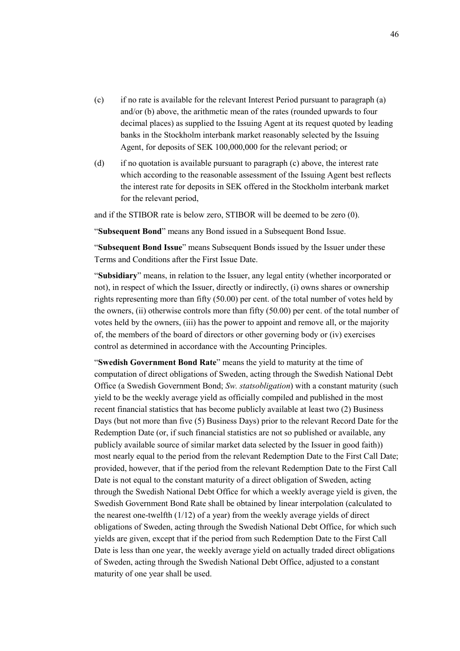- (c) if no rate is available for the relevant Interest Period pursuant to paragraph (a) and/or (b) above, the arithmetic mean of the rates (rounded upwards to four decimal places) as supplied to the Issuing Agent at its request quoted by leading banks in the Stockholm interbank market reasonably selected by the Issuing Agent, for deposits of SEK 100,000,000 for the relevant period; or
- (d) if no quotation is available pursuant to paragraph (c) above, the interest rate which according to the reasonable assessment of the Issuing Agent best reflects the interest rate for deposits in SEK offered in the Stockholm interbank market for the relevant period,

and if the STIBOR rate is below zero, STIBOR will be deemed to be zero (0).

"**Subsequent Bond**" means any Bond issued in a Subsequent Bond Issue.

"**Subsequent Bond Issue**" means Subsequent Bonds issued by the Issuer under these Terms and Conditions after the First Issue Date.

"**Subsidiary**" means, in relation to the Issuer, any legal entity (whether incorporated or not), in respect of which the Issuer, directly or indirectly, (i) owns shares or ownership rights representing more than fifty (50.00) per cent. of the total number of votes held by the owners, (ii) otherwise controls more than fifty (50.00) per cent. of the total number of votes held by the owners, (iii) has the power to appoint and remove all, or the majority of, the members of the board of directors or other governing body or (iv) exercises control as determined in accordance with the Accounting Principles.

"**Swedish Government Bond Rate**" means the yield to maturity at the time of computation of direct obligations of Sweden, acting through the Swedish National Debt Office (a Swedish Government Bond; *Sw. statsobligation*) with a constant maturity (such yield to be the weekly average yield as officially compiled and published in the most recent financial statistics that has become publicly available at least two (2) Business Days (but not more than five (5) Business Days) prior to the relevant Record Date for the Redemption Date (or, if such financial statistics are not so published or available, any publicly available source of similar market data selected by the Issuer in good faith)) most nearly equal to the period from the relevant Redemption Date to the First Call Date; provided, however, that if the period from the relevant Redemption Date to the First Call Date is not equal to the constant maturity of a direct obligation of Sweden, acting through the Swedish National Debt Office for which a weekly average yield is given, the Swedish Government Bond Rate shall be obtained by linear interpolation (calculated to the nearest one-twelfth (1/12) of a year) from the weekly average yields of direct obligations of Sweden, acting through the Swedish National Debt Office, for which such yields are given, except that if the period from such Redemption Date to the First Call Date is less than one year, the weekly average yield on actually traded direct obligations of Sweden, acting through the Swedish National Debt Office, adjusted to a constant maturity of one year shall be used.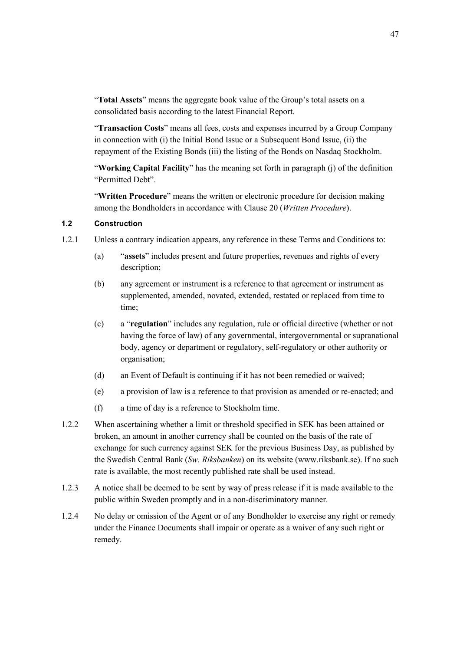"**Total Assets**" means the aggregate book value of the Group's total assets on a consolidated basis according to the latest Financial Report.

"**Transaction Costs**" means all fees, costs and expenses incurred by a Group Company in connection with (i) the Initial Bond Issue or a Subsequent Bond Issue, (ii) the repayment of the Existing Bonds (iii) the listing of the Bonds on Nasdaq Stockholm.

"**Working Capital Facility**" has the meaning set forth in paragraph (j) of the definition "Permitted Debt".

"**Written Procedure**" means the written or electronic procedure for decision making among the Bondholders in accordance with Clause 20 (*Written Procedure*).

#### **1.2 Construction**

- 1.2.1 Unless a contrary indication appears, any reference in these Terms and Conditions to:
	- (a) "**assets**" includes present and future properties, revenues and rights of every description;
	- (b) any agreement or instrument is a reference to that agreement or instrument as supplemented, amended, novated, extended, restated or replaced from time to time;
	- (c) a "**regulation**" includes any regulation, rule or official directive (whether or not having the force of law) of any governmental, intergovernmental or supranational body, agency or department or regulatory, self-regulatory or other authority or organisation;
	- (d) an Event of Default is continuing if it has not been remedied or waived;
	- (e) a provision of law is a reference to that provision as amended or re-enacted; and
	- (f) a time of day is a reference to Stockholm time.
- 1.2.2 When ascertaining whether a limit or threshold specified in SEK has been attained or broken, an amount in another currency shall be counted on the basis of the rate of exchange for such currency against SEK for the previous Business Day, as published by the Swedish Central Bank (*Sw. Riksbanken*) on its website (www.riksbank.se). If no such rate is available, the most recently published rate shall be used instead.
- 1.2.3 A notice shall be deemed to be sent by way of press release if it is made available to the public within Sweden promptly and in a non-discriminatory manner.
- 1.2.4 No delay or omission of the Agent or of any Bondholder to exercise any right or remedy under the Finance Documents shall impair or operate as a waiver of any such right or remedy.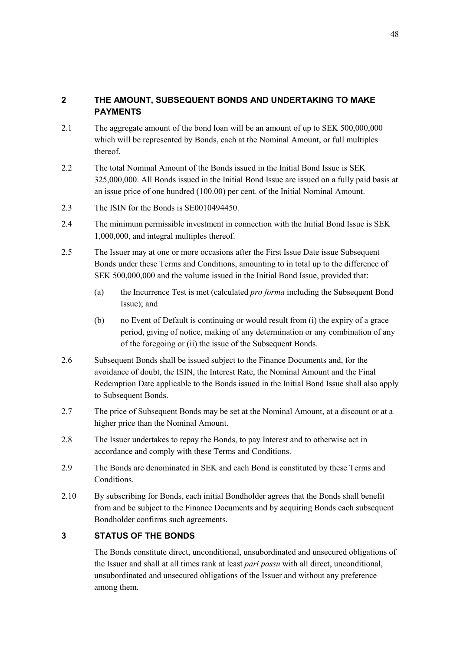# **2 THE AMOUNT, SUBSEQUENT BONDS AND UNDERTAKING TO MAKE PAYMENTS**

- 2.1 The aggregate amount of the bond loan will be an amount of up to SEK 500,000,000 which will be represented by Bonds, each at the Nominal Amount, or full multiples thereof.
- 2.2 The total Nominal Amount of the Bonds issued in the Initial Bond Issue is SEK 325,000,000. All Bonds issued in the Initial Bond Issue are issued on a fully paid basis at an issue price of one hundred (100.00) per cent. of the Initial Nominal Amount.
- 2.3 The ISIN for the Bonds is SE0010494450.
- 2.4 The minimum permissible investment in connection with the Initial Bond Issue is SEK 1,000,000, and integral multiples thereof.
- 2.5 The Issuer may at one or more occasions after the First Issue Date issue Subsequent Bonds under these Terms and Conditions, amounting to in total up to the difference of SEK 500,000,000 and the volume issued in the Initial Bond Issue, provided that:
	- (a) the Incurrence Test is met (calculated *pro forma* including the Subsequent Bond Issue); and
	- (b) no Event of Default is continuing or would result from (i) the expiry of a grace period, giving of notice, making of any determination or any combination of any of the foregoing or (ii) the issue of the Subsequent Bonds.
- 2.6 Subsequent Bonds shall be issued subject to the Finance Documents and, for the avoidance of doubt, the ISIN, the Interest Rate, the Nominal Amount and the Final Redemption Date applicable to the Bonds issued in the Initial Bond Issue shall also apply to Subsequent Bonds.
- 2.7 The price of Subsequent Bonds may be set at the Nominal Amount, at a discount or at a higher price than the Nominal Amount.
- 2.8 The Issuer undertakes to repay the Bonds, to pay Interest and to otherwise act in accordance and comply with these Terms and Conditions.
- 2.9 The Bonds are denominated in SEK and each Bond is constituted by these Terms and Conditions.
- 2.10 By subscribing for Bonds, each initial Bondholder agrees that the Bonds shall benefit from and be subject to the Finance Documents and by acquiring Bonds each subsequent Bondholder confirms such agreements.

## **3 STATUS OF THE BONDS**

The Bonds constitute direct, unconditional, unsubordinated and unsecured obligations of the Issuer and shall at all times rank at least *pari passu* with all direct, unconditional, unsubordinated and unsecured obligations of the Issuer and without any preference among them.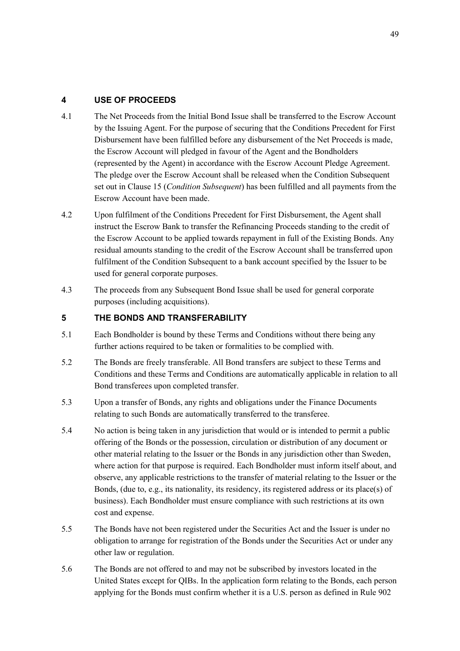## **4 USE OF PROCEEDS**

- 4.1 The Net Proceeds from the Initial Bond Issue shall be transferred to the Escrow Account by the Issuing Agent. For the purpose of securing that the Conditions Precedent for First Disbursement have been fulfilled before any disbursement of the Net Proceeds is made, the Escrow Account will pledged in favour of the Agent and the Bondholders (represented by the Agent) in accordance with the Escrow Account Pledge Agreement. The pledge over the Escrow Account shall be released when the Condition Subsequent set out in Clause 15 (*Condition Subsequent*) has been fulfilled and all payments from the Escrow Account have been made.
- 4.2 Upon fulfilment of the Conditions Precedent for First Disbursement, the Agent shall instruct the Escrow Bank to transfer the Refinancing Proceeds standing to the credit of the Escrow Account to be applied towards repayment in full of the Existing Bonds. Any residual amounts standing to the credit of the Escrow Account shall be transferred upon fulfilment of the Condition Subsequent to a bank account specified by the Issuer to be used for general corporate purposes.
- 4.3 The proceeds from any Subsequent Bond Issue shall be used for general corporate purposes (including acquisitions).

## **5 THE BONDS AND TRANSFERABILITY**

- 5.1 Each Bondholder is bound by these Terms and Conditions without there being any further actions required to be taken or formalities to be complied with.
- 5.2 The Bonds are freely transferable. All Bond transfers are subject to these Terms and Conditions and these Terms and Conditions are automatically applicable in relation to all Bond transferees upon completed transfer.
- 5.3 Upon a transfer of Bonds, any rights and obligations under the Finance Documents relating to such Bonds are automatically transferred to the transferee.
- 5.4 No action is being taken in any jurisdiction that would or is intended to permit a public offering of the Bonds or the possession, circulation or distribution of any document or other material relating to the Issuer or the Bonds in any jurisdiction other than Sweden, where action for that purpose is required. Each Bondholder must inform itself about, and observe, any applicable restrictions to the transfer of material relating to the Issuer or the Bonds, (due to, e.g., its nationality, its residency, its registered address or its place(s) of business). Each Bondholder must ensure compliance with such restrictions at its own cost and expense.
- 5.5 The Bonds have not been registered under the Securities Act and the Issuer is under no obligation to arrange for registration of the Bonds under the Securities Act or under any other law or regulation.
- 5.6 The Bonds are not offered to and may not be subscribed by investors located in the United States except for QIBs. In the application form relating to the Bonds, each person applying for the Bonds must confirm whether it is a U.S. person as defined in Rule 902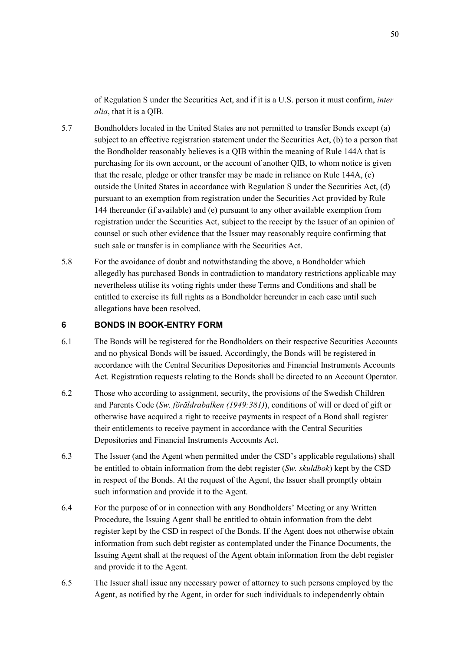of Regulation S under the Securities Act, and if it is a U.S. person it must confirm, *inter alia*, that it is a QIB.

- 5.7 Bondholders located in the United States are not permitted to transfer Bonds except (a) subject to an effective registration statement under the Securities Act, (b) to a person that the Bondholder reasonably believes is a QIB within the meaning of Rule 144A that is purchasing for its own account, or the account of another QIB, to whom notice is given that the resale, pledge or other transfer may be made in reliance on Rule 144A, (c) outside the United States in accordance with Regulation S under the Securities Act, (d) pursuant to an exemption from registration under the Securities Act provided by Rule 144 thereunder (if available) and (e) pursuant to any other available exemption from registration under the Securities Act, subject to the receipt by the Issuer of an opinion of counsel or such other evidence that the Issuer may reasonably require confirming that such sale or transfer is in compliance with the Securities Act.
- 5.8 For the avoidance of doubt and notwithstanding the above, a Bondholder which allegedly has purchased Bonds in contradiction to mandatory restrictions applicable may nevertheless utilise its voting rights under these Terms and Conditions and shall be entitled to exercise its full rights as a Bondholder hereunder in each case until such allegations have been resolved.

### **6 BONDS IN BOOK-ENTRY FORM**

- 6.1 The Bonds will be registered for the Bondholders on their respective Securities Accounts and no physical Bonds will be issued. Accordingly, the Bonds will be registered in accordance with the Central Securities Depositories and Financial Instruments Accounts Act. Registration requests relating to the Bonds shall be directed to an Account Operator.
- 6.2 Those who according to assignment, security, the provisions of the Swedish Children and Parents Code (*Sw. föräldrabalken (1949:381)*), conditions of will or deed of gift or otherwise have acquired a right to receive payments in respect of a Bond shall register their entitlements to receive payment in accordance with the Central Securities Depositories and Financial Instruments Accounts Act.
- 6.3 The Issuer (and the Agent when permitted under the CSD's applicable regulations) shall be entitled to obtain information from the debt register (*Sw. skuldbok*) kept by the CSD in respect of the Bonds. At the request of the Agent, the Issuer shall promptly obtain such information and provide it to the Agent.
- 6.4 For the purpose of or in connection with any Bondholders' Meeting or any Written Procedure, the Issuing Agent shall be entitled to obtain information from the debt register kept by the CSD in respect of the Bonds. If the Agent does not otherwise obtain information from such debt register as contemplated under the Finance Documents, the Issuing Agent shall at the request of the Agent obtain information from the debt register and provide it to the Agent.
- 6.5 The Issuer shall issue any necessary power of attorney to such persons employed by the Agent, as notified by the Agent, in order for such individuals to independently obtain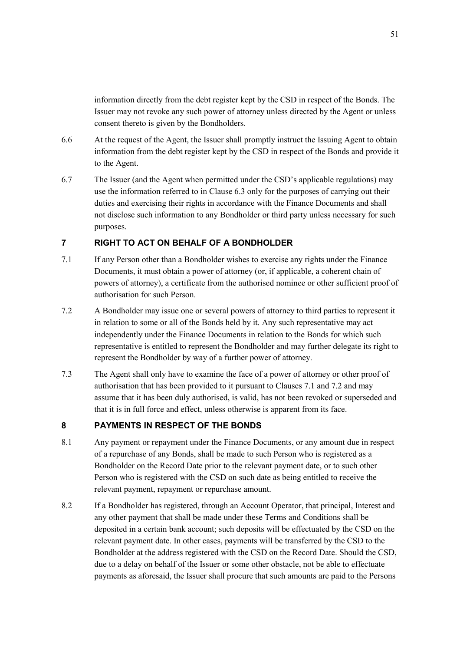information directly from the debt register kept by the CSD in respect of the Bonds. The Issuer may not revoke any such power of attorney unless directed by the Agent or unless consent thereto is given by the Bondholders.

- 6.6 At the request of the Agent, the Issuer shall promptly instruct the Issuing Agent to obtain information from the debt register kept by the CSD in respect of the Bonds and provide it to the Agent.
- 6.7 The Issuer (and the Agent when permitted under the CSD's applicable regulations) may use the information referred to in Clause 6.3 only for the purposes of carrying out their duties and exercising their rights in accordance with the Finance Documents and shall not disclose such information to any Bondholder or third party unless necessary for such purposes.

# **7 RIGHT TO ACT ON BEHALF OF A BONDHOLDER**

- 7.1 If any Person other than a Bondholder wishes to exercise any rights under the Finance Documents, it must obtain a power of attorney (or, if applicable, a coherent chain of powers of attorney), a certificate from the authorised nominee or other sufficient proof of authorisation for such Person.
- 7.2 A Bondholder may issue one or several powers of attorney to third parties to represent it in relation to some or all of the Bonds held by it. Any such representative may act independently under the Finance Documents in relation to the Bonds for which such representative is entitled to represent the Bondholder and may further delegate its right to represent the Bondholder by way of a further power of attorney.
- 7.3 The Agent shall only have to examine the face of a power of attorney or other proof of authorisation that has been provided to it pursuant to Clauses 7.1 and 7.2 and may assume that it has been duly authorised, is valid, has not been revoked or superseded and that it is in full force and effect, unless otherwise is apparent from its face.

### **8 PAYMENTS IN RESPECT OF THE BONDS**

- 8.1 Any payment or repayment under the Finance Documents, or any amount due in respect of a repurchase of any Bonds, shall be made to such Person who is registered as a Bondholder on the Record Date prior to the relevant payment date, or to such other Person who is registered with the CSD on such date as being entitled to receive the relevant payment, repayment or repurchase amount.
- 8.2 If a Bondholder has registered, through an Account Operator, that principal, Interest and any other payment that shall be made under these Terms and Conditions shall be deposited in a certain bank account; such deposits will be effectuated by the CSD on the relevant payment date. In other cases, payments will be transferred by the CSD to the Bondholder at the address registered with the CSD on the Record Date. Should the CSD, due to a delay on behalf of the Issuer or some other obstacle, not be able to effectuate payments as aforesaid, the Issuer shall procure that such amounts are paid to the Persons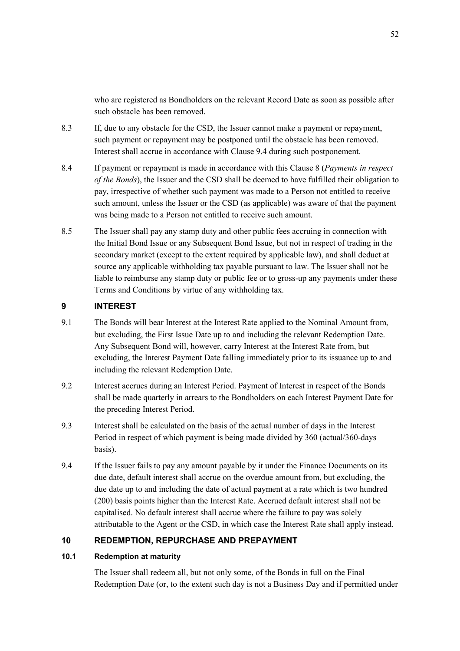who are registered as Bondholders on the relevant Record Date as soon as possible after such obstacle has been removed.

- 8.3 If, due to any obstacle for the CSD, the Issuer cannot make a payment or repayment, such payment or repayment may be postponed until the obstacle has been removed. Interest shall accrue in accordance with Clause 9.4 during such postponement.
- 8.4 If payment or repayment is made in accordance with this Clause 8 (*Payments in respect of the Bonds*), the Issuer and the CSD shall be deemed to have fulfilled their obligation to pay, irrespective of whether such payment was made to a Person not entitled to receive such amount, unless the Issuer or the CSD (as applicable) was aware of that the payment was being made to a Person not entitled to receive such amount.
- 8.5 The Issuer shall pay any stamp duty and other public fees accruing in connection with the Initial Bond Issue or any Subsequent Bond Issue, but not in respect of trading in the secondary market (except to the extent required by applicable law), and shall deduct at source any applicable withholding tax payable pursuant to law. The Issuer shall not be liable to reimburse any stamp duty or public fee or to gross-up any payments under these Terms and Conditions by virtue of any withholding tax.

## **9 INTEREST**

- 9.1 The Bonds will bear Interest at the Interest Rate applied to the Nominal Amount from, but excluding, the First Issue Date up to and including the relevant Redemption Date. Any Subsequent Bond will, however, carry Interest at the Interest Rate from, but excluding, the Interest Payment Date falling immediately prior to its issuance up to and including the relevant Redemption Date.
- 9.2 Interest accrues during an Interest Period. Payment of Interest in respect of the Bonds shall be made quarterly in arrears to the Bondholders on each Interest Payment Date for the preceding Interest Period.
- 9.3 Interest shall be calculated on the basis of the actual number of days in the Interest Period in respect of which payment is being made divided by 360 (actual/360-days basis).
- 9.4 If the Issuer fails to pay any amount payable by it under the Finance Documents on its due date, default interest shall accrue on the overdue amount from, but excluding, the due date up to and including the date of actual payment at a rate which is two hundred (200) basis points higher than the Interest Rate. Accrued default interest shall not be capitalised. No default interest shall accrue where the failure to pay was solely attributable to the Agent or the CSD, in which case the Interest Rate shall apply instead.

## **10 REDEMPTION, REPURCHASE AND PREPAYMENT**

## **10.1 Redemption at maturity**

The Issuer shall redeem all, but not only some, of the Bonds in full on the Final Redemption Date (or, to the extent such day is not a Business Day and if permitted under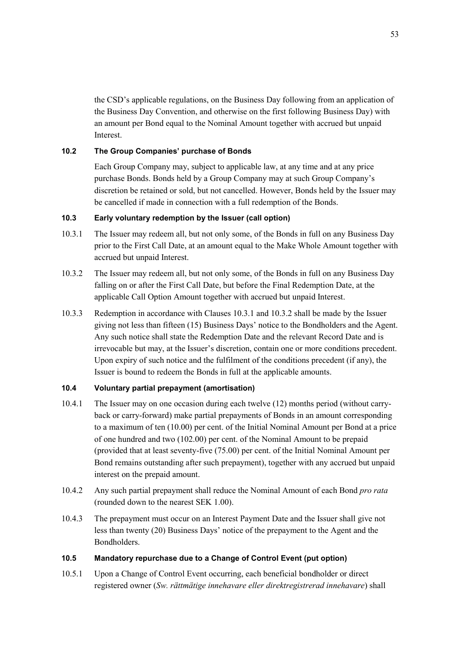the CSD's applicable regulations, on the Business Day following from an application of the Business Day Convention, and otherwise on the first following Business Day) with an amount per Bond equal to the Nominal Amount together with accrued but unpaid Interest.

### **10.2 The Group Companies' purchase of Bonds**

Each Group Company may, subject to applicable law, at any time and at any price purchase Bonds. Bonds held by a Group Company may at such Group Company's discretion be retained or sold, but not cancelled. However, Bonds held by the Issuer may be cancelled if made in connection with a full redemption of the Bonds.

### **10.3 Early voluntary redemption by the Issuer (call option)**

- 10.3.1 The Issuer may redeem all, but not only some, of the Bonds in full on any Business Day prior to the First Call Date, at an amount equal to the Make Whole Amount together with accrued but unpaid Interest.
- 10.3.2 The Issuer may redeem all, but not only some, of the Bonds in full on any Business Day falling on or after the First Call Date, but before the Final Redemption Date, at the applicable Call Option Amount together with accrued but unpaid Interest.
- 10.3.3 Redemption in accordance with Clauses 10.3.1 and 10.3.2 shall be made by the Issuer giving not less than fifteen (15) Business Days' notice to the Bondholders and the Agent. Any such notice shall state the Redemption Date and the relevant Record Date and is irrevocable but may, at the Issuer's discretion, contain one or more conditions precedent. Upon expiry of such notice and the fulfilment of the conditions precedent (if any), the Issuer is bound to redeem the Bonds in full at the applicable amounts.

### **10.4 Voluntary partial prepayment (amortisation)**

- 10.4.1 The Issuer may on one occasion during each twelve (12) months period (without carryback or carry-forward) make partial prepayments of Bonds in an amount corresponding to a maximum of ten (10.00) per cent. of the Initial Nominal Amount per Bond at a price of one hundred and two (102.00) per cent. of the Nominal Amount to be prepaid (provided that at least seventy-five (75.00) per cent. of the Initial Nominal Amount per Bond remains outstanding after such prepayment), together with any accrued but unpaid interest on the prepaid amount.
- 10.4.2 Any such partial prepayment shall reduce the Nominal Amount of each Bond *pro rata* (rounded down to the nearest SEK 1.00).
- 10.4.3 The prepayment must occur on an Interest Payment Date and the Issuer shall give not less than twenty (20) Business Days' notice of the prepayment to the Agent and the Bondholders.

#### **10.5 Mandatory repurchase due to a Change of Control Event (put option)**

10.5.1 Upon a Change of Control Event occurring, each beneficial bondholder or direct registered owner (*Sw. rättmätige innehavare eller direktregistrerad innehavare*) shall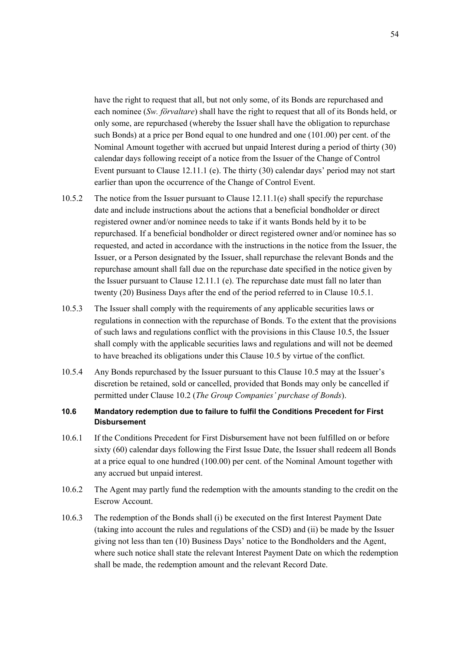have the right to request that all, but not only some, of its Bonds are repurchased and each nominee (*Sw. förvaltare*) shall have the right to request that all of its Bonds held, or only some, are repurchased (whereby the Issuer shall have the obligation to repurchase such Bonds) at a price per Bond equal to one hundred and one (101.00) per cent. of the Nominal Amount together with accrued but unpaid Interest during a period of thirty (30) calendar days following receipt of a notice from the Issuer of the Change of Control Event pursuant to Clause 12.11.1 (e). The thirty (30) calendar days' period may not start earlier than upon the occurrence of the Change of Control Event.

- 10.5.2 The notice from the Issuer pursuant to Clause 12.11.1(e) shall specify the repurchase date and include instructions about the actions that a beneficial bondholder or direct registered owner and/or nominee needs to take if it wants Bonds held by it to be repurchased. If a beneficial bondholder or direct registered owner and/or nominee has so requested, and acted in accordance with the instructions in the notice from the Issuer, the Issuer, or a Person designated by the Issuer, shall repurchase the relevant Bonds and the repurchase amount shall fall due on the repurchase date specified in the notice given by the Issuer pursuant to Clause 12.11.1 (e). The repurchase date must fall no later than twenty (20) Business Days after the end of the period referred to in Clause 10.5.1.
- 10.5.3 The Issuer shall comply with the requirements of any applicable securities laws or regulations in connection with the repurchase of Bonds. To the extent that the provisions of such laws and regulations conflict with the provisions in this Clause 10.5, the Issuer shall comply with the applicable securities laws and regulations and will not be deemed to have breached its obligations under this Clause 10.5 by virtue of the conflict.
- 10.5.4 Any Bonds repurchased by the Issuer pursuant to this Clause 10.5 may at the Issuer's discretion be retained, sold or cancelled, provided that Bonds may only be cancelled if permitted under Clause 10.2 (*The Group Companies' purchase of Bonds*).

## **10.6 Mandatory redemption due to failure to fulfil the Conditions Precedent for First Disbursement**

- 10.6.1 If the Conditions Precedent for First Disbursement have not been fulfilled on or before sixty (60) calendar days following the First Issue Date, the Issuer shall redeem all Bonds at a price equal to one hundred (100.00) per cent. of the Nominal Amount together with any accrued but unpaid interest.
- 10.6.2 The Agent may partly fund the redemption with the amounts standing to the credit on the Escrow Account.
- 10.6.3 The redemption of the Bonds shall (i) be executed on the first Interest Payment Date (taking into account the rules and regulations of the CSD) and (ii) be made by the Issuer giving not less than ten (10) Business Days' notice to the Bondholders and the Agent, where such notice shall state the relevant Interest Payment Date on which the redemption shall be made, the redemption amount and the relevant Record Date.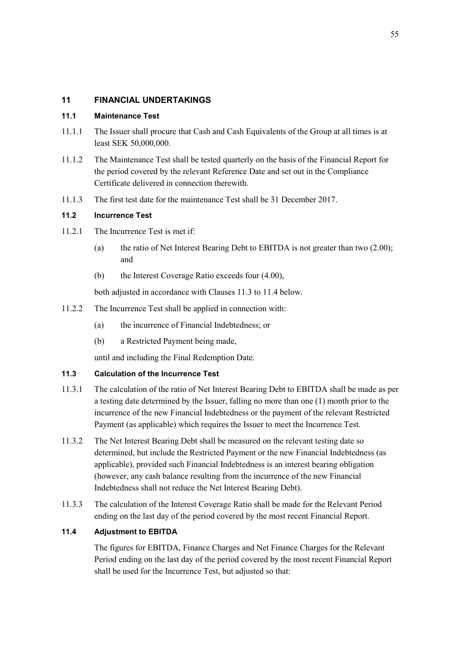# **11 FINANCIAL UNDERTAKINGS**

### **11.1 Maintenance Test**

- 11.1.1 The Issuer shall procure that Cash and Cash Equivalents of the Group at all times is at least SEK 50,000,000.
- 11.1.2 The Maintenance Test shall be tested quarterly on the basis of the Financial Report for the period covered by the relevant Reference Date and set out in the Compliance Certificate delivered in connection therewith.
- 11.1.3 The first test date for the maintenance Test shall be 31 December 2017.

### **11.2 Incurrence Test**

- 11.2.1 The Incurrence Test is met if:
	- (a) the ratio of Net Interest Bearing Debt to EBITDA is not greater than two (2.00); and
	- (b) the Interest Coverage Ratio exceeds four (4.00),

both adjusted in accordance with Clauses 11.3 to 11.4 below.

- 11.2.2 The Incurrence Test shall be applied in connection with:
	- (a) the incurrence of Financial Indebtedness; or
	- (b) a Restricted Payment being made,

until and including the Final Redemption Date.

## **11.3 Calculation of the Incurrence Test**

- 11.3.1 The calculation of the ratio of Net Interest Bearing Debt to EBITDA shall be made as per a testing date determined by the Issuer, falling no more than one (1) month prior to the incurrence of the new Financial Indebtedness or the payment of the relevant Restricted Payment (as applicable) which requires the Issuer to meet the Incurrence Test.
- 11.3.2 The Net Interest Bearing Debt shall be measured on the relevant testing date so determined, but include the Restricted Payment or the new Financial Indebtedness (as applicable), provided such Financial Indebtedness is an interest bearing obligation (however, any cash balance resulting from the incurrence of the new Financial Indebtedness shall not reduce the Net Interest Bearing Debt).
- 11.3.3 The calculation of the Interest Coverage Ratio shall be made for the Relevant Period ending on the last day of the period covered by the most recent Financial Report.

### **11.4 Adjustment to EBITDA**

The figures for EBITDA, Finance Charges and Net Finance Charges for the Relevant Period ending on the last day of the period covered by the most recent Financial Report shall be used for the Incurrence Test, but adjusted so that: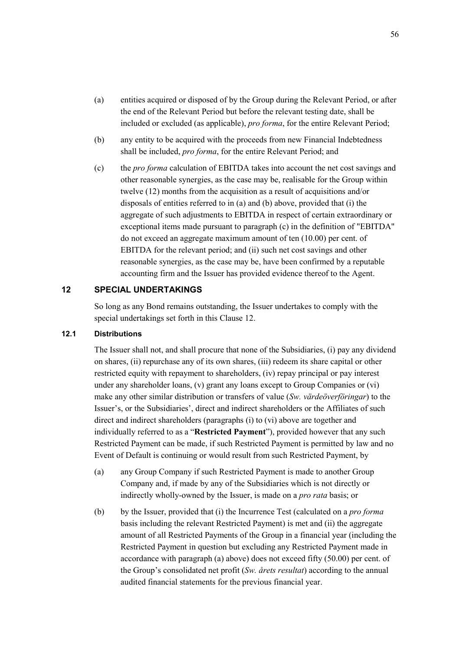- (a) entities acquired or disposed of by the Group during the Relevant Period, or after the end of the Relevant Period but before the relevant testing date, shall be included or excluded (as applicable), *pro forma*, for the entire Relevant Period;
- (b) any entity to be acquired with the proceeds from new Financial Indebtedness shall be included, *pro forma*, for the entire Relevant Period; and
- (c) the *pro forma* calculation of EBITDA takes into account the net cost savings and other reasonable synergies, as the case may be, realisable for the Group within twelve (12) months from the acquisition as a result of acquisitions and/or disposals of entities referred to in (a) and (b) above, provided that (i) the aggregate of such adjustments to EBITDA in respect of certain extraordinary or exceptional items made pursuant to paragraph (c) in the definition of "EBITDA" do not exceed an aggregate maximum amount of ten (10.00) per cent. of EBITDA for the relevant period; and (ii) such net cost savings and other reasonable synergies, as the case may be, have been confirmed by a reputable accounting firm and the Issuer has provided evidence thereof to the Agent.

## **12 SPECIAL UNDERTAKINGS**

So long as any Bond remains outstanding, the Issuer undertakes to comply with the special undertakings set forth in this Clause 12.

### **12.1 Distributions**

The Issuer shall not, and shall procure that none of the Subsidiaries, (i) pay any dividend on shares, (ii) repurchase any of its own shares, (iii) redeem its share capital or other restricted equity with repayment to shareholders, (iv) repay principal or pay interest under any shareholder loans, (v) grant any loans except to Group Companies or (vi) make any other similar distribution or transfers of value (*Sw. värdeöverföringar*) to the Issuer's, or the Subsidiaries', direct and indirect shareholders or the Affiliates of such direct and indirect shareholders (paragraphs (i) to (vi) above are together and individually referred to as a "**Restricted Payment**"), provided however that any such Restricted Payment can be made, if such Restricted Payment is permitted by law and no Event of Default is continuing or would result from such Restricted Payment, by

- (a) any Group Company if such Restricted Payment is made to another Group Company and, if made by any of the Subsidiaries which is not directly or indirectly wholly-owned by the Issuer, is made on a *pro rata* basis; or
- (b) by the Issuer, provided that (i) the Incurrence Test (calculated on a *pro forma* basis including the relevant Restricted Payment) is met and (ii) the aggregate amount of all Restricted Payments of the Group in a financial year (including the Restricted Payment in question but excluding any Restricted Payment made in accordance with paragraph (a) above) does not exceed fifty (50.00) per cent. of the Group's consolidated net profit (*Sw. årets resultat*) according to the annual audited financial statements for the previous financial year.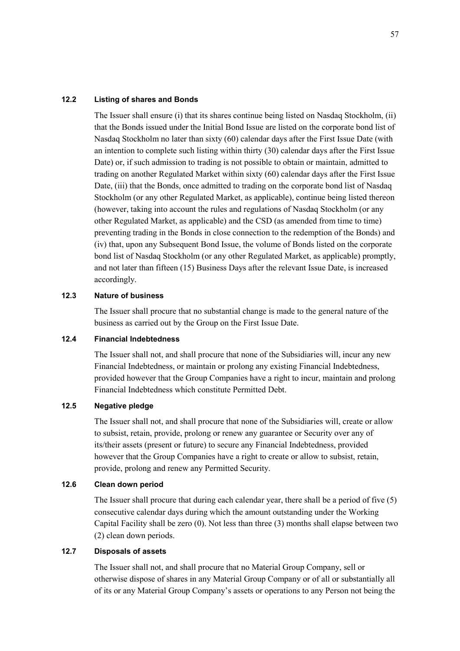#### **12.2 Listing of shares and Bonds**

The Issuer shall ensure (i) that its shares continue being listed on Nasdaq Stockholm, (ii) that the Bonds issued under the Initial Bond Issue are listed on the corporate bond list of Nasdaq Stockholm no later than sixty (60) calendar days after the First Issue Date (with an intention to complete such listing within thirty (30) calendar days after the First Issue Date) or, if such admission to trading is not possible to obtain or maintain, admitted to trading on another Regulated Market within sixty (60) calendar days after the First Issue Date, (iii) that the Bonds, once admitted to trading on the corporate bond list of Nasdaq Stockholm (or any other Regulated Market, as applicable), continue being listed thereon (however, taking into account the rules and regulations of Nasdaq Stockholm (or any other Regulated Market, as applicable) and the CSD (as amended from time to time) preventing trading in the Bonds in close connection to the redemption of the Bonds) and (iv) that, upon any Subsequent Bond Issue, the volume of Bonds listed on the corporate bond list of Nasdaq Stockholm (or any other Regulated Market, as applicable) promptly, and not later than fifteen (15) Business Days after the relevant Issue Date, is increased accordingly.

### **12.3 Nature of business**

The Issuer shall procure that no substantial change is made to the general nature of the business as carried out by the Group on the First Issue Date.

#### **12.4 Financial Indebtedness**

The Issuer shall not, and shall procure that none of the Subsidiaries will, incur any new Financial Indebtedness, or maintain or prolong any existing Financial Indebtedness, provided however that the Group Companies have a right to incur, maintain and prolong Financial Indebtedness which constitute Permitted Debt.

#### **12.5 Negative pledge**

The Issuer shall not, and shall procure that none of the Subsidiaries will, create or allow to subsist, retain, provide, prolong or renew any guarantee or Security over any of its/their assets (present or future) to secure any Financial Indebtedness, provided however that the Group Companies have a right to create or allow to subsist, retain, provide, prolong and renew any Permitted Security.

#### **12.6 Clean down period**

The Issuer shall procure that during each calendar year, there shall be a period of five (5) consecutive calendar days during which the amount outstanding under the Working Capital Facility shall be zero (0). Not less than three (3) months shall elapse between two (2) clean down periods.

#### **12.7 Disposals of assets**

The Issuer shall not, and shall procure that no Material Group Company, sell or otherwise dispose of shares in any Material Group Company or of all or substantially all of its or any Material Group Company's assets or operations to any Person not being the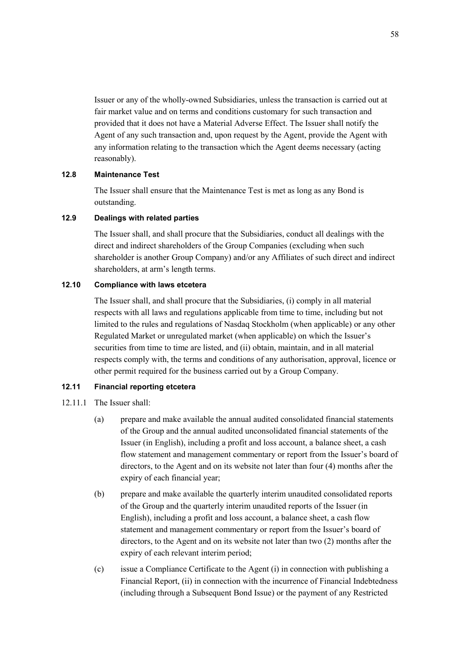Issuer or any of the wholly-owned Subsidiaries, unless the transaction is carried out at fair market value and on terms and conditions customary for such transaction and provided that it does not have a Material Adverse Effect. The Issuer shall notify the Agent of any such transaction and, upon request by the Agent, provide the Agent with any information relating to the transaction which the Agent deems necessary (acting reasonably).

### **12.8 Maintenance Test**

The Issuer shall ensure that the Maintenance Test is met as long as any Bond is outstanding.

### **12.9 Dealings with related parties**

The Issuer shall, and shall procure that the Subsidiaries, conduct all dealings with the direct and indirect shareholders of the Group Companies (excluding when such shareholder is another Group Company) and/or any Affiliates of such direct and indirect shareholders, at arm's length terms.

### **12.10 Compliance with laws etcetera**

The Issuer shall, and shall procure that the Subsidiaries, (i) comply in all material respects with all laws and regulations applicable from time to time, including but not limited to the rules and regulations of Nasdaq Stockholm (when applicable) or any other Regulated Market or unregulated market (when applicable) on which the Issuer's securities from time to time are listed, and (ii) obtain, maintain, and in all material respects comply with, the terms and conditions of any authorisation, approval, licence or other permit required for the business carried out by a Group Company.

### **12.11 Financial reporting etcetera**

- 12.11.1 The Issuer shall:
	- (a) prepare and make available the annual audited consolidated financial statements of the Group and the annual audited unconsolidated financial statements of the Issuer (in English), including a profit and loss account, a balance sheet, a cash flow statement and management commentary or report from the Issuer's board of directors, to the Agent and on its website not later than four (4) months after the expiry of each financial year;
	- (b) prepare and make available the quarterly interim unaudited consolidated reports of the Group and the quarterly interim unaudited reports of the Issuer (in English), including a profit and loss account, a balance sheet, a cash flow statement and management commentary or report from the Issuer's board of directors, to the Agent and on its website not later than two (2) months after the expiry of each relevant interim period;
	- (c) issue a Compliance Certificate to the Agent (i) in connection with publishing a Financial Report, (ii) in connection with the incurrence of Financial Indebtedness (including through a Subsequent Bond Issue) or the payment of any Restricted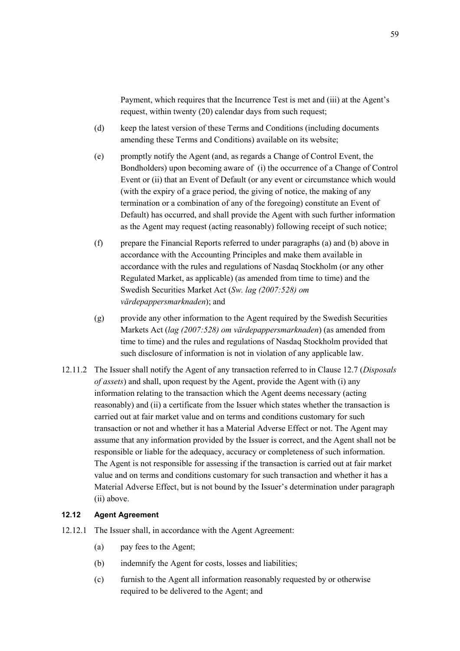Payment, which requires that the Incurrence Test is met and (iii) at the Agent's request, within twenty (20) calendar days from such request;

- (d) keep the latest version of these Terms and Conditions (including documents amending these Terms and Conditions) available on its website;
- (e) promptly notify the Agent (and, as regards a Change of Control Event, the Bondholders) upon becoming aware of (i) the occurrence of a Change of Control Event or (ii) that an Event of Default (or any event or circumstance which would (with the expiry of a grace period, the giving of notice, the making of any termination or a combination of any of the foregoing) constitute an Event of Default) has occurred, and shall provide the Agent with such further information as the Agent may request (acting reasonably) following receipt of such notice;
- (f) prepare the Financial Reports referred to under paragraphs (a) and (b) above in accordance with the Accounting Principles and make them available in accordance with the rules and regulations of Nasdaq Stockholm (or any other Regulated Market, as applicable) (as amended from time to time) and the Swedish Securities Market Act (*Sw. lag (2007:528) om värdepappersmarknaden*); and
- (g) provide any other information to the Agent required by the Swedish Securities Markets Act (*lag (2007:528) om värdepappersmarknaden*) (as amended from time to time) and the rules and regulations of Nasdaq Stockholm provided that such disclosure of information is not in violation of any applicable law.
- 12.11.2 The Issuer shall notify the Agent of any transaction referred to in Clause 12.7 (*Disposals of assets*) and shall, upon request by the Agent, provide the Agent with (i) any information relating to the transaction which the Agent deems necessary (acting reasonably) and (ii) a certificate from the Issuer which states whether the transaction is carried out at fair market value and on terms and conditions customary for such transaction or not and whether it has a Material Adverse Effect or not. The Agent may assume that any information provided by the Issuer is correct, and the Agent shall not be responsible or liable for the adequacy, accuracy or completeness of such information. The Agent is not responsible for assessing if the transaction is carried out at fair market value and on terms and conditions customary for such transaction and whether it has a Material Adverse Effect, but is not bound by the Issuer's determination under paragraph (ii) above.

#### **12.12 Agent Agreement**

- 12.12.1 The Issuer shall, in accordance with the Agent Agreement:
	- (a) pay fees to the Agent;
	- (b) indemnify the Agent for costs, losses and liabilities;
	- (c) furnish to the Agent all information reasonably requested by or otherwise required to be delivered to the Agent; and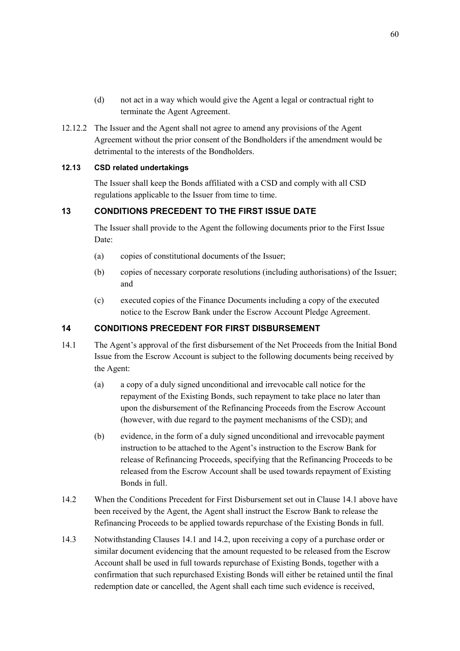- (d) not act in a way which would give the Agent a legal or contractual right to terminate the Agent Agreement.
- 12.12.2 The Issuer and the Agent shall not agree to amend any provisions of the Agent Agreement without the prior consent of the Bondholders if the amendment would be detrimental to the interests of the Bondholders.

### **12.13 CSD related undertakings**

The Issuer shall keep the Bonds affiliated with a CSD and comply with all CSD regulations applicable to the Issuer from time to time.

## **13 CONDITIONS PRECEDENT TO THE FIRST ISSUE DATE**

The Issuer shall provide to the Agent the following documents prior to the First Issue Date:

- (a) copies of constitutional documents of the Issuer;
- (b) copies of necessary corporate resolutions (including authorisations) of the Issuer; and
- (c) executed copies of the Finance Documents including a copy of the executed notice to the Escrow Bank under the Escrow Account Pledge Agreement.

## **14 CONDITIONS PRECEDENT FOR FIRST DISBURSEMENT**

- 14.1 The Agent's approval of the first disbursement of the Net Proceeds from the Initial Bond Issue from the Escrow Account is subject to the following documents being received by the Agent:
	- (a) a copy of a duly signed unconditional and irrevocable call notice for the repayment of the Existing Bonds, such repayment to take place no later than upon the disbursement of the Refinancing Proceeds from the Escrow Account (however, with due regard to the payment mechanisms of the CSD); and
	- (b) evidence, in the form of a duly signed unconditional and irrevocable payment instruction to be attached to the Agent's instruction to the Escrow Bank for release of Refinancing Proceeds, specifying that the Refinancing Proceeds to be released from the Escrow Account shall be used towards repayment of Existing Bonds in full.
- 14.2 When the Conditions Precedent for First Disbursement set out in Clause 14.1 above have been received by the Agent, the Agent shall instruct the Escrow Bank to release the Refinancing Proceeds to be applied towards repurchase of the Existing Bonds in full.
- 14.3 Notwithstanding Clauses 14.1 and 14.2, upon receiving a copy of a purchase order or similar document evidencing that the amount requested to be released from the Escrow Account shall be used in full towards repurchase of Existing Bonds, together with a confirmation that such repurchased Existing Bonds will either be retained until the final redemption date or cancelled, the Agent shall each time such evidence is received,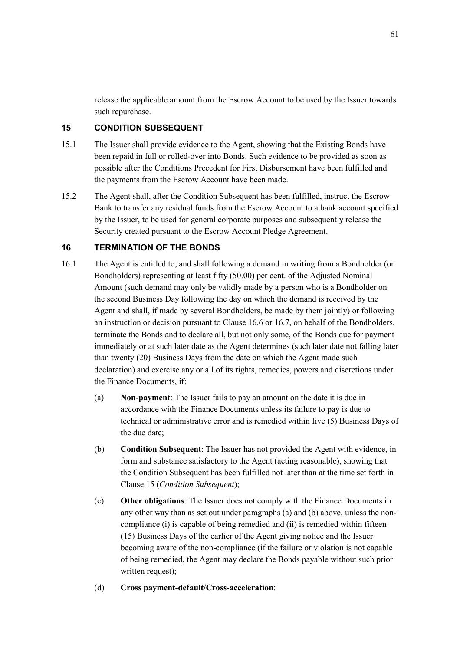release the applicable amount from the Escrow Account to be used by the Issuer towards such repurchase.

## **15 CONDITION SUBSEQUENT**

- 15.1 The Issuer shall provide evidence to the Agent, showing that the Existing Bonds have been repaid in full or rolled-over into Bonds. Such evidence to be provided as soon as possible after the Conditions Precedent for First Disbursement have been fulfilled and the payments from the Escrow Account have been made.
- 15.2 The Agent shall, after the Condition Subsequent has been fulfilled, instruct the Escrow Bank to transfer any residual funds from the Escrow Account to a bank account specified by the Issuer, to be used for general corporate purposes and subsequently release the Security created pursuant to the Escrow Account Pledge Agreement.

### **16 TERMINATION OF THE BONDS**

- 16.1 The Agent is entitled to, and shall following a demand in writing from a Bondholder (or Bondholders) representing at least fifty (50.00) per cent. of the Adjusted Nominal Amount (such demand may only be validly made by a person who is a Bondholder on the second Business Day following the day on which the demand is received by the Agent and shall, if made by several Bondholders, be made by them jointly) or following an instruction or decision pursuant to Clause 16.6 or 16.7, on behalf of the Bondholders, terminate the Bonds and to declare all, but not only some, of the Bonds due for payment immediately or at such later date as the Agent determines (such later date not falling later than twenty (20) Business Days from the date on which the Agent made such declaration) and exercise any or all of its rights, remedies, powers and discretions under the Finance Documents, if:
	- (a) **Non-payment**: The Issuer fails to pay an amount on the date it is due in accordance with the Finance Documents unless its failure to pay is due to technical or administrative error and is remedied within five (5) Business Days of the due date;
	- (b) **Condition Subsequent**: The Issuer has not provided the Agent with evidence, in form and substance satisfactory to the Agent (acting reasonable), showing that the Condition Subsequent has been fulfilled not later than at the time set forth in Clause 15 (*Condition Subsequent*);
	- (c) **Other obligations**: The Issuer does not comply with the Finance Documents in any other way than as set out under paragraphs (a) and (b) above, unless the noncompliance (i) is capable of being remedied and (ii) is remedied within fifteen (15) Business Days of the earlier of the Agent giving notice and the Issuer becoming aware of the non-compliance (if the failure or violation is not capable of being remedied, the Agent may declare the Bonds payable without such prior written request);
	- (d) **Cross payment-default/Cross-acceleration**: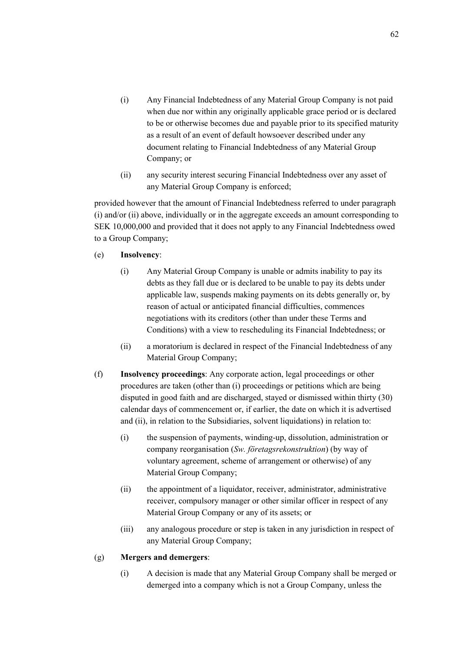- (i) Any Financial Indebtedness of any Material Group Company is not paid when due nor within any originally applicable grace period or is declared to be or otherwise becomes due and payable prior to its specified maturity as a result of an event of default howsoever described under any document relating to Financial Indebtedness of any Material Group Company; or
- (ii) any security interest securing Financial Indebtedness over any asset of any Material Group Company is enforced;

provided however that the amount of Financial Indebtedness referred to under paragraph (i) and/or (ii) above, individually or in the aggregate exceeds an amount corresponding to SEK 10,000,000 and provided that it does not apply to any Financial Indebtedness owed to a Group Company;

- (e) **Insolvency**:
	- (i) Any Material Group Company is unable or admits inability to pay its debts as they fall due or is declared to be unable to pay its debts under applicable law, suspends making payments on its debts generally or, by reason of actual or anticipated financial difficulties, commences negotiations with its creditors (other than under these Terms and Conditions) with a view to rescheduling its Financial Indebtedness; or
	- (ii) a moratorium is declared in respect of the Financial Indebtedness of any Material Group Company;
- (f) **Insolvency proceedings**: Any corporate action, legal proceedings or other procedures are taken (other than (i) proceedings or petitions which are being disputed in good faith and are discharged, stayed or dismissed within thirty (30) calendar days of commencement or, if earlier, the date on which it is advertised and (ii), in relation to the Subsidiaries, solvent liquidations) in relation to:
	- (i) the suspension of payments, winding-up, dissolution, administration or company reorganisation (*Sw. företagsrekonstruktion*) (by way of voluntary agreement, scheme of arrangement or otherwise) of any Material Group Company;
	- (ii) the appointment of a liquidator, receiver, administrator, administrative receiver, compulsory manager or other similar officer in respect of any Material Group Company or any of its assets; or
	- (iii) any analogous procedure or step is taken in any jurisdiction in respect of any Material Group Company;

#### (g) **Mergers and demergers**:

(i) A decision is made that any Material Group Company shall be merged or demerged into a company which is not a Group Company, unless the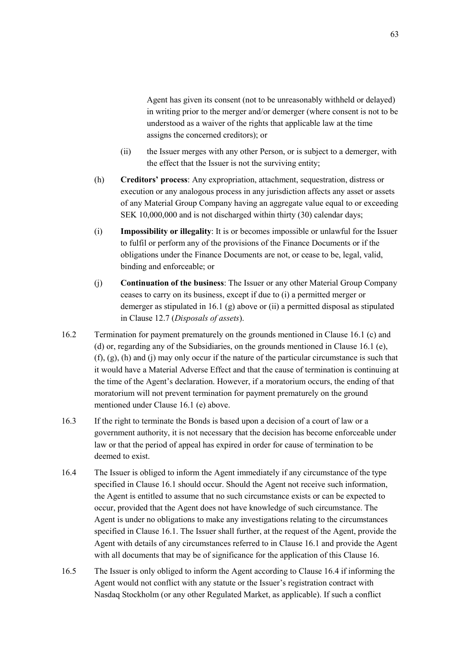Agent has given its consent (not to be unreasonably withheld or delayed) in writing prior to the merger and/or demerger (where consent is not to be understood as a waiver of the rights that applicable law at the time assigns the concerned creditors); or

- (ii) the Issuer merges with any other Person, or is subject to a demerger, with the effect that the Issuer is not the surviving entity;
- (h) **Creditors' process**: Any expropriation, attachment, sequestration, distress or execution or any analogous process in any jurisdiction affects any asset or assets of any Material Group Company having an aggregate value equal to or exceeding SEK 10,000,000 and is not discharged within thirty (30) calendar days;
- (i) **Impossibility or illegality**: It is or becomes impossible or unlawful for the Issuer to fulfil or perform any of the provisions of the Finance Documents or if the obligations under the Finance Documents are not, or cease to be, legal, valid, binding and enforceable; or
- (j) **Continuation of the business**: The Issuer or any other Material Group Company ceases to carry on its business, except if due to (i) a permitted merger or demerger as stipulated in 16.1 (g) above or (ii) a permitted disposal as stipulated in Clause 12.7 (*Disposals of assets*).
- 16.2 Termination for payment prematurely on the grounds mentioned in Clause 16.1 (c) and (d) or, regarding any of the Subsidiaries, on the grounds mentioned in Clause 16.1 (e),  $(f)$ ,  $(g)$ ,  $(h)$  and  $(i)$  may only occur if the nature of the particular circumstance is such that it would have a Material Adverse Effect and that the cause of termination is continuing at the time of the Agent's declaration. However, if a moratorium occurs, the ending of that moratorium will not prevent termination for payment prematurely on the ground mentioned under Clause 16.1 (e) above.
- 16.3 If the right to terminate the Bonds is based upon a decision of a court of law or a government authority, it is not necessary that the decision has become enforceable under law or that the period of appeal has expired in order for cause of termination to be deemed to exist.
- 16.4 The Issuer is obliged to inform the Agent immediately if any circumstance of the type specified in Clause 16.1 should occur. Should the Agent not receive such information, the Agent is entitled to assume that no such circumstance exists or can be expected to occur, provided that the Agent does not have knowledge of such circumstance. The Agent is under no obligations to make any investigations relating to the circumstances specified in Clause 16.1. The Issuer shall further, at the request of the Agent, provide the Agent with details of any circumstances referred to in Clause 16.1 and provide the Agent with all documents that may be of significance for the application of this Clause 16.
- 16.5 The Issuer is only obliged to inform the Agent according to Clause 16.4 if informing the Agent would not conflict with any statute or the Issuer's registration contract with Nasdaq Stockholm (or any other Regulated Market, as applicable). If such a conflict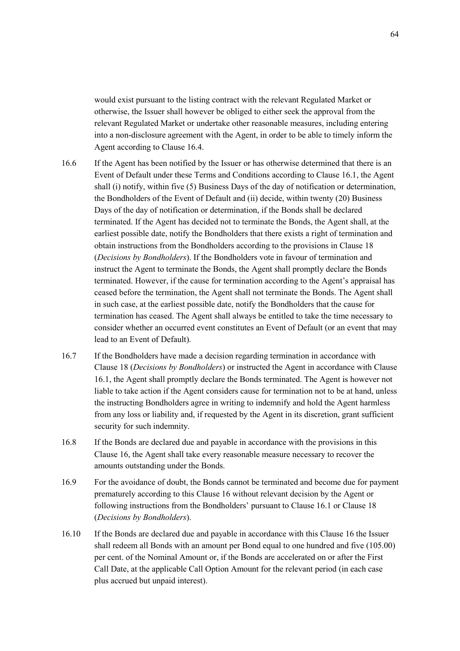would exist pursuant to the listing contract with the relevant Regulated Market or otherwise, the Issuer shall however be obliged to either seek the approval from the relevant Regulated Market or undertake other reasonable measures, including entering into a non-disclosure agreement with the Agent, in order to be able to timely inform the Agent according to Clause 16.4.

- 16.6 If the Agent has been notified by the Issuer or has otherwise determined that there is an Event of Default under these Terms and Conditions according to Clause 16.1, the Agent shall (i) notify, within five (5) Business Days of the day of notification or determination, the Bondholders of the Event of Default and (ii) decide, within twenty (20) Business Days of the day of notification or determination, if the Bonds shall be declared terminated. If the Agent has decided not to terminate the Bonds, the Agent shall, at the earliest possible date, notify the Bondholders that there exists a right of termination and obtain instructions from the Bondholders according to the provisions in Clause 18 (*Decisions by Bondholders*). If the Bondholders vote in favour of termination and instruct the Agent to terminate the Bonds, the Agent shall promptly declare the Bonds terminated. However, if the cause for termination according to the Agent's appraisal has ceased before the termination, the Agent shall not terminate the Bonds. The Agent shall in such case, at the earliest possible date, notify the Bondholders that the cause for termination has ceased. The Agent shall always be entitled to take the time necessary to consider whether an occurred event constitutes an Event of Default (or an event that may lead to an Event of Default).
- 16.7 If the Bondholders have made a decision regarding termination in accordance with Clause 18 (*Decisions by Bondholders*) or instructed the Agent in accordance with Clause 16.1, the Agent shall promptly declare the Bonds terminated. The Agent is however not liable to take action if the Agent considers cause for termination not to be at hand, unless the instructing Bondholders agree in writing to indemnify and hold the Agent harmless from any loss or liability and, if requested by the Agent in its discretion, grant sufficient security for such indemnity.
- 16.8 If the Bonds are declared due and payable in accordance with the provisions in this Clause 16, the Agent shall take every reasonable measure necessary to recover the amounts outstanding under the Bonds.
- 16.9 For the avoidance of doubt, the Bonds cannot be terminated and become due for payment prematurely according to this Clause 16 without relevant decision by the Agent or following instructions from the Bondholders' pursuant to Clause 16.1 or Clause 18 (*Decisions by Bondholders*).
- 16.10 If the Bonds are declared due and payable in accordance with this Clause 16 the Issuer shall redeem all Bonds with an amount per Bond equal to one hundred and five (105.00) per cent. of the Nominal Amount or, if the Bonds are accelerated on or after the First Call Date, at the applicable Call Option Amount for the relevant period (in each case plus accrued but unpaid interest).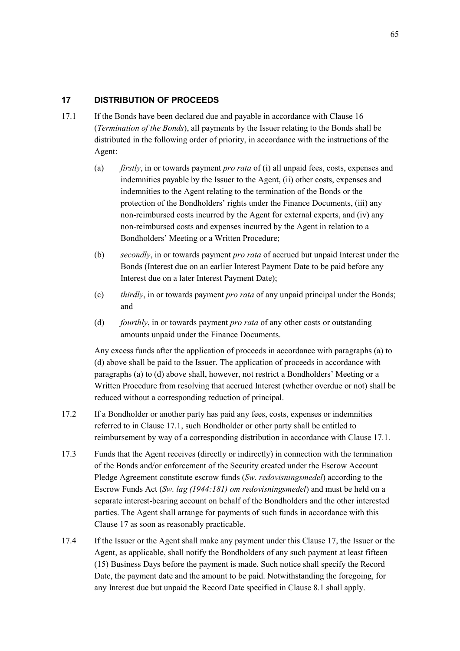## **17 DISTRIBUTION OF PROCEEDS**

- 17.1 If the Bonds have been declared due and payable in accordance with Clause 16 (*Termination of the Bonds*), all payments by the Issuer relating to the Bonds shall be distributed in the following order of priority, in accordance with the instructions of the Agent:
	- (a) *firstly*, in or towards payment *pro rata* of (i) all unpaid fees, costs, expenses and indemnities payable by the Issuer to the Agent, (ii) other costs, expenses and indemnities to the Agent relating to the termination of the Bonds or the protection of the Bondholders' rights under the Finance Documents, (iii) any non-reimbursed costs incurred by the Agent for external experts, and (iv) any non-reimbursed costs and expenses incurred by the Agent in relation to a Bondholders' Meeting or a Written Procedure;
	- (b) *secondly*, in or towards payment *pro rata* of accrued but unpaid Interest under the Bonds (Interest due on an earlier Interest Payment Date to be paid before any Interest due on a later Interest Payment Date);
	- (c) *thirdly*, in or towards payment *pro rata* of any unpaid principal under the Bonds; and
	- (d) *fourthly*, in or towards payment *pro rata* of any other costs or outstanding amounts unpaid under the Finance Documents.

Any excess funds after the application of proceeds in accordance with paragraphs (a) to (d) above shall be paid to the Issuer. The application of proceeds in accordance with paragraphs (a) to (d) above shall, however, not restrict a Bondholders' Meeting or a Written Procedure from resolving that accrued Interest (whether overdue or not) shall be reduced without a corresponding reduction of principal.

- 17.2 If a Bondholder or another party has paid any fees, costs, expenses or indemnities referred to in Clause 17.1, such Bondholder or other party shall be entitled to reimbursement by way of a corresponding distribution in accordance with Clause 17.1.
- 17.3 Funds that the Agent receives (directly or indirectly) in connection with the termination of the Bonds and/or enforcement of the Security created under the Escrow Account Pledge Agreement constitute escrow funds (*Sw. redovisningsmedel*) according to the Escrow Funds Act (*Sw. lag (1944:181) om redovisningsmedel*) and must be held on a separate interest-bearing account on behalf of the Bondholders and the other interested parties. The Agent shall arrange for payments of such funds in accordance with this Clause 17 as soon as reasonably practicable.
- 17.4 If the Issuer or the Agent shall make any payment under this Clause 17, the Issuer or the Agent, as applicable, shall notify the Bondholders of any such payment at least fifteen (15) Business Days before the payment is made. Such notice shall specify the Record Date, the payment date and the amount to be paid. Notwithstanding the foregoing, for any Interest due but unpaid the Record Date specified in Clause 8.1 shall apply.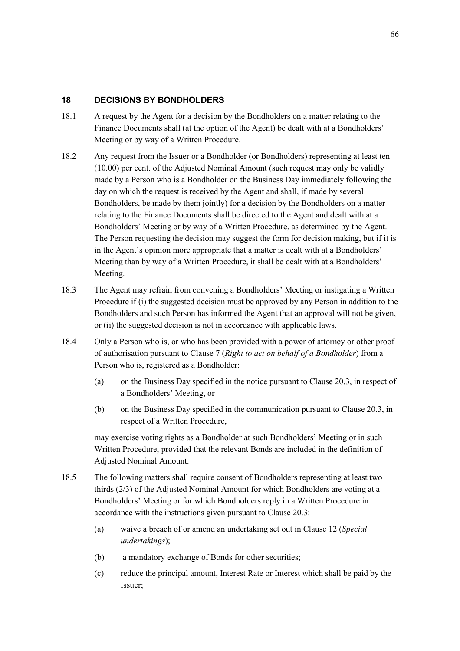## **18 DECISIONS BY BONDHOLDERS**

- 18.1 A request by the Agent for a decision by the Bondholders on a matter relating to the Finance Documents shall (at the option of the Agent) be dealt with at a Bondholders' Meeting or by way of a Written Procedure.
- 18.2 Any request from the Issuer or a Bondholder (or Bondholders) representing at least ten (10.00) per cent. of the Adjusted Nominal Amount (such request may only be validly made by a Person who is a Bondholder on the Business Day immediately following the day on which the request is received by the Agent and shall, if made by several Bondholders, be made by them jointly) for a decision by the Bondholders on a matter relating to the Finance Documents shall be directed to the Agent and dealt with at a Bondholders' Meeting or by way of a Written Procedure, as determined by the Agent. The Person requesting the decision may suggest the form for decision making, but if it is in the Agent's opinion more appropriate that a matter is dealt with at a Bondholders' Meeting than by way of a Written Procedure, it shall be dealt with at a Bondholders' Meeting.
- 18.3 The Agent may refrain from convening a Bondholders' Meeting or instigating a Written Procedure if (i) the suggested decision must be approved by any Person in addition to the Bondholders and such Person has informed the Agent that an approval will not be given, or (ii) the suggested decision is not in accordance with applicable laws.
- 18.4 Only a Person who is, or who has been provided with a power of attorney or other proof of authorisation pursuant to Clause 7 (*Right to act on behalf of a Bondholder*) from a Person who is, registered as a Bondholder:
	- (a) on the Business Day specified in the notice pursuant to Clause 20.3, in respect of a Bondholders' Meeting, or
	- (b) on the Business Day specified in the communication pursuant to Clause 20.3, in respect of a Written Procedure,

may exercise voting rights as a Bondholder at such Bondholders' Meeting or in such Written Procedure, provided that the relevant Bonds are included in the definition of Adjusted Nominal Amount.

- 18.5 The following matters shall require consent of Bondholders representing at least two thirds (2/3) of the Adjusted Nominal Amount for which Bondholders are voting at a Bondholders' Meeting or for which Bondholders reply in a Written Procedure in accordance with the instructions given pursuant to Clause 20.3:
	- (a) waive a breach of or amend an undertaking set out in Clause 12 (*Special undertakings*);
	- (b) a mandatory exchange of Bonds for other securities;
	- (c) reduce the principal amount, Interest Rate or Interest which shall be paid by the Issuer;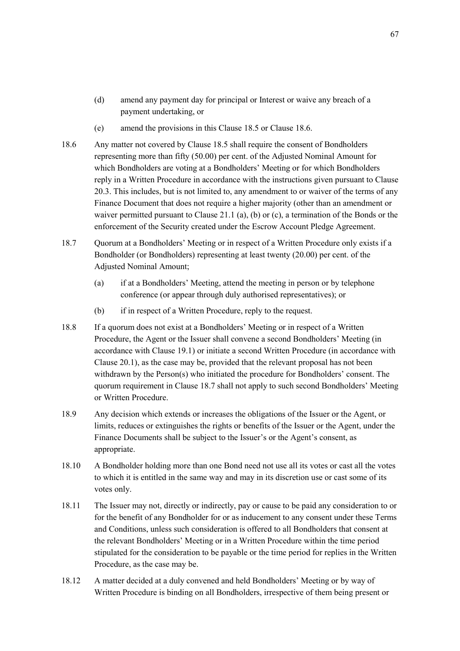- (d) amend any payment day for principal or Interest or waive any breach of a payment undertaking, or
- (e) amend the provisions in this Clause 18.5 or Clause 18.6.
- 18.6 Any matter not covered by Clause 18.5 shall require the consent of Bondholders representing more than fifty (50.00) per cent. of the Adjusted Nominal Amount for which Bondholders are voting at a Bondholders' Meeting or for which Bondholders reply in a Written Procedure in accordance with the instructions given pursuant to Clause 20.3. This includes, but is not limited to, any amendment to or waiver of the terms of any Finance Document that does not require a higher majority (other than an amendment or waiver permitted pursuant to Clause 21.1 (a), (b) or (c), a termination of the Bonds or the enforcement of the Security created under the Escrow Account Pledge Agreement.
- 18.7 Quorum at a Bondholders' Meeting or in respect of a Written Procedure only exists if a Bondholder (or Bondholders) representing at least twenty (20.00) per cent. of the Adjusted Nominal Amount;
	- (a) if at a Bondholders' Meeting, attend the meeting in person or by telephone conference (or appear through duly authorised representatives); or
	- (b) if in respect of a Written Procedure, reply to the request.
- 18.8 If a quorum does not exist at a Bondholders' Meeting or in respect of a Written Procedure, the Agent or the Issuer shall convene a second Bondholders' Meeting (in accordance with Clause 19.1) or initiate a second Written Procedure (in accordance with Clause 20.1), as the case may be, provided that the relevant proposal has not been withdrawn by the Person(s) who initiated the procedure for Bondholders' consent. The quorum requirement in Clause 18.7 shall not apply to such second Bondholders' Meeting or Written Procedure.
- 18.9 Any decision which extends or increases the obligations of the Issuer or the Agent, or limits, reduces or extinguishes the rights or benefits of the Issuer or the Agent, under the Finance Documents shall be subject to the Issuer's or the Agent's consent, as appropriate.
- 18.10 A Bondholder holding more than one Bond need not use all its votes or cast all the votes to which it is entitled in the same way and may in its discretion use or cast some of its votes only.
- 18.11 The Issuer may not, directly or indirectly, pay or cause to be paid any consideration to or for the benefit of any Bondholder for or as inducement to any consent under these Terms and Conditions, unless such consideration is offered to all Bondholders that consent at the relevant Bondholders' Meeting or in a Written Procedure within the time period stipulated for the consideration to be payable or the time period for replies in the Written Procedure, as the case may be.
- 18.12 A matter decided at a duly convened and held Bondholders' Meeting or by way of Written Procedure is binding on all Bondholders, irrespective of them being present or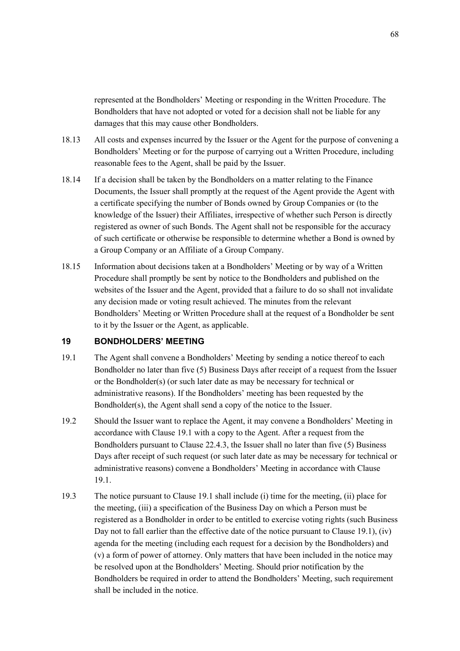represented at the Bondholders' Meeting or responding in the Written Procedure. The Bondholders that have not adopted or voted for a decision shall not be liable for any damages that this may cause other Bondholders.

- 18.13 All costs and expenses incurred by the Issuer or the Agent for the purpose of convening a Bondholders' Meeting or for the purpose of carrying out a Written Procedure, including reasonable fees to the Agent, shall be paid by the Issuer.
- 18.14 If a decision shall be taken by the Bondholders on a matter relating to the Finance Documents, the Issuer shall promptly at the request of the Agent provide the Agent with a certificate specifying the number of Bonds owned by Group Companies or (to the knowledge of the Issuer) their Affiliates, irrespective of whether such Person is directly registered as owner of such Bonds. The Agent shall not be responsible for the accuracy of such certificate or otherwise be responsible to determine whether a Bond is owned by a Group Company or an Affiliate of a Group Company.
- 18.15 Information about decisions taken at a Bondholders' Meeting or by way of a Written Procedure shall promptly be sent by notice to the Bondholders and published on the websites of the Issuer and the Agent, provided that a failure to do so shall not invalidate any decision made or voting result achieved. The minutes from the relevant Bondholders' Meeting or Written Procedure shall at the request of a Bondholder be sent to it by the Issuer or the Agent, as applicable.

#### **19 BONDHOLDERS' MEETING**

- 19.1 The Agent shall convene a Bondholders' Meeting by sending a notice thereof to each Bondholder no later than five (5) Business Days after receipt of a request from the Issuer or the Bondholder(s) (or such later date as may be necessary for technical or administrative reasons). If the Bondholders' meeting has been requested by the Bondholder(s), the Agent shall send a copy of the notice to the Issuer.
- 19.2 Should the Issuer want to replace the Agent, it may convene a Bondholders' Meeting in accordance with Clause 19.1 with a copy to the Agent. After a request from the Bondholders pursuant to Clause 22.4.3, the Issuer shall no later than five (5) Business Days after receipt of such request (or such later date as may be necessary for technical or administrative reasons) convene a Bondholders' Meeting in accordance with Clause 19.1.
- 19.3 The notice pursuant to Clause 19.1 shall include (i) time for the meeting, (ii) place for the meeting, (iii) a specification of the Business Day on which a Person must be registered as a Bondholder in order to be entitled to exercise voting rights (such Business Day not to fall earlier than the effective date of the notice pursuant to Clause 19.1), (iv) agenda for the meeting (including each request for a decision by the Bondholders) and (v) a form of power of attorney. Only matters that have been included in the notice may be resolved upon at the Bondholders' Meeting. Should prior notification by the Bondholders be required in order to attend the Bondholders' Meeting, such requirement shall be included in the notice.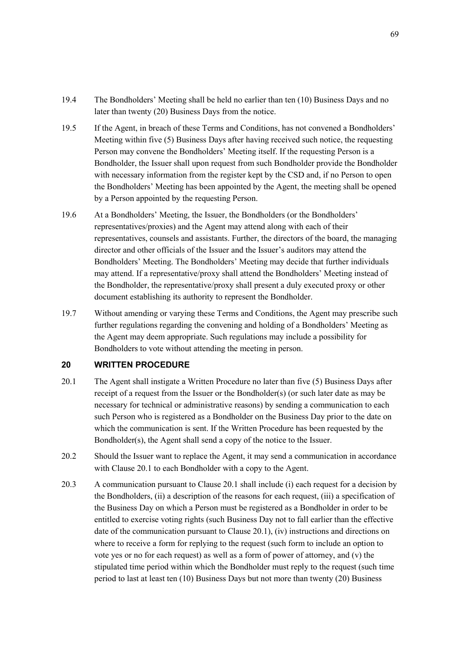- 19.4 The Bondholders' Meeting shall be held no earlier than ten (10) Business Days and no later than twenty (20) Business Days from the notice.
- 19.5 If the Agent, in breach of these Terms and Conditions, has not convened a Bondholders' Meeting within five (5) Business Days after having received such notice, the requesting Person may convene the Bondholders' Meeting itself. If the requesting Person is a Bondholder, the Issuer shall upon request from such Bondholder provide the Bondholder with necessary information from the register kept by the CSD and, if no Person to open the Bondholders' Meeting has been appointed by the Agent, the meeting shall be opened by a Person appointed by the requesting Person.
- 19.6 At a Bondholders' Meeting, the Issuer, the Bondholders (or the Bondholders' representatives/proxies) and the Agent may attend along with each of their representatives, counsels and assistants. Further, the directors of the board, the managing director and other officials of the Issuer and the Issuer's auditors may attend the Bondholders' Meeting. The Bondholders' Meeting may decide that further individuals may attend. If a representative/proxy shall attend the Bondholders' Meeting instead of the Bondholder, the representative/proxy shall present a duly executed proxy or other document establishing its authority to represent the Bondholder.
- 19.7 Without amending or varying these Terms and Conditions, the Agent may prescribe such further regulations regarding the convening and holding of a Bondholders' Meeting as the Agent may deem appropriate. Such regulations may include a possibility for Bondholders to vote without attending the meeting in person.

## **20 WRITTEN PROCEDURE**

- 20.1 The Agent shall instigate a Written Procedure no later than five (5) Business Days after receipt of a request from the Issuer or the Bondholder(s) (or such later date as may be necessary for technical or administrative reasons) by sending a communication to each such Person who is registered as a Bondholder on the Business Day prior to the date on which the communication is sent. If the Written Procedure has been requested by the Bondholder(s), the Agent shall send a copy of the notice to the Issuer.
- 20.2 Should the Issuer want to replace the Agent, it may send a communication in accordance with Clause 20.1 to each Bondholder with a copy to the Agent.
- 20.3 A communication pursuant to Clause 20.1 shall include (i) each request for a decision by the Bondholders, (ii) a description of the reasons for each request, (iii) a specification of the Business Day on which a Person must be registered as a Bondholder in order to be entitled to exercise voting rights (such Business Day not to fall earlier than the effective date of the communication pursuant to Clause 20.1), (iv) instructions and directions on where to receive a form for replying to the request (such form to include an option to vote yes or no for each request) as well as a form of power of attorney, and (v) the stipulated time period within which the Bondholder must reply to the request (such time period to last at least ten (10) Business Days but not more than twenty (20) Business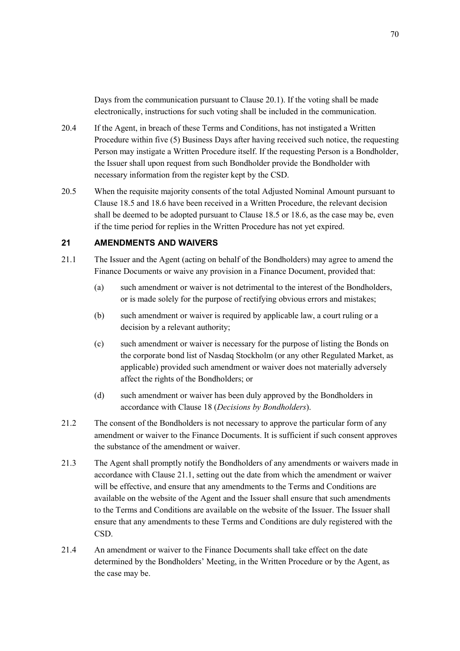Days from the communication pursuant to Clause 20.1). If the voting shall be made electronically, instructions for such voting shall be included in the communication.

- 20.4 If the Agent, in breach of these Terms and Conditions, has not instigated a Written Procedure within five (5) Business Days after having received such notice, the requesting Person may instigate a Written Procedure itself. If the requesting Person is a Bondholder, the Issuer shall upon request from such Bondholder provide the Bondholder with necessary information from the register kept by the CSD.
- 20.5 When the requisite majority consents of the total Adjusted Nominal Amount pursuant to Clause 18.5 and 18.6 have been received in a Written Procedure, the relevant decision shall be deemed to be adopted pursuant to Clause 18.5 or 18.6, as the case may be, even if the time period for replies in the Written Procedure has not yet expired.

## **21 AMENDMENTS AND WAIVERS**

- 21.1 The Issuer and the Agent (acting on behalf of the Bondholders) may agree to amend the Finance Documents or waive any provision in a Finance Document, provided that:
	- (a) such amendment or waiver is not detrimental to the interest of the Bondholders, or is made solely for the purpose of rectifying obvious errors and mistakes;
	- (b) such amendment or waiver is required by applicable law, a court ruling or a decision by a relevant authority;
	- (c) such amendment or waiver is necessary for the purpose of listing the Bonds on the corporate bond list of Nasdaq Stockholm (or any other Regulated Market, as applicable) provided such amendment or waiver does not materially adversely affect the rights of the Bondholders; or
	- (d) such amendment or waiver has been duly approved by the Bondholders in accordance with Clause 18 (*Decisions by Bondholders*).
- 21.2 The consent of the Bondholders is not necessary to approve the particular form of any amendment or waiver to the Finance Documents. It is sufficient if such consent approves the substance of the amendment or waiver.
- 21.3 The Agent shall promptly notify the Bondholders of any amendments or waivers made in accordance with Clause 21.1, setting out the date from which the amendment or waiver will be effective, and ensure that any amendments to the Terms and Conditions are available on the website of the Agent and the Issuer shall ensure that such amendments to the Terms and Conditions are available on the website of the Issuer. The Issuer shall ensure that any amendments to these Terms and Conditions are duly registered with the CSD.
- 21.4 An amendment or waiver to the Finance Documents shall take effect on the date determined by the Bondholders' Meeting, in the Written Procedure or by the Agent, as the case may be.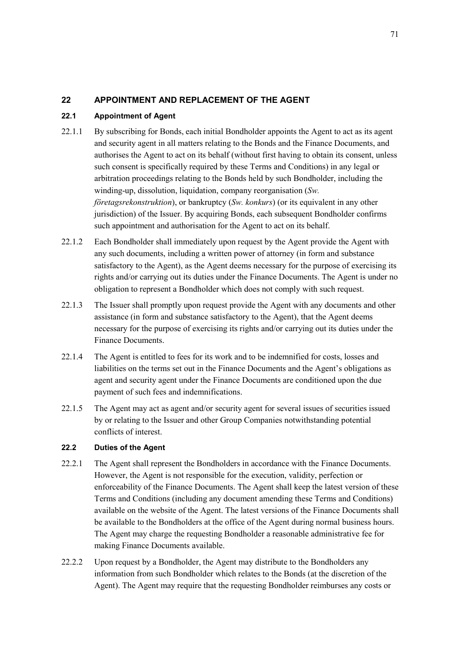# **22 APPOINTMENT AND REPLACEMENT OF THE AGENT**

## **22.1 Appointment of Agent**

- 22.1.1 By subscribing for Bonds, each initial Bondholder appoints the Agent to act as its agent and security agent in all matters relating to the Bonds and the Finance Documents, and authorises the Agent to act on its behalf (without first having to obtain its consent, unless such consent is specifically required by these Terms and Conditions) in any legal or arbitration proceedings relating to the Bonds held by such Bondholder, including the winding-up, dissolution, liquidation, company reorganisation (*Sw. företagsrekonstruktion*), or bankruptcy (*Sw. konkurs*) (or its equivalent in any other jurisdiction) of the Issuer. By acquiring Bonds, each subsequent Bondholder confirms such appointment and authorisation for the Agent to act on its behalf.
- 22.1.2 Each Bondholder shall immediately upon request by the Agent provide the Agent with any such documents, including a written power of attorney (in form and substance satisfactory to the Agent), as the Agent deems necessary for the purpose of exercising its rights and/or carrying out its duties under the Finance Documents. The Agent is under no obligation to represent a Bondholder which does not comply with such request.
- 22.1.3 The Issuer shall promptly upon request provide the Agent with any documents and other assistance (in form and substance satisfactory to the Agent), that the Agent deems necessary for the purpose of exercising its rights and/or carrying out its duties under the Finance Documents.
- 22.1.4 The Agent is entitled to fees for its work and to be indemnified for costs, losses and liabilities on the terms set out in the Finance Documents and the Agent's obligations as agent and security agent under the Finance Documents are conditioned upon the due payment of such fees and indemnifications.
- 22.1.5 The Agent may act as agent and/or security agent for several issues of securities issued by or relating to the Issuer and other Group Companies notwithstanding potential conflicts of interest.

## **22.2 Duties of the Agent**

- 22.2.1 The Agent shall represent the Bondholders in accordance with the Finance Documents. However, the Agent is not responsible for the execution, validity, perfection or enforceability of the Finance Documents. The Agent shall keep the latest version of these Terms and Conditions (including any document amending these Terms and Conditions) available on the website of the Agent. The latest versions of the Finance Documents shall be available to the Bondholders at the office of the Agent during normal business hours. The Agent may charge the requesting Bondholder a reasonable administrative fee for making Finance Documents available.
- 22.2.2 Upon request by a Bondholder, the Agent may distribute to the Bondholders any information from such Bondholder which relates to the Bonds (at the discretion of the Agent). The Agent may require that the requesting Bondholder reimburses any costs or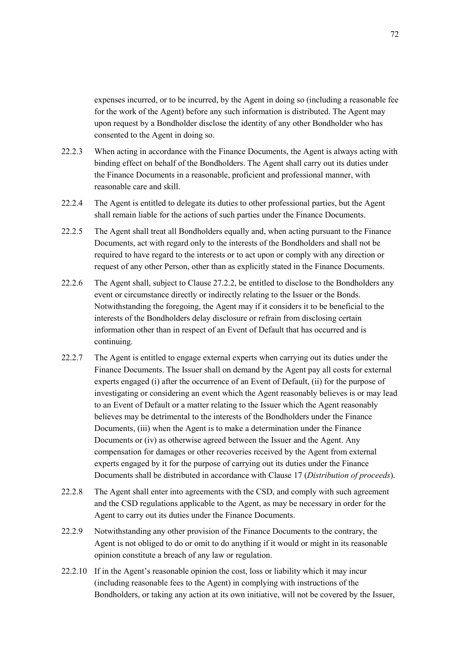expenses incurred, or to be incurred, by the Agent in doing so (including a reasonable fee for the work of the Agent) before any such information is distributed. The Agent may upon request by a Bondholder disclose the identity of any other Bondholder who has consented to the Agent in doing so.

- 22.2.3 When acting in accordance with the Finance Documents, the Agent is always acting with binding effect on behalf of the Bondholders. The Agent shall carry out its duties under the Finance Documents in a reasonable, proficient and professional manner, with reasonable care and skill.
- 22.2.4 The Agent is entitled to delegate its duties to other professional parties, but the Agent shall remain liable for the actions of such parties under the Finance Documents.
- 22.2.5 The Agent shall treat all Bondholders equally and, when acting pursuant to the Finance Documents, act with regard only to the interests of the Bondholders and shall not be required to have regard to the interests or to act upon or comply with any direction or request of any other Person, other than as explicitly stated in the Finance Documents.
- 22.2.6 The Agent shall, subject to Clause 27.2.2, be entitled to disclose to the Bondholders any event or circumstance directly or indirectly relating to the Issuer or the Bonds. Notwithstanding the foregoing, the Agent may if it considers it to be beneficial to the interests of the Bondholders delay disclosure or refrain from disclosing certain information other than in respect of an Event of Default that has occurred and is continuing.
- 22.2.7 The Agent is entitled to engage external experts when carrying out its duties under the Finance Documents. The Issuer shall on demand by the Agent pay all costs for external experts engaged (i) after the occurrence of an Event of Default, (ii) for the purpose of investigating or considering an event which the Agent reasonably believes is or may lead to an Event of Default or a matter relating to the Issuer which the Agent reasonably believes may be detrimental to the interests of the Bondholders under the Finance Documents, (iii) when the Agent is to make a determination under the Finance Documents or (iv) as otherwise agreed between the Issuer and the Agent. Any compensation for damages or other recoveries received by the Agent from external experts engaged by it for the purpose of carrying out its duties under the Finance Documents shall be distributed in accordance with Clause 17 (*Distribution of proceeds*).
- 22.2.8 The Agent shall enter into agreements with the CSD, and comply with such agreement and the CSD regulations applicable to the Agent, as may be necessary in order for the Agent to carry out its duties under the Finance Documents.
- 22.2.9 Notwithstanding any other provision of the Finance Documents to the contrary, the Agent is not obliged to do or omit to do anything if it would or might in its reasonable opinion constitute a breach of any law or regulation.
- 22.2.10 If in the Agent's reasonable opinion the cost, loss or liability which it may incur (including reasonable fees to the Agent) in complying with instructions of the Bondholders, or taking any action at its own initiative, will not be covered by the Issuer,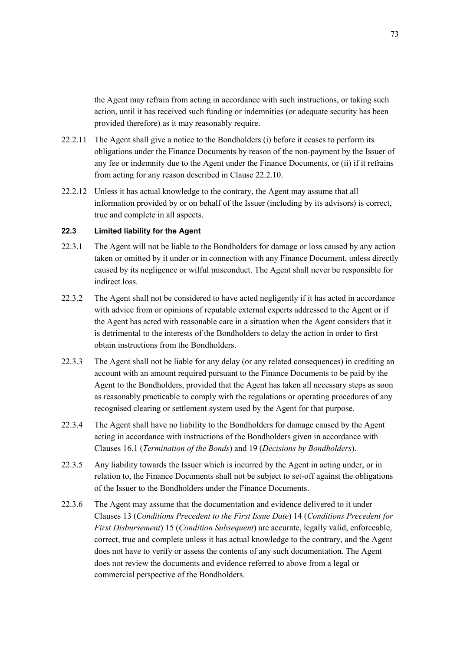the Agent may refrain from acting in accordance with such instructions, or taking such action, until it has received such funding or indemnities (or adequate security has been provided therefore) as it may reasonably require.

- 22.2.11 The Agent shall give a notice to the Bondholders (i) before it ceases to perform its obligations under the Finance Documents by reason of the non-payment by the Issuer of any fee or indemnity due to the Agent under the Finance Documents, or (ii) if it refrains from acting for any reason described in Clause 22.2.10.
- 22.2.12 Unless it has actual knowledge to the contrary, the Agent may assume that all information provided by or on behalf of the Issuer (including by its advisors) is correct, true and complete in all aspects.

### **22.3 Limited liability for the Agent**

- 22.3.1 The Agent will not be liable to the Bondholders for damage or loss caused by any action taken or omitted by it under or in connection with any Finance Document, unless directly caused by its negligence or wilful misconduct. The Agent shall never be responsible for indirect loss.
- 22.3.2 The Agent shall not be considered to have acted negligently if it has acted in accordance with advice from or opinions of reputable external experts addressed to the Agent or if the Agent has acted with reasonable care in a situation when the Agent considers that it is detrimental to the interests of the Bondholders to delay the action in order to first obtain instructions from the Bondholders.
- 22.3.3 The Agent shall not be liable for any delay (or any related consequences) in crediting an account with an amount required pursuant to the Finance Documents to be paid by the Agent to the Bondholders, provided that the Agent has taken all necessary steps as soon as reasonably practicable to comply with the regulations or operating procedures of any recognised clearing or settlement system used by the Agent for that purpose.
- 22.3.4 The Agent shall have no liability to the Bondholders for damage caused by the Agent acting in accordance with instructions of the Bondholders given in accordance with Clauses 16.1 (*Termination of the Bonds*) and 19 (*Decisions by Bondholders*).
- 22.3.5 Any liability towards the Issuer which is incurred by the Agent in acting under, or in relation to, the Finance Documents shall not be subject to set-off against the obligations of the Issuer to the Bondholders under the Finance Documents.
- 22.3.6 The Agent may assume that the documentation and evidence delivered to it under Clauses 13 (*Conditions Precedent to the First Issue Date*) 14 (*Conditions Precedent for First Disbursement*) 15 (*Condition Subsequent*) are accurate, legally valid, enforceable, correct, true and complete unless it has actual knowledge to the contrary, and the Agent does not have to verify or assess the contents of any such documentation. The Agent does not review the documents and evidence referred to above from a legal or commercial perspective of the Bondholders.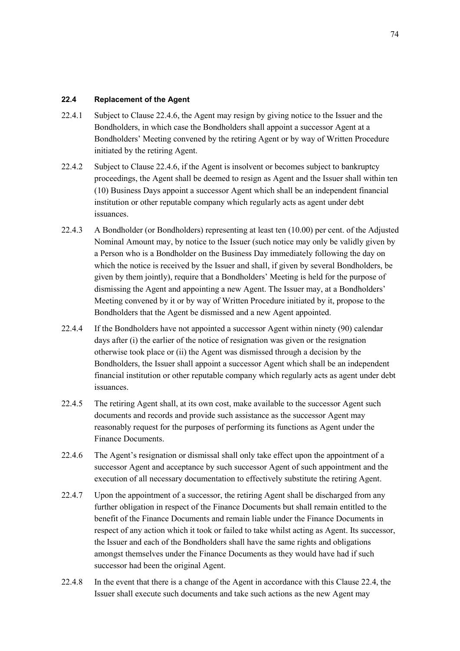# **22.4 Replacement of the Agent**

- 22.4.1 Subject to Clause 22.4.6, the Agent may resign by giving notice to the Issuer and the Bondholders, in which case the Bondholders shall appoint a successor Agent at a Bondholders' Meeting convened by the retiring Agent or by way of Written Procedure initiated by the retiring Agent.
- 22.4.2 Subject to Clause 22.4.6, if the Agent is insolvent or becomes subject to bankruptcy proceedings, the Agent shall be deemed to resign as Agent and the Issuer shall within ten (10) Business Days appoint a successor Agent which shall be an independent financial institution or other reputable company which regularly acts as agent under debt issuances.
- 22.4.3 A Bondholder (or Bondholders) representing at least ten (10.00) per cent. of the Adjusted Nominal Amount may, by notice to the Issuer (such notice may only be validly given by a Person who is a Bondholder on the Business Day immediately following the day on which the notice is received by the Issuer and shall, if given by several Bondholders, be given by them jointly), require that a Bondholders' Meeting is held for the purpose of dismissing the Agent and appointing a new Agent. The Issuer may, at a Bondholders' Meeting convened by it or by way of Written Procedure initiated by it, propose to the Bondholders that the Agent be dismissed and a new Agent appointed.
- 22.4.4 If the Bondholders have not appointed a successor Agent within ninety (90) calendar days after (i) the earlier of the notice of resignation was given or the resignation otherwise took place or (ii) the Agent was dismissed through a decision by the Bondholders, the Issuer shall appoint a successor Agent which shall be an independent financial institution or other reputable company which regularly acts as agent under debt issuances.
- 22.4.5 The retiring Agent shall, at its own cost, make available to the successor Agent such documents and records and provide such assistance as the successor Agent may reasonably request for the purposes of performing its functions as Agent under the Finance Documents.
- 22.4.6 The Agent's resignation or dismissal shall only take effect upon the appointment of a successor Agent and acceptance by such successor Agent of such appointment and the execution of all necessary documentation to effectively substitute the retiring Agent.
- 22.4.7 Upon the appointment of a successor, the retiring Agent shall be discharged from any further obligation in respect of the Finance Documents but shall remain entitled to the benefit of the Finance Documents and remain liable under the Finance Documents in respect of any action which it took or failed to take whilst acting as Agent. Its successor, the Issuer and each of the Bondholders shall have the same rights and obligations amongst themselves under the Finance Documents as they would have had if such successor had been the original Agent.
- 22.4.8 In the event that there is a change of the Agent in accordance with this Clause 22.4, the Issuer shall execute such documents and take such actions as the new Agent may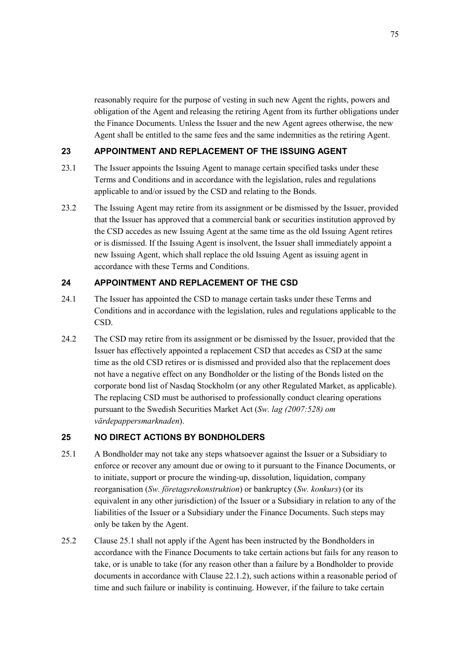reasonably require for the purpose of vesting in such new Agent the rights, powers and obligation of the Agent and releasing the retiring Agent from its further obligations under the Finance Documents. Unless the Issuer and the new Agent agrees otherwise, the new Agent shall be entitled to the same fees and the same indemnities as the retiring Agent.

# **23 APPOINTMENT AND REPLACEMENT OF THE ISSUING AGENT**

- 23.1 The Issuer appoints the Issuing Agent to manage certain specified tasks under these Terms and Conditions and in accordance with the legislation, rules and regulations applicable to and/or issued by the CSD and relating to the Bonds.
- 23.2 The Issuing Agent may retire from its assignment or be dismissed by the Issuer, provided that the Issuer has approved that a commercial bank or securities institution approved by the CSD accedes as new Issuing Agent at the same time as the old Issuing Agent retires or is dismissed. If the Issuing Agent is insolvent, the Issuer shall immediately appoint a new Issuing Agent, which shall replace the old Issuing Agent as issuing agent in accordance with these Terms and Conditions.

# **24 APPOINTMENT AND REPLACEMENT OF THE CSD**

- 24.1 The Issuer has appointed the CSD to manage certain tasks under these Terms and Conditions and in accordance with the legislation, rules and regulations applicable to the CSD.
- 24.2 The CSD may retire from its assignment or be dismissed by the Issuer, provided that the Issuer has effectively appointed a replacement CSD that accedes as CSD at the same time as the old CSD retires or is dismissed and provided also that the replacement does not have a negative effect on any Bondholder or the listing of the Bonds listed on the corporate bond list of Nasdaq Stockholm (or any other Regulated Market, as applicable). The replacing CSD must be authorised to professionally conduct clearing operations pursuant to the Swedish Securities Market Act (*Sw. lag (2007:528) om värdepappersmarknaden*).

# **25 NO DIRECT ACTIONS BY BONDHOLDERS**

- 25.1 A Bondholder may not take any steps whatsoever against the Issuer or a Subsidiary to enforce or recover any amount due or owing to it pursuant to the Finance Documents, or to initiate, support or procure the winding-up, dissolution, liquidation, company reorganisation (*Sw. företagsrekonstruktion*) or bankruptcy (*Sw. konkurs*) (or its equivalent in any other jurisdiction) of the Issuer or a Subsidiary in relation to any of the liabilities of the Issuer or a Subsidiary under the Finance Documents. Such steps may only be taken by the Agent.
- 25.2 Clause 25.1 shall not apply if the Agent has been instructed by the Bondholders in accordance with the Finance Documents to take certain actions but fails for any reason to take, or is unable to take (for any reason other than a failure by a Bondholder to provide documents in accordance with Clause 22.1.2), such actions within a reasonable period of time and such failure or inability is continuing. However, if the failure to take certain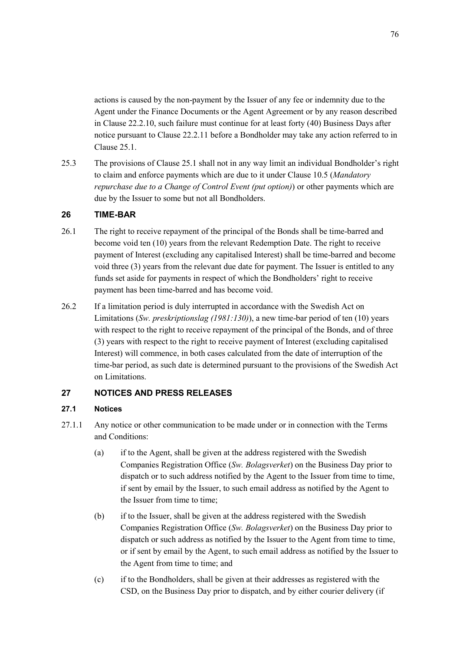actions is caused by the non-payment by the Issuer of any fee or indemnity due to the Agent under the Finance Documents or the Agent Agreement or by any reason described in Clause 22.2.10, such failure must continue for at least forty (40) Business Days after notice pursuant to Clause 22.2.11 before a Bondholder may take any action referred to in Clause 25.1.

25.3 The provisions of Clause 25.1 shall not in any way limit an individual Bondholder's right to claim and enforce payments which are due to it under Clause 10.5 (*Mandatory repurchase due to a Change of Control Event (put option)*) or other payments which are due by the Issuer to some but not all Bondholders.

## **26 TIME-BAR**

- 26.1 The right to receive repayment of the principal of the Bonds shall be time-barred and become void ten (10) years from the relevant Redemption Date. The right to receive payment of Interest (excluding any capitalised Interest) shall be time-barred and become void three (3) years from the relevant due date for payment. The Issuer is entitled to any funds set aside for payments in respect of which the Bondholders' right to receive payment has been time-barred and has become void.
- 26.2 If a limitation period is duly interrupted in accordance with the Swedish Act on Limitations (*Sw. preskriptionslag (1981:130)*), a new time-bar period of ten (10) years with respect to the right to receive repayment of the principal of the Bonds, and of three (3) years with respect to the right to receive payment of Interest (excluding capitalised Interest) will commence, in both cases calculated from the date of interruption of the time-bar period, as such date is determined pursuant to the provisions of the Swedish Act on Limitations.

# **27 NOTICES AND PRESS RELEASES**

### **27.1 Notices**

- 27.1.1 Any notice or other communication to be made under or in connection with the Terms and Conditions:
	- (a) if to the Agent, shall be given at the address registered with the Swedish Companies Registration Office (*Sw. Bolagsverket*) on the Business Day prior to dispatch or to such address notified by the Agent to the Issuer from time to time, if sent by email by the Issuer, to such email address as notified by the Agent to the Issuer from time to time;
	- (b) if to the Issuer, shall be given at the address registered with the Swedish Companies Registration Office (*Sw. Bolagsverket*) on the Business Day prior to dispatch or such address as notified by the Issuer to the Agent from time to time, or if sent by email by the Agent, to such email address as notified by the Issuer to the Agent from time to time; and
	- (c) if to the Bondholders, shall be given at their addresses as registered with the CSD, on the Business Day prior to dispatch, and by either courier delivery (if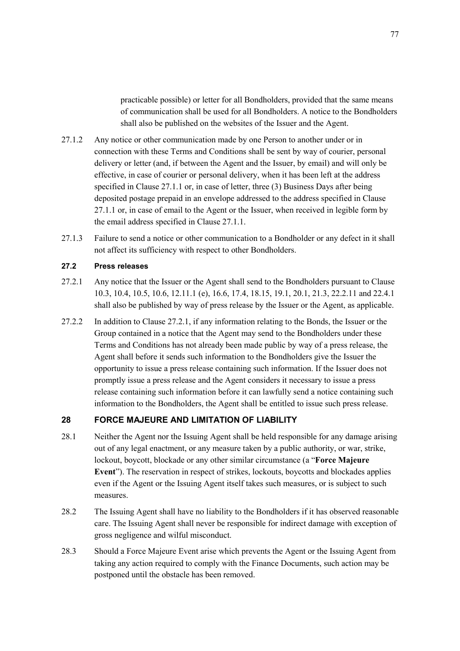practicable possible) or letter for all Bondholders, provided that the same means of communication shall be used for all Bondholders. A notice to the Bondholders shall also be published on the websites of the Issuer and the Agent.

- 27.1.2 Any notice or other communication made by one Person to another under or in connection with these Terms and Conditions shall be sent by way of courier, personal delivery or letter (and, if between the Agent and the Issuer, by email) and will only be effective, in case of courier or personal delivery, when it has been left at the address specified in Clause 27.1.1 or, in case of letter, three (3) Business Days after being deposited postage prepaid in an envelope addressed to the address specified in Clause 27.1.1 or, in case of email to the Agent or the Issuer, when received in legible form by the email address specified in Clause 27.1.1.
- 27.1.3 Failure to send a notice or other communication to a Bondholder or any defect in it shall not affect its sufficiency with respect to other Bondholders.

### **27.2 Press releases**

- 27.2.1 Any notice that the Issuer or the Agent shall send to the Bondholders pursuant to Clause 10.3, 10.4, 10.5, 10.6, 12.11.1 (e), 16.6, 17.4, 18.15, 19.1, 20.1, 21.3, 22.2.11 and 22.4.1 shall also be published by way of press release by the Issuer or the Agent, as applicable.
- 27.2.2 In addition to Clause 27.2.1, if any information relating to the Bonds, the Issuer or the Group contained in a notice that the Agent may send to the Bondholders under these Terms and Conditions has not already been made public by way of a press release, the Agent shall before it sends such information to the Bondholders give the Issuer the opportunity to issue a press release containing such information. If the Issuer does not promptly issue a press release and the Agent considers it necessary to issue a press release containing such information before it can lawfully send a notice containing such information to the Bondholders, the Agent shall be entitled to issue such press release.

# **28 FORCE MAJEURE AND LIMITATION OF LIABILITY**

- 28.1 Neither the Agent nor the Issuing Agent shall be held responsible for any damage arising out of any legal enactment, or any measure taken by a public authority, or war, strike, lockout, boycott, blockade or any other similar circumstance (a "**Force Majeure Event**"). The reservation in respect of strikes, lockouts, boycotts and blockades applies even if the Agent or the Issuing Agent itself takes such measures, or is subject to such measures.
- 28.2 The Issuing Agent shall have no liability to the Bondholders if it has observed reasonable care. The Issuing Agent shall never be responsible for indirect damage with exception of gross negligence and wilful misconduct.
- 28.3 Should a Force Majeure Event arise which prevents the Agent or the Issuing Agent from taking any action required to comply with the Finance Documents, such action may be postponed until the obstacle has been removed.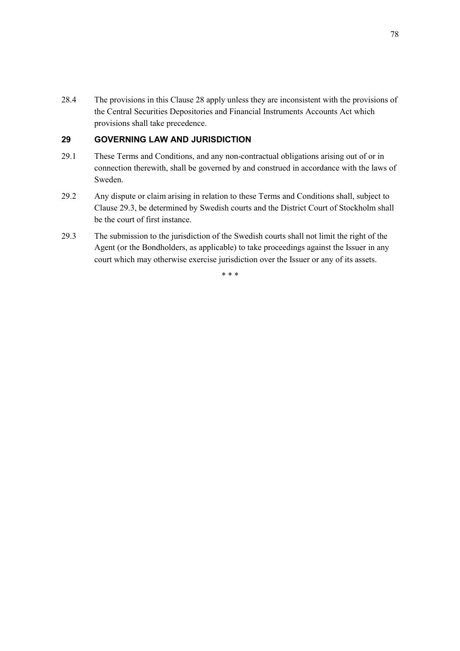28.4 The provisions in this Clause 28 apply unless they are inconsistent with the provisions of the Central Securities Depositories and Financial Instruments Accounts Act which provisions shall take precedence.

# **29 GOVERNING LAW AND JURISDICTION**

- 29.1 These Terms and Conditions, and any non-contractual obligations arising out of or in connection therewith, shall be governed by and construed in accordance with the laws of Sweden.
- 29.2 Any dispute or claim arising in relation to these Terms and Conditions shall, subject to Clause 29.3, be determined by Swedish courts and the District Court of Stockholm shall be the court of first instance.
- 29.3 The submission to the jurisdiction of the Swedish courts shall not limit the right of the Agent (or the Bondholders, as applicable) to take proceedings against the Issuer in any court which may otherwise exercise jurisdiction over the Issuer or any of its assets.

\* \* \*